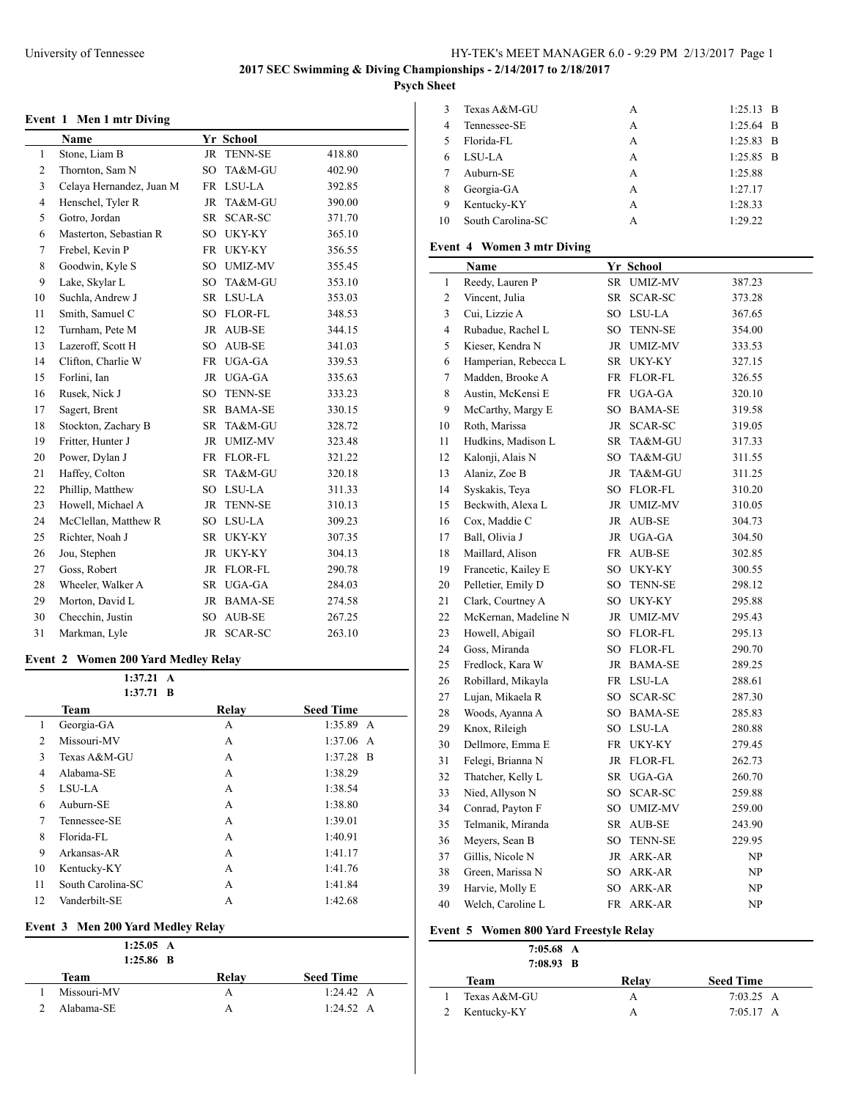**Psych Sheet**

# **Event 1 Men 1 mtr Diving**

|                | Name                     |                 | Yr School      |        |
|----------------|--------------------------|-----------------|----------------|--------|
| $\mathbf{1}$   | Stone, Liam B            | <b>JR</b>       | <b>TENN-SE</b> | 418.80 |
| 2              | Thornton, Sam N          | SO.             | TA&M-GU        | 402.90 |
| 3              | Celaya Hernandez, Juan M | <b>FR</b>       | LSU-LA         | 392.85 |
| $\overline{4}$ | Henschel, Tyler R        | <b>JR</b>       | TA&M-GU        | 390.00 |
| 5              | Gotro, Jordan            | <b>SR</b>       | SCAR-SC        | 371.70 |
| 6              | Masterton, Sebastian R   | SO <sub>1</sub> | UKY-KY         | 365.10 |
| 7              | Frebel, Kevin P          | <b>FR</b>       | UKY-KY         | 356.55 |
| 8              | Goodwin, Kyle S          | SO              | UMIZ-MV        | 355.45 |
| 9              | Lake, Skylar L           | SO <sub>1</sub> | TA&M-GU        | 353.10 |
| 10             | Suchla, Andrew J         | <b>SR</b>       | LSU-LA         | 353.03 |
| 11             | Smith, Samuel C          | SO.             | FLOR-FL        | 348.53 |
| 12             | Turnham, Pete M          | <b>JR</b>       | <b>AUB-SE</b>  | 344.15 |
| 13             | Lazeroff, Scott H        | SO.             | AUB-SE         | 341.03 |
| 14             | Clifton, Charlie W       | <b>FR</b>       | UGA-GA         | 339.53 |
| 15             | Forlini, Ian             | JR              | UGA-GA         | 335.63 |
| 16             | Rusek, Nick J            | SO              | <b>TENN-SE</b> | 333.23 |
| 17             | Sagert, Brent            | <b>SR</b>       | <b>BAMA-SE</b> | 330.15 |
| 18             | Stockton, Zachary B      | <b>SR</b>       | TA&M-GU        | 328.72 |
| 19             | Fritter, Hunter J        | <b>JR</b>       | <b>UMIZ-MV</b> | 323.48 |
| 20             | Power, Dylan J           | <b>FR</b>       | FLOR-FL        | 321.22 |
| 21             | Haffey, Colton           | <b>SR</b>       | TA&M-GU        | 320.18 |
| 22             | Phillip, Matthew         | SO              | LSU-LA         | 311.33 |
| 23             | Howell, Michael A        | <b>JR</b>       | <b>TENN-SE</b> | 310.13 |
| 24             | McClellan, Matthew R     | SO <sub>1</sub> | LSU-LA         | 309.23 |
| 25             | Richter, Noah J          | SR.             | UKY-KY         | 307.35 |
| 26             | Jou, Stephen             | <b>JR</b>       | UKY-KY         | 304.13 |
| 27             | Goss, Robert             | JR              | <b>FLOR-FL</b> | 290.78 |
| 28             | Wheeler, Walker A        | SR              | UGA-GA         | 284.03 |
| 29             | Morton, David L          | <b>JR</b>       | <b>BAMA-SE</b> | 274.58 |
| 30             | Checchin, Justin         | SO <sub>1</sub> | AUB-SE         | 267.25 |
| 31             | Markman, Lyle            | <b>JR</b>       | SCAR-SC        | 263.10 |

### **Event 2 Women 200 Yard Medley Relay**

|    | $1:37.21 \text{ A}$ |       |                  |
|----|---------------------|-------|------------------|
|    | $1:37.71$ B         |       |                  |
|    | <b>Team</b>         | Relav | <b>Seed Time</b> |
| 1  | Georgia-GA          | A     | $1:35.89$ A      |
| 2  | Missouri-MV         | A     | $1:37.06$ A      |
| 3  | Texas A&M-GU        | A     | $1:37.28$ B      |
| 4  | Alabama-SE          | A     | 1:38.29          |
| 5  | LSU-LA              | A     | 1:38.54          |
| 6  | Auburn-SE           | A     | 1:38.80          |
| 7  | Tennessee-SE        | A     | 1:39.01          |
| 8  | Florida-FL          | A     | 1:40.91          |
| 9  | Arkansas-AR         | A     | 1:41.17          |
| 10 | Kentucky-KY         | A     | 1:41.76          |
| 11 | South Carolina-SC   | А     | 1:41.84          |
| 12 | Vanderbilt-SE       | А     | 1:42.68          |

### **Event 3 Men 200 Yard Medley Relay**

| 1:25.05 A<br>$1:25.86$ B |       |                  |
|--------------------------|-------|------------------|
| Team                     | Relay | <b>Seed Time</b> |
| Missouri-MV              | А     | 1:24.42 A        |
| Alabama-SE               | А     | 1:24.52 A        |

| 3  | Texas A&M-GU      | А | $1:25.13$ B |
|----|-------------------|---|-------------|
| 4  | Tennessee-SE      | А | $1:25.64$ B |
| 5  | Florida-FL        | A | $1:25.83$ B |
|    | LSU-LA            | A | $1:25.85$ B |
|    | Auburn-SE         | A | 1:25.88     |
| 8  | Georgia-GA        | A | 1:27.17     |
| 9  | Kentucky-KY       | А | 1:28.33     |
| 10 | South Carolina-SC | А | 1:29.22     |

# **Event 4 Women 3 mtr Diving**

|                | Name                 |           | Yr School      |        |
|----------------|----------------------|-----------|----------------|--------|
| 1              | Reedy, Lauren P      | SR        | <b>UMIZ-MV</b> | 387.23 |
| $\overline{c}$ | Vincent, Julia       |           | SR SCAR-SC     | 373.28 |
| 3              | Cui, Lizzie A        |           | SO LSU-LA      | 367.65 |
| $\overline{4}$ | Rubadue, Rachel L    | SO        | <b>TENN-SE</b> | 354.00 |
| 5              | Kieser, Kendra N     |           | JR UMIZ-MV     | 333.53 |
| 6              | Hamperian, Rebecca L | SR        | UKY-KY         | 327.15 |
| 7              | Madden, Brooke A     |           | FR FLOR-FL     | 326.55 |
| 8              | Austin, McKensi E    |           | FR UGA-GA      | 320.10 |
| 9              | McCarthy, Margy E    | SO        | <b>BAMA-SE</b> | 319.58 |
| 10             | Roth, Marissa        | JR        | SCAR-SC        | 319.05 |
| 11             | Hudkins, Madison L   | SR        | TA&M-GU        | 317.33 |
| 12             | Kalonji, Alais N     |           | SO TA&M-GU     | 311.55 |
| 13             | Alaniz, Zoe B        |           | JR TA&M-GU     | 311.25 |
| 14             | Syskakis, Teya       |           | SO FLOR-FL     | 310.20 |
| 15             | Beckwith, Alexa L    |           | JR UMIZ-MV     | 310.05 |
| 16             | Cox, Maddie C        |           | JR AUB-SE      | 304.73 |
| 17             | Ball, Olivia J       |           | JR UGA-GA      | 304.50 |
| 18             | Maillard, Alison     | FR        | AUB-SE         | 302.85 |
| 19             | Francetic, Kailey E  |           | SO UKY-KY      | 300.55 |
| 20             | Pelletier, Emily D   |           | SO TENN-SE     | 298.12 |
| 21             | Clark, Courtney A    |           | SO UKY-KY      | 295.88 |
| 22             | McKernan, Madeline N |           | JR UMIZ-MV     | 295.43 |
| 23             | Howell, Abigail      |           | SO FLOR-FL     | 295.13 |
| 24             | Goss, Miranda        |           | SO FLOR-FL     | 290.70 |
| 25             | Fredlock, Kara W     |           | JR BAMA-SE     | 289.25 |
| 26             | Robillard, Mikayla   |           | FR LSU-LA      | 288.61 |
| 27             | Lujan, Mikaela R     |           | SO SCAR-SC     | 287.30 |
| 28             | Woods, Ayanna A      |           | SO BAMA-SE     | 285.83 |
| 29             | Knox, Rileigh        |           | SO LSU-LA      | 280.88 |
| 30             | Dellmore, Emma E     |           | FR UKY-KY      | 279.45 |
| 31             | Felegi, Brianna N    |           | JR FLOR-FL     | 262.73 |
| 32             | Thatcher, Kelly L    | SR        | UGA-GA         | 260.70 |
| 33             | Nied, Allyson N      | SO        | SCAR-SC        | 259.88 |
| 34             | Conrad, Payton F     | SO        | UMIZ-MV        | 259.00 |
| 35             | Telmanik, Miranda    |           | SR AUB-SE      | 243.90 |
| 36             | Meyers, Sean B       | SO        | <b>TENN-SE</b> | 229.95 |
| 37             | Gillis, Nicole N     |           | JR ARK-AR      | NP     |
| 38             | Green, Marissa N     | SO        | ARK-AR         | NP     |
| 39             | Harvie, Molly E      | SO.       | ARK-AR         | NP     |
| 40             | Welch, Caroline L    | <b>FR</b> | ARK-AR         | NP     |

# **Event 5 Women 800 Yard Freestyle Relay**

 $\overline{\phantom{a}}$ 

| $7:05.68$ A<br>$7:08.93$ B |       |                     |
|----------------------------|-------|---------------------|
| Team                       | Relay | <b>Seed Time</b>    |
| Texas A&M-GU               | А     | $7:03.25\;A$        |
| Kentucky-KY                | А     | $7:05.17 \text{ A}$ |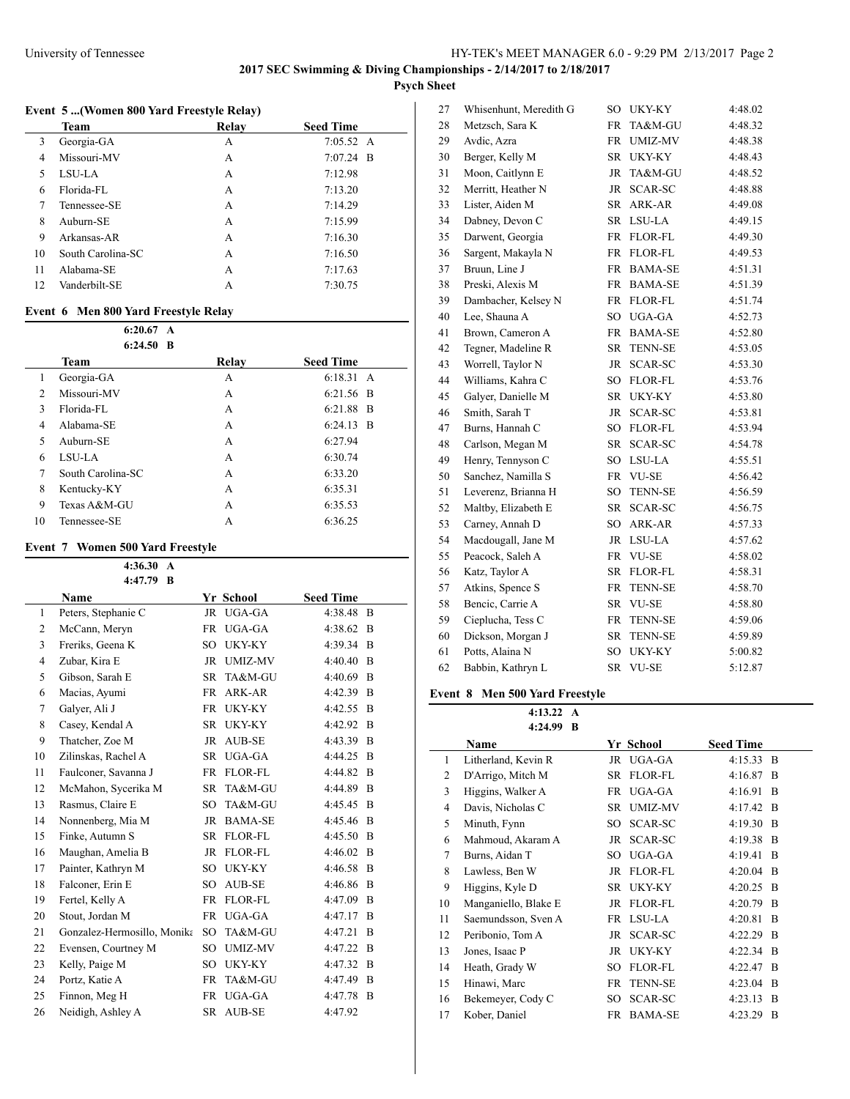# **Psych Sheet**

# **Event 5 ...(Women 800 Yard Freestyle Relay)**

|    | Team              | Relay | <b>Seed Time</b>    |
|----|-------------------|-------|---------------------|
| 3  | Georgia-GA        | A     | $7:05.52 \text{ A}$ |
| 4  | Missouri-MV       | А     | $7:07.24$ B         |
| 5  | LSU-LA            | A     | 7:12.98             |
| 6  | Florida-FL        | А     | 7:13.20             |
| 7  | Tennessee-SE      | A     | 7:14.29             |
| 8  | Auburn-SE         | А     | 7:15.99             |
| 9  | Arkansas-AR       | A     | 7:16.30             |
| 10 | South Carolina-SC | A     | 7:16.50             |
| 11 | Alabama-SE        | А     | 7:17.63             |
| 12 | Vanderbilt-SE     | A     | 7:30.75             |

### **Event 6 Men 800 Yard Freestyle Relay**

|                | 6:20.67<br>$\mathbf{A}$<br>$6:24.50$ B |       |                     |
|----------------|----------------------------------------|-------|---------------------|
|                | Team                                   | Relay | <b>Seed Time</b>    |
| 1              | Georgia-GA                             | A     | $6:18.31 \text{ A}$ |
| $\overline{c}$ | Missouri-MV                            | А     | $6:21.56$ B         |
| 3              | Florida-FL                             | A     | 6:21.88 B           |
| 4              | Alabama-SE                             | A     | $6:24.13$ B         |
| 5              | Auburn-SE                              | A     | 6:27.94             |
| 6              | LSU-LA                                 | A     | 6:30.74             |
| 7              | South Carolina-SC                      | A     | 6:33.20             |
| 8              | Kentucky-KY                            | A     | 6:35.31             |
| 9              | Texas A&M-GU                           | A     | 6:35.53             |
| 10             | Tennessee-SE                           | А     | 6:36.25             |

# **Event 7 Women 500 Yard Freestyle**

|                | 4:36.30<br>$\mathbf{A}$     |           |                |                  |                |
|----------------|-----------------------------|-----------|----------------|------------------|----------------|
|                | 4:47.79<br>- B              |           |                |                  |                |
|                | <b>Name</b>                 |           | Yr School      | <b>Seed Time</b> |                |
| 1              | Peters, Stephanie C         | JR        | UGA-GA         | 4:38.48          | $\overline{B}$ |
| 2              | McCann, Meryn               | FR        | UGA-GA         | 4:38.62 B        |                |
| 3              | Freriks, Geena K            | SO        | UKY-KY         | 4:39.34          | <sup>B</sup>   |
| $\overline{4}$ | Zubar, Kira E               |           | JR UMIZ-MV     | 4:40.40          | B              |
| 5              | Gibson, Sarah E             | SR.       | TA&M-GU        | 4:40.69          | $\overline{B}$ |
| 6              | Macias, Ayumi               | FR        | ARK-AR         | 4:42.39          | B              |
| 7              | Galyer, Ali J               | FR        | UKY-KY         | 4:42.55          | B              |
| 8              | Casey, Kendal A             | SR.       | UKY-KY         | 4:42.92          | B              |
| 9              | Thatcher, Zoe M             | JR.       | <b>AUB-SE</b>  | 4:43.39          | <sup>B</sup>   |
| 10             | Zilinskas, Rachel A         | SR        | UGA-GA         | 4:44.25          | B              |
| 11             | Faulconer, Savanna J        | <b>FR</b> | FLOR-FL        | 4:44.82          | <sup>B</sup>   |
| 12             | McMahon, Sycerika M         | SR        | TA&M-GU        | 4:44.89          | B              |
| 13             | Rasmus, Claire E            | SO        | TA&M-GU        | 4:45.45          | -B             |
| 14             | Nonnenberg, Mia M           | JR.       | <b>BAMA-SE</b> | 4:45.46          | B              |
| 15             | Finke, Autumn S             | SR.       | FLOR-FL        | $4:45.50$ B      |                |
| 16             | Maughan, Amelia B           | JR        | FLOR-FL        | 4:46.02          | B              |
| 17             | Painter, Kathryn M          | SO        | UKY-KY         | 4:46.58          | B              |
| 18             | Falconer, Erin E            | SO.       | AUB-SE         | 4:46.86          | B              |
| 19             | Fertel, Kelly A             | FR.       | FLOR-FL        | 4:47.09          | B              |
| 20             | Stout, Jordan M             | <b>FR</b> | UGA-GA         | 4:47.17          | <sup>B</sup>   |
| 21             | Gonzalez-Hermosillo, Monika | SO.       | TA&M-GU        | 4:47.21          | B              |
| 22             | Evensen, Courtney M         | SO        | UMIZ-MV        | 4:47.22          | B              |
| 23             | Kelly, Paige M              | SO        | UKY-KY         | 4:47.32          | B              |
| 24             | Portz, Katie A              | FR        | TA&M-GU        | 4:47.49          | B              |
| 25             | Finnon, Meg H               | <b>FR</b> | UGA-GA         | 4:47.78          | B              |
| 26             | Neidigh, Ashley A           | SR        | <b>AUB-SE</b>  | 4:47.92          |                |

| 27 | Whisenhunt, Meredith G | SO        | <b>UKY-KY</b>  | 4:48.02 |
|----|------------------------|-----------|----------------|---------|
| 28 | Metzsch, Sara K        | FR        | TA&M-GU        | 4:48.32 |
| 29 | Avdic, Azra            | FR        | <b>UMIZ-MV</b> | 4:48.38 |
| 30 | Berger, Kelly M        | SR        | UKY-KY         | 4:48.43 |
| 31 | Moon, Caitlynn E       | JR        | TA&M-GU        | 4:48.52 |
| 32 | Merritt, Heather N     | JR        | <b>SCAR-SC</b> | 4:48.88 |
| 33 | Lister, Aiden M        | SR        | ARK-AR         | 4:49.08 |
| 34 | Dabney, Devon C        | SR        | LSU-LA         | 4:49.15 |
| 35 | Darwent, Georgia       | FR        | <b>FLOR-FL</b> | 4:49.30 |
| 36 | Sargent, Makayla N     | <b>FR</b> | <b>FLOR-FL</b> | 4:49.53 |
| 37 | Bruun, Line J          | FR        | <b>BAMA-SE</b> | 4:51.31 |
| 38 | Preski, Alexis M       | FR        | <b>BAMA-SE</b> | 4:51.39 |
| 39 | Dambacher, Kelsey N    | FR        | <b>FLOR-FL</b> | 4:51.74 |
| 40 | Lee, Shauna A          | SO.       | UGA-GA         | 4:52.73 |
| 41 | Brown, Cameron A       | FR        | <b>BAMA-SE</b> | 4:52.80 |
| 42 | Tegner, Madeline R     | SR        | <b>TENN-SE</b> | 4:53.05 |
| 43 | Worrell, Taylor N      | JR.       | <b>SCAR-SC</b> | 4:53.30 |
| 44 | Williams, Kahra C      | SO.       | <b>FLOR-FL</b> | 4:53.76 |
| 45 | Galyer, Danielle M     | SR        | <b>UKY-KY</b>  | 4:53.80 |
| 46 | Smith, Sarah T         | JR        | <b>SCAR-SC</b> | 4:53.81 |
| 47 | Burns, Hannah C        |           | SO FLOR-FL     | 4:53.94 |
| 48 | Carlson, Megan M       | <b>SR</b> | <b>SCAR-SC</b> | 4:54.78 |
| 49 | Henry, Tennyson C      | SO        | LSU-LA         | 4:55.51 |
| 50 | Sanchez, Namilla S     | FR        | <b>VU-SE</b>   | 4:56.42 |
| 51 | Leverenz, Brianna H    | SO        | <b>TENN-SE</b> | 4:56.59 |
| 52 | Maltby, Elizabeth E    | SR        | <b>SCAR-SC</b> | 4:56.75 |
| 53 | Carney, Annah D        | SO.       | <b>ARK-AR</b>  | 4:57.33 |
| 54 | Macdougall, Jane M     | JR        | LSU-LA         | 4:57.62 |
| 55 | Peacock, Saleh A       | FR        | <b>VU-SE</b>   | 4:58.02 |
| 56 | Katz, Taylor A         | SR        | <b>FLOR-FL</b> | 4:58.31 |
| 57 | Atkins, Spence S       | FR        | <b>TENN-SE</b> | 4:58.70 |
| 58 | Bencic, Carrie A       | SR        | <b>VU-SE</b>   | 4:58.80 |
| 59 | Cieplucha, Tess C      | FR        | <b>TENN-SE</b> | 4:59.06 |
| 60 | Dickson, Morgan J      | SR        | <b>TENN-SE</b> | 4:59.89 |
| 61 | Potts, Alaina N        | SO.       | <b>UKY-KY</b>  | 5:00.82 |
| 62 | Babbin, Kathryn L      | <b>SR</b> | <b>VU-SE</b>   | 5:12.87 |

# **Event 8 Men 500 Yard Freestyle**

**4:13.22 A**

|    | 4:24.99 B            |     |                |                     |                |
|----|----------------------|-----|----------------|---------------------|----------------|
|    | <b>Name</b>          |     | Yr School      | <b>Seed Time</b>    |                |
| 1  | Litherland, Kevin R  |     | JR UGA-GA      | $4:15.33 \text{ B}$ |                |
| 2  | D'Arrigo, Mitch M    |     | SR FLOR-FL     | $4:16.87$ B         |                |
| 3  | Higgins, Walker A    |     | FR UGA-GA      | 4:16.91             | <sup>B</sup>   |
| 4  | Davis, Nicholas C    |     | SR UMIZ-MV     | 4:17.42             | $\overline{B}$ |
| 5  | Minuth, Fynn         |     | SO SCAR-SC     | 4:19.30             | -B             |
| 6  | Mahmoud, Akaram A    |     | JR SCAR-SC     | 4:19.38             | $\overline{B}$ |
| 7  | Burns, Aidan T       |     | SO UGA-GA      | 4:19.41             | B              |
| 8  | Lawless, Ben W       |     | JR FLOR-FL     | 4:20.04             | $\overline{B}$ |
| 9  | Higgins, Kyle D      |     | SR UKY-KY      | 4:20.25             | $\overline{B}$ |
| 10 | Manganiello, Blake E |     | JR FLOR-FL     | 4:20.79             | $\overline{B}$ |
| 11 | Saemundsson, Sven A  |     | FR LSU-LA      | 4:20.81             | B              |
| 12 | Peribonio, Tom A     |     | JR SCAR-SC     | $4:22.29$ B         |                |
| 13 | Jones, Isaac P       | JR  | UKY-KY         | 4:22.34             | -B             |
| 14 | Heath, Grady W       | SO. | FLOR-FL        | 4:22.47             | B              |
| 15 | Hinawi, Marc         | FR  | <b>TENN-SE</b> | 4:23.04             | -B             |
| 16 | Bekemeyer, Cody C    | SO. | SCAR-SC        | 4:23.13             | B              |
| 17 | Kober, Daniel        |     | FR BAMA-SE     | 4:23.29             | B              |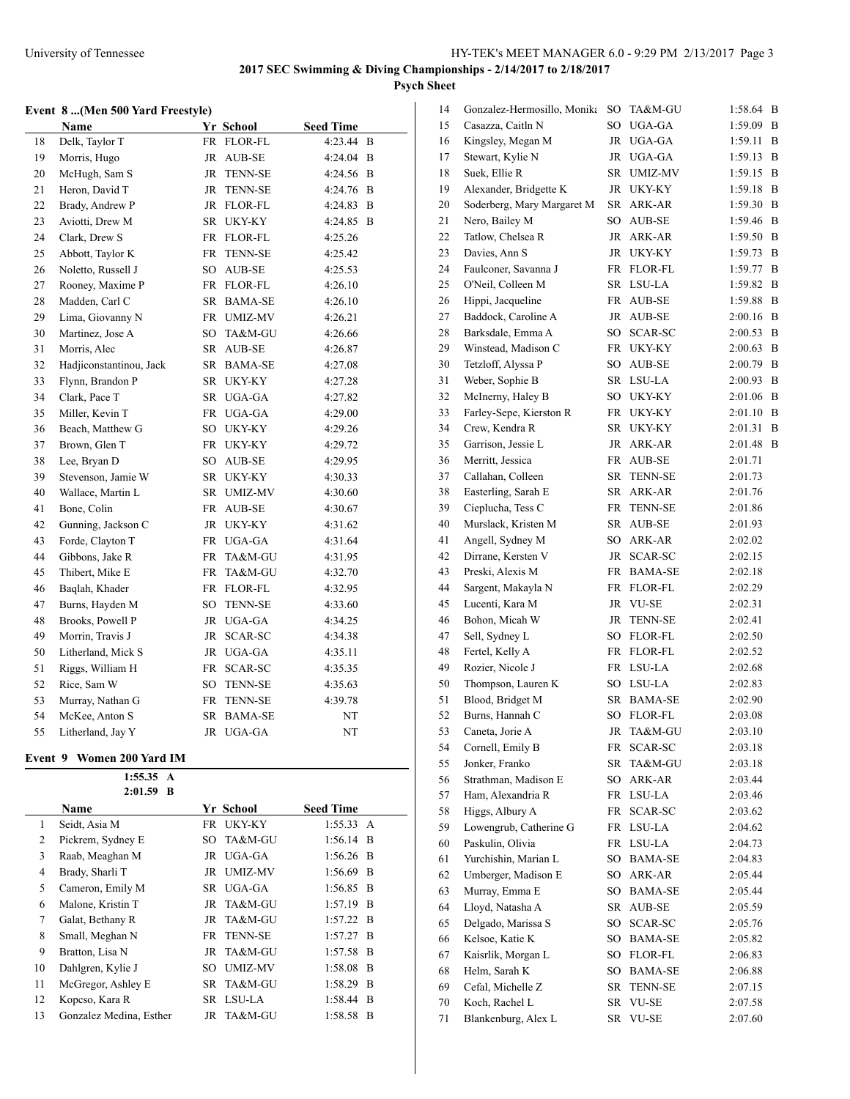# **Event 8 ...(Men 500 Yard Freestyle)**

|    | Name                    |           | Yr School      | <b>Seed Time</b> |   |
|----|-------------------------|-----------|----------------|------------------|---|
| 18 | Delk, Taylor T          |           | FR FLOR-FL     | 4:23.44 B        |   |
| 19 | Morris, Hugo            | <b>JR</b> | AUB-SE         | 4:24.04          | B |
| 20 | McHugh, Sam S           | JR        | <b>TENN-SE</b> | 4:24.56          | B |
| 21 | Heron, David T          | JR        | <b>TENN-SE</b> | 4:24.76          | B |
| 22 | Brady, Andrew P         | JR        | <b>FLOR-FL</b> | 4:24.83          | B |
| 23 | Aviotti, Drew M         |           | SR UKY-KY      | 4:24.85          | B |
| 24 | Clark, Drew S           |           | FR FLOR-FL     | 4:25.26          |   |
| 25 | Abbott, Taylor K        | FR        | <b>TENN-SE</b> | 4:25.42          |   |
| 26 | Noletto, Russell J      | SO        | AUB-SE         | 4:25.53          |   |
| 27 | Rooney, Maxime P        |           | FR FLOR-FL     | 4:26.10          |   |
| 28 | Madden, Carl C          | SR        | <b>BAMA-SE</b> | 4:26.10          |   |
| 29 | Lima, Giovanny N        |           | FR UMIZ-MV     | 4:26.21          |   |
| 30 | Martinez, Jose A        | SO        | TA&M-GU        | 4:26.66          |   |
| 31 | Morris, Alec            | SR        | AUB-SE         | 4:26.87          |   |
| 32 | Hadjiconstantinou, Jack |           | SR BAMA-SE     | 4:27.08          |   |
| 33 | Flynn, Brandon P        |           | SR UKY-KY      | 4:27.28          |   |
| 34 | Clark, Pace T           | SR.       | UGA-GA         | 4:27.82          |   |
| 35 | Miller, Kevin T         | FR        | UGA-GA         | 4:29.00          |   |
| 36 | Beach, Matthew G        | SO        | <b>UKY-KY</b>  | 4:29.26          |   |
| 37 | Brown, Glen T           | FR        | <b>UKY-KY</b>  | 4:29.72          |   |
| 38 | Lee, Bryan D            | SO        | AUB-SE         | 4:29.95          |   |
| 39 | Stevenson, Jamie W      | SR        | UKY-KY         | 4:30.33          |   |
| 40 | Wallace, Martin L       | SR        | <b>UMIZ-MV</b> | 4:30.60          |   |
| 41 | Bone, Colin             | FR        | AUB-SE         | 4:30.67          |   |
| 42 | Gunning, Jackson C      | JR        | UKY-KY         | 4:31.62          |   |
| 43 | Forde, Clayton T        | FR        | UGA-GA         | 4:31.64          |   |
| 44 | Gibbons, Jake R         | FR        | TA&M-GU        | 4:31.95          |   |
| 45 | Thibert, Mike E         | FR        | TA&M-GU        | 4:32.70          |   |
| 46 | Baqlah, Khader          | <b>FR</b> | FLOR-FL        | 4:32.95          |   |
| 47 | Burns, Hayden M         | SO        | <b>TENN-SE</b> | 4:33.60          |   |
| 48 | Brooks, Powell P        | JR        | UGA-GA         | 4:34.25          |   |
| 49 | Morrin, Travis J        | JR        | SCAR-SC        | 4:34.38          |   |
| 50 | Litherland, Mick S      | JR        | UGA-GA         | 4:35.11          |   |
| 51 | Riggs, William H        | FR        | SCAR-SC        | 4:35.35          |   |
| 52 | Rice, Sam W             | SO        | TENN-SE        | 4:35.63          |   |
| 53 | Murray, Nathan G        | FR        | <b>TENN-SE</b> | 4:39.78          |   |
| 54 | McKee, Anton S          | SR        | <b>BAMA-SE</b> | NT               |   |
| 55 | Litherland, Jay Y       | JR        | UGA-GA         | NT               |   |

### **Event 9 Women 200 Yard IM**

|    | 1:55.35<br>A            |     |            |                  |     |
|----|-------------------------|-----|------------|------------------|-----|
|    | $2:01.59$ B             |     |            |                  |     |
|    | Name                    |     | Yr School  | <b>Seed Time</b> |     |
| 1  | Seidt, Asia M           |     | FR UKY-KY  | 1:55.33 A        |     |
| 2  | Pickrem, Sydney E       | SO. | TA&M-GU    | $1:56.14$ B      |     |
| 3  | Raab, Meaghan M         |     | JR UGA-GA  | $1:56.26$ B      |     |
| 4  | Brady, Sharli T         |     | JR UMIZ-MV | $1:56.69$ B      |     |
| 5  | Cameron, Emily M        |     | SR UGA-GA  | $1:56.85$ B      |     |
| 6  | Malone, Kristin T       |     | JR TA&M-GU | $1:57.19$ B      |     |
| 7  | Galat, Bethany R        |     | JR TA&M-GU | $1:57.22$ B      |     |
| 8  | Small, Meghan N         |     | FR TENN-SE | $1:57.27$ B      |     |
| 9  | Bratton, Lisa N         |     | JR TA&M-GU | $1:57.58$ B      |     |
| 10 | Dahlgren, Kylie J       | SO. | UMIZ-MV    | $1:58.08$ B      |     |
| 11 | McGregor, Ashley E      |     | SR TA&M-GU | $1:58.29$ B      |     |
| 12 | Kopcso, Kara R          | SR  | LSU-LA     | 1:58.44          | - B |
| 13 | Gonzalez Medina, Esther |     | JR TA&M-GU | 1:58.58 B        |     |

| 14 | Gonzalez-Hermosillo, Monika       | SO        | TA&M-GU        | 1:58.64 | B |
|----|-----------------------------------|-----------|----------------|---------|---|
| 15 | Casazza, Caitln N                 | SO        | UGA-GA         | 1:59.09 | B |
| 16 | Kingsley, Megan M                 | JR        | UGA-GA         | 1:59.11 | B |
| 17 | Stewart, Kylie N                  | JR        | UGA-GA         | 1:59.13 | B |
| 18 | Suek, Ellie R                     | SR        | UMIZ-MV        | 1:59.15 | B |
| 19 | Alexander, Bridgette K            | JR        | UKY-KY         | 1:59.18 | B |
| 20 | Soderberg, Mary Margaret M        | SR        | ARK-AR         | 1:59.30 | B |
| 21 | Nero, Bailey M                    | SO        | AUB-SE         | 1:59.46 | B |
| 22 | Tatlow, Chelsea R                 | JR        | ARK-AR         | 1:59.50 | B |
| 23 | Davies, Ann S                     | JR        | UKY-KY         | 1:59.73 | B |
| 24 | Faulconer, Savanna J              | FR        | FLOR-FL        | 1:59.77 | B |
| 25 | O'Neil, Colleen M                 | SR        | LSU-LA         | 1:59.82 | B |
| 26 | Hippi, Jacqueline                 | FR        | AUB-SE         | 1:59.88 | B |
| 27 | Baddock, Caroline A               | JR        | AUB-SE         | 2:00.16 | B |
| 28 | Barksdale, Emma A                 | SO        | SCAR-SC        | 2:00.53 | B |
| 29 | Winstead, Madison C               | FR        | UKY-KY         | 2:00.63 | B |
| 30 | Tetzloff, Alyssa P                | SO        | AUB-SE         | 2:00.79 | B |
| 31 | Weber, Sophie B                   | SR        | LSU-LA         | 2:00.93 | B |
| 32 | McInerny, Haley B                 | SO        | UKY-KY         | 2:01.06 | B |
| 33 | Farley-Sepe, Kierston R           | FR        | UKY-KY         | 2:01.10 | B |
| 34 | Crew, Kendra R                    | SR        | UKY-KY         | 2:01.31 | B |
| 35 | Garrison, Jessie L                | JR        | ARK-AR         | 2:01.48 | B |
| 36 | Merritt, Jessica                  | FR        | <b>AUB-SE</b>  | 2:01.71 |   |
| 37 | Callahan, Colleen                 | SR        | <b>TENN-SE</b> | 2:01.73 |   |
| 38 | Easterling, Sarah E               | SR        | ARK-AR         | 2:01.76 |   |
| 39 | Cieplucha, Tess C                 | FR        | TENN-SE        | 2:01.86 |   |
| 40 | Murslack, Kristen M               | SR        | AUB-SE         | 2:01.93 |   |
| 41 | Angell, Sydney M                  | SO        | ARK-AR         | 2:02.02 |   |
| 42 | Dirrane, Kersten V                | JR        | SCAR-SC        | 2:02.15 |   |
| 43 | Preski, Alexis M                  | FR        | <b>BAMA-SE</b> | 2:02.18 |   |
| 44 | Sargent, Makayla N                | FR        | FLOR-FL        | 2:02.29 |   |
| 45 | Lucenti, Kara M                   | JR        | VU-SE          | 2:02.31 |   |
| 46 | Bohon, Micah W                    | JR        |                |         |   |
| 47 |                                   |           | TENN-SE        | 2:02.41 |   |
| 48 | Sell, Sydney L<br>Fertel, Kelly A | SO        | FLOR-FL        | 2:02.50 |   |
|    | Rozier, Nicole J                  | FR        | FLOR-FL        | 2:02.52 |   |
| 49 |                                   | FR        | LSU-LA         | 2:02.68 |   |
| 50 | Thompson, Lauren K                | SO        | LSU-LA         | 2:02.83 |   |
| 51 | Blood, Bridget M                  | SR        | BAMA-SE        | 2:02.90 |   |
| 52 | Burns, Hannah C                   | SO        | FLOR-FL        | 2:03.08 |   |
| 53 | Caneta, Jorie A                   | JR        | TA&M-GU        | 2:03.10 |   |
| 54 | Cornell, Emily B                  | FR        | SCAR-SC        | 2:03.18 |   |
| 55 | Jonker, Franko                    | SR.       | TA&M-GU        | 2:03.18 |   |
| 56 | Strathman, Madison E              | SO        | ARK-AR         | 2:03.44 |   |
| 57 | Ham, Alexandria R                 | FR        | LSU-LA         | 2:03.46 |   |
| 58 | Higgs, Albury A                   | FR        | <b>SCAR-SC</b> | 2:03.62 |   |
| 59 | Lowengrub, Catherine G            | FR        | LSU-LA         | 2:04.62 |   |
| 60 | Paskulin, Olivia                  | FR        | LSU-LA         | 2:04.73 |   |
| 61 | Yurchishin, Marian L              | SO        | <b>BAMA-SE</b> | 2:04.83 |   |
| 62 | Umberger, Madison E               | SO        | ARK-AR         | 2:05.44 |   |
| 63 | Murray, Emma E                    | SO        | <b>BAMA-SE</b> | 2:05.44 |   |
| 64 | Lloyd, Natasha A                  | <b>SR</b> | <b>AUB-SE</b>  | 2:05.59 |   |
| 65 | Delgado, Marissa S                | SO        | SCAR-SC        | 2:05.76 |   |
| 66 | Kelsoe, Katie K                   | SO        | BAMA-SE        | 2:05.82 |   |
| 67 | Kaisrlik, Morgan L                | SO        | FLOR-FL        | 2:06.83 |   |
| 68 | Helm, Sarah K                     | SO        | BAMA-SE        | 2:06.88 |   |
| 69 | Cefal, Michelle Z                 | SR        | TENN-SE        | 2:07.15 |   |
| 70 | Koch, Rachel L                    | SR        | VU-SE          | 2:07.58 |   |
| 71 | Blankenburg, Alex L               | SR        | VU-SE          | 2:07.60 |   |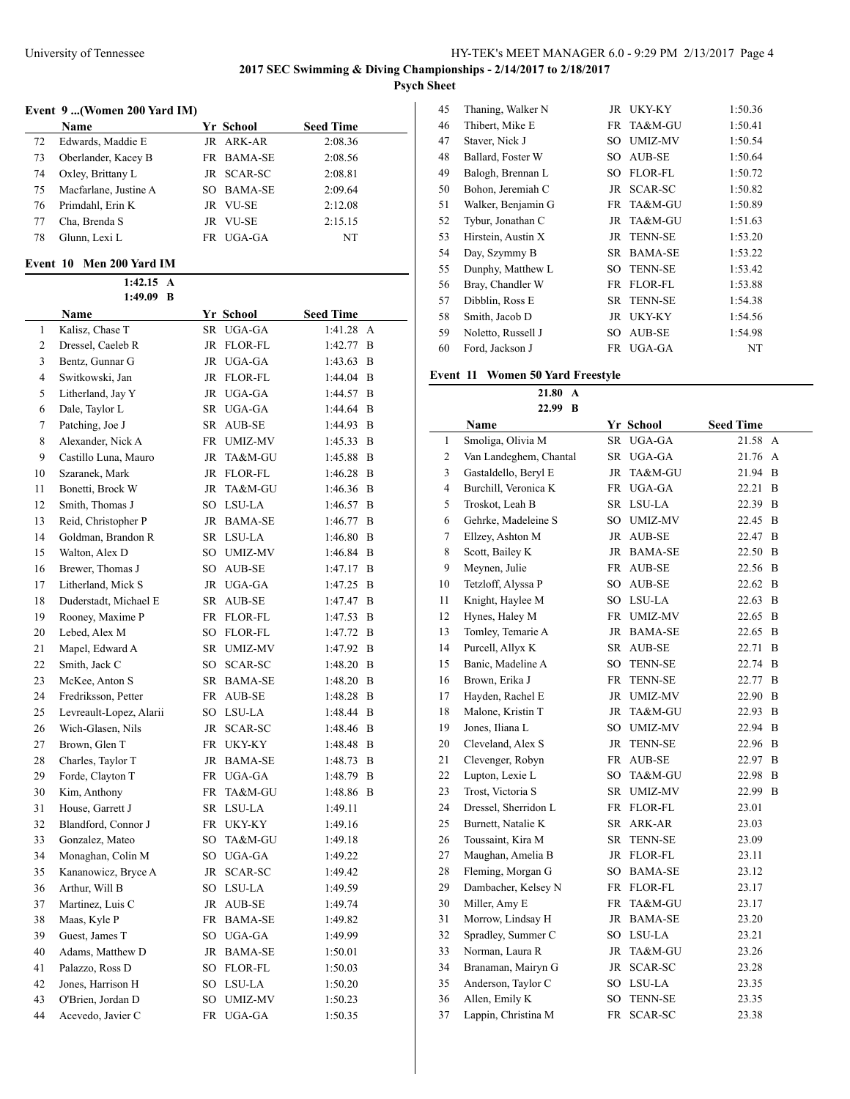**Psych Sheet**

# **Event 9 ...(Women 200 Yard IM)**

|    | Name                  | Yr School  | <b>Seed Time</b> |
|----|-----------------------|------------|------------------|
| 72 | Edwards, Maddie E     | JR ARK-AR  | 2:08.36          |
| 73 | Oberlander, Kacey B   | FR BAMA-SE | 2:08.56          |
| 74 | Oxley, Brittany L     | JR SCAR-SC | 2:08.81          |
| 75 | Macfarlane, Justine A | SO BAMA-SE | 2:09.64          |
| 76 | Primdahl, Erin K      | JR VU-SE   | 2:12.08          |
| 77 | Cha, Brenda S         | JR VU-SE   | 2:15.15          |
| 78 | Glunn, Lexi L         | FR UGA-GA  | NT               |
|    |                       |            |                  |

### **Event 10 Men 200 Yard IM**

|    | 1:49.09<br>B            |    |                |                  |   |  |  |
|----|-------------------------|----|----------------|------------------|---|--|--|
|    | Name                    |    | Yr School      | <b>Seed Time</b> |   |  |  |
| 1  | Kalisz, Chase T         | SR | UGA-GA         | 1:41.28          | A |  |  |
| 2  | Dressel, Caeleb R       | JR | FLOR-FL        | 1:42.77          | B |  |  |
| 3  | Bentz, Gunnar G         | JR | UGA-GA         | 1:43.63          | B |  |  |
| 4  | Switkowski, Jan         |    | JR FLOR-FL     | 1:44.04          | B |  |  |
| 5  | Litherland, Jay Y       |    | JR UGA-GA      | 1:44.57          | B |  |  |
| 6  | Dale, Taylor L          |    | SR UGA-GA      | 1:44.64          | B |  |  |
| 7  | Patching, Joe J         |    | SR AUB-SE      | 1:44.93          | B |  |  |
| 8  | Alexander, Nick A       |    | FR UMIZ-MV     | 1:45.33          | B |  |  |
| 9  | Castillo Luna, Mauro    | JR | TA&M-GU        | 1:45.88          | B |  |  |
| 10 | Szaranek, Mark          |    | JR FLOR-FL     | 1:46.28          | B |  |  |
| 11 | Bonetti, Brock W        | JR | TA&M-GU        | 1:46.36          | B |  |  |
| 12 | Smith, Thomas J         |    | SO LSU-LA      | 1:46.57          | B |  |  |
| 13 | Reid, Christopher P     |    | JR BAMA-SE     | 1:46.77          | B |  |  |
| 14 | Goldman, Brandon R      |    | SR LSU-LA      | 1:46.80          | B |  |  |
| 15 | Walton, Alex D          | SO | UMIZ-MV        | 1:46.84          | B |  |  |
| 16 | Brewer, Thomas J        | SO | AUB-SE         | 1:47.17          | B |  |  |
| 17 | Litherland, Mick S      | JR | UGA-GA         | 1:47.25          | B |  |  |
| 18 | Duderstadt, Michael E   | SR | AUB-SE         | 1:47.47          | B |  |  |
| 19 | Rooney, Maxime P        |    | FR FLOR-FL     | 1:47.53          | B |  |  |
| 20 | Lebed, Alex M           |    | SO FLOR-FL     | 1:47.72          | B |  |  |
| 21 | Mapel, Edward A         | SR | UMIZ-MV        | 1:47.92          | B |  |  |
| 22 | Smith, Jack C           | SO | SCAR-SC        | 1:48.20          | B |  |  |
| 23 | McKee, Anton S          |    | SR BAMA-SE     | 1:48.20          | B |  |  |
| 24 | Fredriksson, Petter     |    | FR AUB-SE      | 1:48.28          | B |  |  |
| 25 | Levreault-Lopez, Alarii |    | SO LSU-LA      | 1:48.44          | B |  |  |
| 26 | Wich-Glasen, Nils       |    | JR SCAR-SC     | 1:48.46          | B |  |  |
| 27 | Brown, Glen T           |    | FR UKY-KY      | 1:48.48          | B |  |  |
| 28 | Charles, Taylor T       |    | JR BAMA-SE     | 1:48.73          | B |  |  |
| 29 | Forde, Clayton T        |    | FR UGA-GA      | 1:48.79          | B |  |  |
| 30 | Kim, Anthony            |    | FR TA&M-GU     | 1:48.86          | B |  |  |
| 31 | House, Garrett J        |    | SR LSU-LA      | 1:49.11          |   |  |  |
| 32 | Blandford, Connor J     |    | FR UKY-KY      | 1:49.16          |   |  |  |
| 33 | Gonzalez, Mateo         |    | SO TA&M-GU     | 1:49.18          |   |  |  |
| 34 | Monaghan, Colin M       |    | SO UGA-GA      | 1:49.22          |   |  |  |
| 35 | Kananowicz, Bryce A     | JR | SCAR-SC        | 1:49.42          |   |  |  |
| 36 | Arthur, Will B          | SO | LSU-LA         | 1:49.59          |   |  |  |
| 37 | Martinez, Luis C        | JR | AUB-SE         | 1:49.74          |   |  |  |
| 38 | Maas, Kyle P            | FR | <b>BAMA-SE</b> | 1:49.82          |   |  |  |
| 39 | Guest, James T          | SO | UGA-GA         | 1:49.99          |   |  |  |
| 40 | Adams, Matthew D        | JR | <b>BAMA-SE</b> | 1:50.01          |   |  |  |
| 41 | Palazzo, Ross D         | SO | FLOR-FL        | 1:50.03          |   |  |  |
| 42 | Jones, Harrison H       | SO | LSU-LA         | 1:50.20          |   |  |  |
| 43 | O'Brien, Jordan D       | SO | <b>UMIZ-MV</b> | 1:50.23          |   |  |  |
| 44 | Acevedo, Javier C       | FR | UGA-GA         | 1:50.35          |   |  |  |

| 45 | Thaning, Walker N  |    | JR UKY-KY      | 1:50.36 |
|----|--------------------|----|----------------|---------|
| 46 | Thibert, Mike E    | FR | TA&M-GU        | 1:50.41 |
| 47 | Staver, Nick J     | SО | <b>UMIZ-MV</b> | 1:50.54 |
| 48 | Ballard, Foster W  | SО | AUB-SE         | 1:50.64 |
| 49 | Balogh, Brennan L  | SО | <b>FLOR-FL</b> | 1:50.72 |
| 50 | Bohon, Jeremiah C  | JR | SCAR-SC        | 1:50.82 |
| 51 | Walker, Benjamin G |    | FR TA&M-GU     | 1:50.89 |
| 52 | Tybur, Jonathan C  |    | JR TA&M-GU     | 1:51.63 |
| 53 | Hirstein, Austin X |    | JR TENN-SE     | 1:53.20 |
| 54 | Day, Szymmy B      | SR | <b>BAMA-SE</b> | 1:53.22 |
| 55 | Dunphy, Matthew L  | SО | <b>TENN-SE</b> | 1:53.42 |
| 56 | Bray, Chandler W   | FR | <b>FLOR-FL</b> | 1:53.88 |
| 57 | Dibblin, Ross E    | SR | <b>TENN-SE</b> | 1:54.38 |
| 58 | Smith, Jacob D     | JR | UKY-KY         | 1:54.56 |
| 59 | Noletto, Russell J | SО | <b>AUB-SE</b>  | 1:54.98 |
| 60 | Ford, Jackson J    | FR | UGA-GA         | NT      |

# **Event 11 Women 50 Yard Freestyle**

**21.80 A 22.99 B**

|                | Name                   |     | Yr School      | <b>Seed Time</b> |             |
|----------------|------------------------|-----|----------------|------------------|-------------|
| 1              | Smoliga, Olivia M      | SR  | UGA-GA         | 21.58 A          |             |
| $\overline{c}$ | Van Landeghem, Chantal | SR  | UGA-GA         | 21.76 A          |             |
| 3              | Gastaldello, Beryl E   | JR  | TA&M-GU        | 21.94            | B           |
| $\overline{4}$ | Burchill, Veronica K   | FR  | UGA-GA         | 22.21            | B           |
| 5              | Troskot, Leah B        |     | SR LSU-LA      | 22.39            | B           |
| 6              | Gehrke, Madeleine S    |     | SO UMIZ-MV     | 22.45            | B           |
| $\tau$         | Ellzey, Ashton M       |     | JR AUB-SE      | 22.47            | B           |
| $\,$ 8 $\,$    | Scott, Bailey K        |     | JR BAMA-SE     | 22.50 B          |             |
| 9              | Meynen, Julie          |     | FR AUB-SE      | 22.56 B          |             |
| 10             | Tetzloff, Alyssa P     |     | SO AUB-SE      | 22.62            | $\mathbf B$ |
| 11             | Knight, Haylee M       |     | SO LSU-LA      | 22.63            | B           |
| 12             | Hynes, Haley M         |     | FR UMIZ-MV     | 22.65            | B           |
| 13             | Tomley, Temarie A      |     | JR BAMA-SE     | 22.65            | B           |
| 14             | Purcell, Allyx K       | SR  | AUB-SE         | 22.71            | B           |
| 15             | Banic, Madeline A      | SO  | <b>TENN-SE</b> | 22.74            | B           |
| 16             | Brown, Erika J         | FR  | <b>TENN-SE</b> | 22.77            | B           |
| 17             | Hayden, Rachel E       | JR  | <b>UMIZ-MV</b> | 22.90            | B           |
| 18             | Malone, Kristin T      | JR  | TA&M-GU        | 22.93            | B           |
| 19             | Jones, Iliana L        | SO  | <b>UMIZ-MV</b> | 22.94            | B           |
| 20             | Cleveland, Alex S      | JR  | <b>TENN-SE</b> | 22.96            | B           |
| 21             | Clevenger, Robyn       | FR  | AUB-SE         | 22.97            | B           |
| 22             | Lupton, Lexie L        | SO. | TA&M-GU        | 22.98            | B           |
| 23             | Trost, Victoria S      | SR  | <b>UMIZ-MV</b> | 22.99            | B           |
| 24             | Dressel, Sherridon L   | FR  | <b>FLOR-FL</b> | 23.01            |             |
| 25             | Burnett, Natalie K     | SR  | ARK-AR         | 23.03            |             |
| 26             | Toussaint, Kira M      | SR  | <b>TENN-SE</b> | 23.09            |             |
| 27             | Maughan, Amelia B      |     | JR FLOR-FL     | 23.11            |             |
| 28             | Fleming, Morgan G      |     | SO BAMA-SE     | 23.12            |             |
| 29             | Dambacher, Kelsey N    |     | FR FLOR-FL     | 23.17            |             |
| 30             | Miller, Amy E          | FR  | TA&M-GU        | 23.17            |             |
| 31             | Morrow, Lindsay H      |     | JR BAMA-SE     | 23.20            |             |
| 32             | Spradley, Summer C     |     | SO LSU-LA      | 23.21            |             |
| 33             | Norman, Laura R        | JR  | TA&M-GU        | 23.26            |             |
| 34             | Branaman, Mairyn G     | JR  | SCAR-SC        | 23.28            |             |
| 35             | Anderson, Taylor C     | SO  | LSU-LA         | 23.35            |             |
| 36             | Allen, Emily K         | SO  | <b>TENN-SE</b> | 23.35            |             |
| 37             | Lappin, Christina M    | FR  | <b>SCAR-SC</b> | 23.38            |             |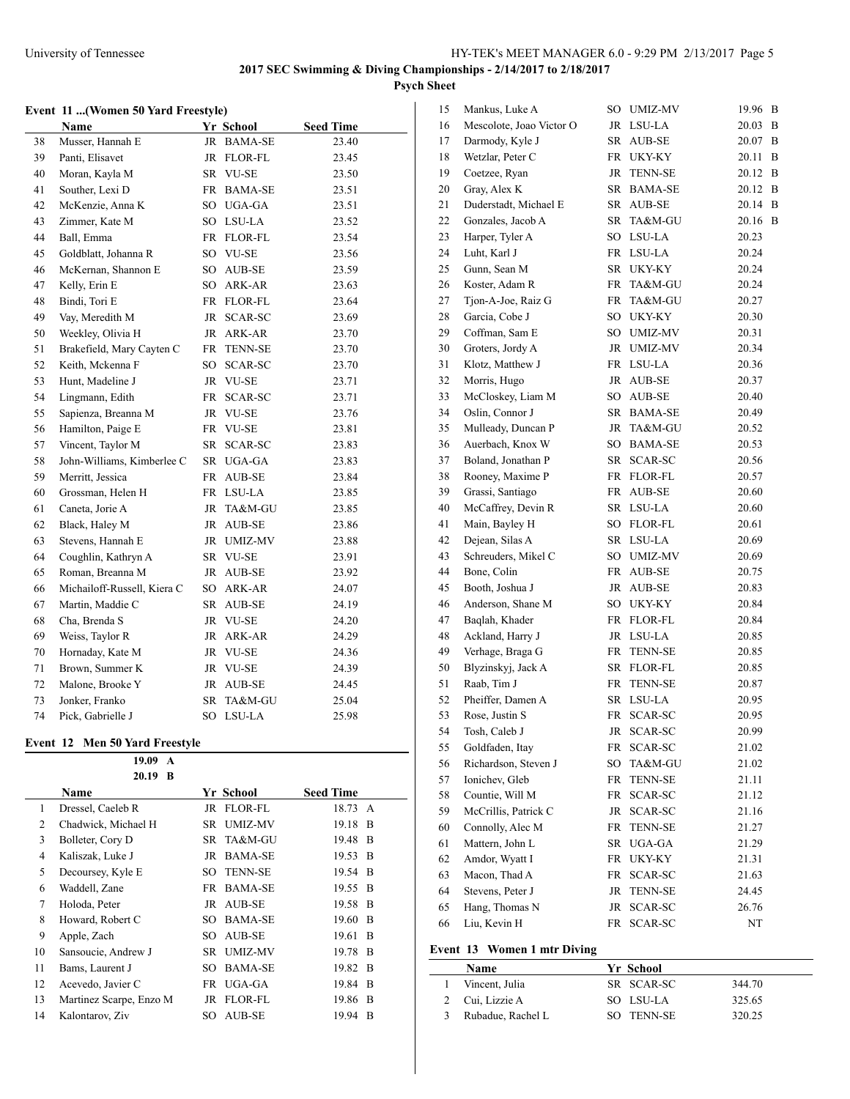# **Event 11 ...(Women 50 Yard Freestyle)**

|    | Name                        |           | Yr School      | <b>Seed Time</b> |
|----|-----------------------------|-----------|----------------|------------------|
| 38 | Musser, Hannah E            | JR        | <b>BAMA-SE</b> | 23.40            |
| 39 | Panti, Elisavet             | JR        | FLOR-FL        | 23.45            |
| 40 | Moran, Kayla M              |           | SR VU-SE       | 23.50            |
| 41 | Souther, Lexi D             | FR        | <b>BAMA-SE</b> | 23.51            |
| 42 | McKenzie, Anna K            | SO        | UGA-GA         | 23.51            |
| 43 | Zimmer, Kate M              |           | SO LSU-LA      | 23.52            |
| 44 | Ball, Emma                  | FR        | <b>FLOR-FL</b> | 23.54            |
| 45 | Goldblatt, Johanna R        | SO        | <b>VU-SE</b>   | 23.56            |
| 46 | McKernan, Shannon E         | SO        | AUB-SE         | 23.59            |
| 47 | Kelly, Erin E               | SO        | ARK-AR         | 23.63            |
| 48 | Bindi, Tori E               | FR        | FLOR-FL        | 23.64            |
| 49 | Vay, Meredith M             | JR        | SCAR-SC        | 23.69            |
| 50 | Weekley, Olivia H           | JR        | ARK-AR         | 23.70            |
| 51 | Brakefield, Mary Cayten C   | FR        | <b>TENN-SE</b> | 23.70            |
| 52 | Keith, Mckenna F            | SO        | SCAR-SC        | 23.70            |
| 53 | Hunt, Madeline J            | JR        | VU-SE          | 23.71            |
| 54 | Lingmann, Edith             | FR        | SCAR-SC        | 23.71            |
| 55 | Sapienza, Breanna M         | JR        | VU-SE          | 23.76            |
| 56 | Hamilton, Paige E           |           | FR VU-SE       | 23.81            |
| 57 | Vincent, Taylor M           | SR -      | SCAR-SC        | 23.83            |
| 58 | John-Williams, Kimberlee C  |           | SR UGA-GA      | 23.83            |
| 59 | Merritt, Jessica            | FR        | AUB-SE         | 23.84            |
| 60 | Grossman, Helen H           |           | FR LSU-LA      | 23.85            |
| 61 | Caneta, Jorie A             | JR        | TA&M-GU        | 23.85            |
| 62 | Black, Haley M              | JR        | AUB-SE         | 23.86            |
| 63 | Stevens, Hannah E           | JR        | <b>UMIZ-MV</b> | 23.88            |
| 64 | Coughlin, Kathryn A         |           | SR VU-SE       | 23.91            |
| 65 | Roman, Breanna M            | JR        | AUB-SE         | 23.92            |
| 66 | Michailoff-Russell, Kiera C | SO -      | ARK-AR         | 24.07            |
| 67 | Martin, Maddie C            | SR        | AUB-SE         | 24.19            |
| 68 | Cha, Brenda S               | JR        | <b>VU-SE</b>   | 24.20            |
| 69 | Weiss, Taylor R             | <b>JR</b> | ARK-AR         | 24.29            |
| 70 | Hornaday, Kate M            | JR        | VU-SE          | 24.36            |
| 71 | Brown, Summer K             | <b>JR</b> | VU-SE          | 24.39            |
| 72 | Malone, Brooke Y            | <b>JR</b> | AUB-SE         | 24.45            |
| 73 | Jonker, Franko              | SR.       | TA&M-GU        | 25.04            |
| 74 | Pick, Gabrielle J           | SO        | LSU-LA         | 25.98            |

# **Event 12 Men 50 Yard Freestyle**

|    | 19.09<br>A              |      |                |                  |                |
|----|-------------------------|------|----------------|------------------|----------------|
|    | 20.19<br>B              |      |                |                  |                |
|    | Name                    |      | Yr School      | <b>Seed Time</b> |                |
| 1  | Dressel, Caeleb R       |      | JR FLOR-FL     | 18.73 A          |                |
| 2  | Chadwick, Michael H     | SR.  | UMIZ-MV        | 19.18 B          |                |
| 3  | Bolleter, Cory D        |      | SR TA&M-GU     | 19.48 B          |                |
| 4  | Kaliszak, Luke J        | JR   | <b>BAMA-SE</b> | 19.53 B          |                |
| 5  | Decoursey, Kyle E       | SO   | <b>TENN-SE</b> | 19.54 B          |                |
| 6  | Waddell, Zane           |      | FR BAMA-SE     | 19.55 B          |                |
| 7  | Holoda, Peter           |      | JR AUB-SE      | 19.58 B          |                |
| 8  | Howard, Robert C        | SO   | <b>BAMA-SE</b> | 19.60 B          |                |
| 9  | Apple, Zach             | SO.  | AUB-SE         | 19.61            | - B            |
| 10 | Sansoucie, Andrew J     | SR - | <b>UMIZ-MV</b> | 19.78 B          |                |
| 11 | Bams, Laurent J         | SO.  | <b>BAMA-SE</b> | 19.82 B          |                |
| 12 | Acevedo, Javier C       |      | FR UGA-GA      | 19.84 B          |                |
| 13 | Martinez Scarpe, Enzo M | JR   | FLOR-FL        | 19.86            | $\overline{B}$ |
| 14 | Kalontarov, Ziv         | SO   | AUB-SE         | 19.94            | B              |

| 15 | Mankus, Luke A           | SO              | UMIZ-MV        | 19.96 | B |
|----|--------------------------|-----------------|----------------|-------|---|
| 16 | Mescolote, Joao Victor O | JR              | LSU-LA         | 20.03 | B |
| 17 | Darmody, Kyle J          | SR              | AUB-SE         | 20.07 | B |
| 18 | Wetzlar, Peter C         | FR              | UKY-KY         | 20.11 | B |
| 19 | Coetzee, Ryan            | JR              | <b>TENN-SE</b> | 20.12 | B |
| 20 | Gray, Alex K             | SR              | <b>BAMA-SE</b> | 20.12 | B |
| 21 | Duderstadt, Michael E    | SR              | AUB-SE         | 20.14 | B |
| 22 | Gonzales, Jacob A        | SR              | TA&M-GU        | 20.16 | B |
| 23 | Harper, Tyler A          |                 | SO LSU-LA      | 20.23 |   |
| 24 | Luht, Karl J             |                 | FR LSU-LA      | 20.24 |   |
| 25 | Gunn, Sean M             |                 | SR UKY-KY      | 20.24 |   |
| 26 | Koster, Adam R           | FR              | $TA&M-GU$      | 20.24 |   |
| 27 | Tjon-A-Joe, Raiz G       | FR              | TA&M-GU        | 20.27 |   |
| 28 | Garcia, Cobe J           |                 | SO UKY-KY      | 20.30 |   |
| 29 | Coffman, Sam E           |                 | SO UMIZ-MV     | 20.31 |   |
| 30 | Groters, Jordy A         |                 | JR UMIZ-MV     | 20.34 |   |
| 31 | Klotz, Matthew J         | FR              | LSU-LA         | 20.36 |   |
| 32 | Morris, Hugo             | JR              | AUB-SE         | 20.37 |   |
| 33 | McCloskey, Liam M        | SO              | AUB-SE         | 20.40 |   |
| 34 | Oslin, Connor J          |                 | SR BAMA-SE     | 20.49 |   |
| 35 | Mulleady, Duncan P       | JR              | TA&M-GU        | 20.52 |   |
| 36 | Auerbach, Knox W         |                 | SO BAMA-SE     | 20.53 |   |
| 37 | Boland, Jonathan P       | SR              | SCAR-SC        | 20.56 |   |
| 38 | Rooney, Maxime P         | FR              | FLOR-FL        | 20.57 |   |
| 39 | Grassi, Santiago         | FR              | AUB-SE         | 20.60 |   |
| 40 | McCaffrey, Devin R       |                 | SR LSU-LA      | 20.60 |   |
| 41 | Main, Bayley H           |                 | SO FLOR-FL     | 20.61 |   |
| 42 | Dejean, Silas A          |                 | SR LSU-LA      | 20.69 |   |
| 43 | Schreuders, Mikel C      |                 | SO UMIZ-MV     | 20.69 |   |
| 44 | Bone, Colin              | FR              | AUB-SE         | 20.75 |   |
| 45 | Booth, Joshua J          | JR              | AUB-SE         | 20.83 |   |
| 46 | Anderson, Shane M        |                 | SO UKY-KY      | 20.84 |   |
| 47 | Baqlah, Khader           |                 | FR FLOR-FL     | 20.84 |   |
| 48 | Ackland, Harry J         |                 | JR LSU-LA      | 20.85 |   |
| 49 | Verhage, Braga G         | FR              | <b>TENN-SE</b> | 20.85 |   |
| 50 | Blyzinskyj, Jack A       | SR              | FLOR-FL        | 20.85 |   |
| 51 | Raab, Tim J              | FR              | <b>TENN-SE</b> | 20.87 |   |
| 52 | Pheiffer, Damen A        | <b>SR</b>       | LSU-LA         | 20.95 |   |
| 53 | Rose, Justin S           | FR              | <b>SCAR-SC</b> | 20.95 |   |
| 54 | Tosh, Caleb J            | JR              | SCAR-SC        | 20.99 |   |
| 55 | Goldfaden, Itay          | FR              | SCAR-SC        | 21.02 |   |
| 56 | Richardson, Steven J     | SO <sub>1</sub> | TA&M-GU        | 21.02 |   |
| 57 | Ionichev, Gleb           | FR              | <b>TENN-SE</b> | 21.11 |   |
| 58 | Countie, Will M          | FR              | SCAR-SC        | 21.12 |   |
| 59 | McCrillis, Patrick C     | JR              | SCAR-SC        | 21.16 |   |
| 60 | Connolly, Alec M         | FR              | <b>TENN-SE</b> | 21.27 |   |
| 61 | Mattern, John L          | SR              | UGA-GA         | 21.29 |   |
| 62 | Amdor, Wyatt I           | FR              | UKY-KY         | 21.31 |   |
| 63 | Macon, Thad A            | FR              | SCAR-SC        | 21.63 |   |
| 64 | Stevens, Peter J         | JR              | TENN-SE        | 24.45 |   |
| 65 | Hang, Thomas N           | JR              | <b>SCAR-SC</b> | 26.76 |   |
| 66 | Liu, Kevin H             | FR              | SCAR-SC        | NT    |   |

# **Event 13 Women 1 mtr Diving**

| <b>Name</b>       | Yr School  |        |
|-------------------|------------|--------|
| Vincent, Julia    | SR SCAR-SC | 344.70 |
| 2 Cui, Lizzie A   | SO LSU-LA  | 325.65 |
| Rubadue, Rachel L | SO TENN-SE | 320.25 |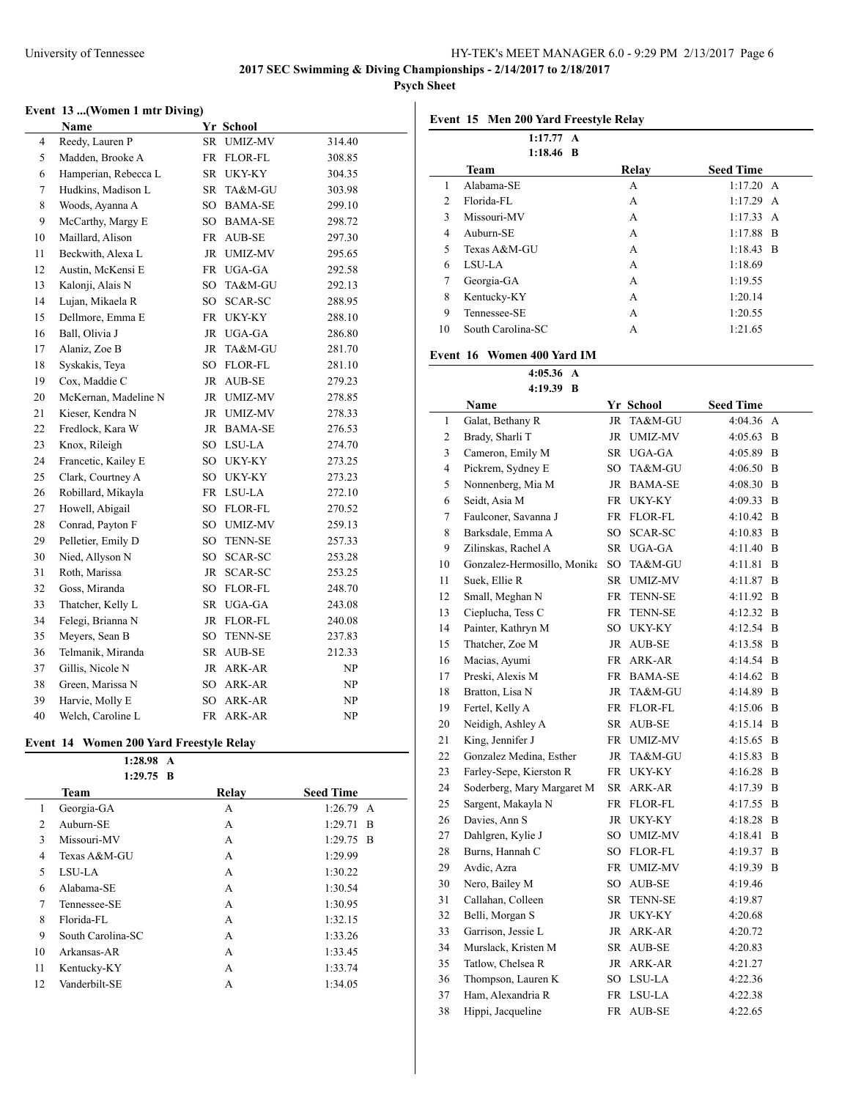**Psych Sheet**

### **Event 13 ...(Women 1 mtr Diving)**

|        | Name                 |                 | Yr School      |        |
|--------|----------------------|-----------------|----------------|--------|
| 4      | Reedy, Lauren P      | <b>SR</b>       | <b>UMIZ-MV</b> | 314.40 |
| 5      | Madden, Brooke A     | <b>FR</b>       | <b>FLOR-FL</b> | 308.85 |
| 6      | Hamperian, Rebecca L | SR              | UKY-KY         | 304.35 |
| $\tau$ | Hudkins, Madison L   | SR              | TA&M-GU        | 303.98 |
| 8      | Woods, Ayanna A      | SO              | <b>BAMA-SE</b> | 299.10 |
| 9      | McCarthy, Margy E    | SO <sub>1</sub> | <b>BAMA-SE</b> | 298.72 |
| 10     | Maillard, Alison     | <b>FR</b>       | AUB-SE         | 297.30 |
| 11     | Beckwith, Alexa L    | <b>JR</b>       | <b>UMIZ-MV</b> | 295.65 |
| 12     | Austin, McKensi E    | FR              | UGA-GA         | 292.58 |
| 13     | Kalonji, Alais N     | SO              | TA&M-GU        | 292.13 |
| 14     | Lujan, Mikaela R     | SO <sub>1</sub> | SCAR-SC        | 288.95 |
| 15     | Dellmore, Emma E     | FR              | UKY-KY         | 288.10 |
| 16     | Ball, Olivia J       | <b>JR</b>       | UGA-GA         | 286.80 |
| 17     | Alaniz, Zoe B        | <b>JR</b>       | TA&M-GU        | 281.70 |
| 18     | Syskakis, Teya       | SO              | FLOR-FL        | 281.10 |
| 19     | Cox, Maddie C        | JR              | AUB-SE         | 279.23 |
| 20     | McKernan, Madeline N | JR.             | <b>UMIZ-MV</b> | 278.85 |
| 21     | Kieser, Kendra N     | JR              | <b>UMIZ-MV</b> | 278.33 |
| 22     | Fredlock, Kara W     | <b>JR</b>       | <b>BAMA-SE</b> | 276.53 |
| 23     | Knox, Rileigh        | SO.             | LSU-LA         | 274.70 |
| 24     | Francetic, Kailey E  | SO.             | UKY-KY         | 273.25 |
| 25     | Clark, Courtney A    | SO              | UKY-KY         | 273.23 |
| 26     | Robillard, Mikayla   | <b>FR</b>       | LSU-LA         | 272.10 |
| 27     | Howell, Abigail      | SO <sub>1</sub> | FLOR-FL        | 270.52 |
| 28     | Conrad, Payton F     | SO <sub>1</sub> | <b>UMIZ-MV</b> | 259.13 |
| 29     | Pelletier, Emily D   | SO              | <b>TENN-SE</b> | 257.33 |
| 30     | Nied, Allyson N      | SO              | SCAR-SC        | 253.28 |
| 31     | Roth, Marissa        | JR              | SCAR-SC        | 253.25 |
| 32     | Goss, Miranda        | SO <sub>1</sub> | FLOR-FL        | 248.70 |
| 33     | Thatcher, Kelly L    | SR              | UGA-GA         | 243.08 |
| 34     | Felegi, Brianna N    | <b>JR</b>       | FLOR-FL        | 240.08 |
| 35     | Meyers, Sean B       | SO              | <b>TENN-SE</b> | 237.83 |
| 36     | Telmanik, Miranda    | SR              | AUB-SE         | 212.33 |
| 37     | Gillis, Nicole N     | JR              | ARK-AR         | NP     |
| 38     | Green, Marissa N     | SO              | ARK-AR         | NP     |
| 39     | Harvie, Molly E      | SO <sub>1</sub> | ARK-AR         | NP     |
| 40     | Welch, Caroline L    | <b>FR</b>       | ARK-AR         | NP     |

# **Event 14 Women 200 Yard Freestyle Relay**

|    | 1:28.98<br>$\mathbf{A}$ |       |                  |
|----|-------------------------|-------|------------------|
|    | $1:29.75$ B             |       |                  |
|    | Team                    | Relay | <b>Seed Time</b> |
| 1  | Georgia-GA              | A     | 1:26.79<br>A     |
| 2  | Auburn-SE               | A     | 1:29.71<br>- B   |
| 3  | Missouri-MV             | A     | $1:29.75$ B      |
| 4  | Texas A&M-GU            | A     | 1:29.99          |
| 5  | LSU-LA                  | A     | 1:30.22          |
| 6  | Alabama-SE              | A     | 1:30.54          |
| 7  | Tennessee-SE            | A     | 1:30.95          |
| 8  | Florida-FL              | A     | 1:32.15          |
| 9  | South Carolina-SC       | A     | 1:33.26          |
| 10 | Arkansas-AR             | A     | 1:33.45          |
| 11 | Kentucky-KY             | A     | 1:33.74          |
| 12 | Vanderbilt-SE           | А     | 1:34.05          |
|    |                         |       |                  |

# **Event 15 Men 200 Yard Freestyle Relay**

|    | 1:17.77 A         |       |                  |
|----|-------------------|-------|------------------|
|    | $1:18.46$ B       |       |                  |
|    | <b>Team</b>       | Relay | <b>Seed Time</b> |
| 1  | Alabama-SE        | A     | 1:17.20 A        |
| 2  | Florida-FL        | A     | $1:17.29$ A      |
| 3  | Missouri-MV       | A     | 1:17.33 A        |
| 4  | Auburn-SE         | A     | $1:17.88$ B      |
| 5  | Texas A&M-GU      | A     | $1:18.43$ B      |
| 6  | LSU-LA            | A     | 1:18.69          |
| 7  | Georgia-GA        | A     | 1:19.55          |
| 8  | Kentucky-KY       | A     | 1:20.14          |
| 9  | Tennessee-SE      | A     | 1:20.55          |
| 10 | South Carolina-SC | A     | 1:21.65          |

#### **Event 16 Women 400 Yard IM**

**4:05.36 A**

| 4:19.39 B      |                             |           |                |                  |   |  |
|----------------|-----------------------------|-----------|----------------|------------------|---|--|
|                | <b>Name</b>                 |           | Yr School      | <b>Seed Time</b> |   |  |
| 1              | Galat, Bethany R            | JR        | TA&M-GU        | 4:04.36          | A |  |
| $\overline{c}$ | Brady, Sharli T             | JR        | <b>UMIZ-MV</b> | 4:05.63          | B |  |
| 3              | Cameron, Emily M            |           | SR UGA-GA      | 4:05.89          | B |  |
| 4              | Pickrem, Sydney E           |           | SO TA&M-GU     | 4:06.50          | B |  |
| 5              | Nonnenberg, Mia M           |           | JR BAMA-SE     | 4:08.30          | B |  |
| 6              | Seidt, Asia M               |           | FR UKY-KY      | 4:09.33          | B |  |
| 7              | Faulconer, Savanna J        |           | FR FLOR-FL     | 4:10.42          | B |  |
| 8              | Barksdale, Emma A           | SO        | SCAR-SC        | 4:10.83          | B |  |
| 9              | Zilinskas, Rachel A         | SR        | UGA-GA         | 4:11.40          | B |  |
| 10             | Gonzalez-Hermosillo, Monika | SO        | TA&M-GU        | 4:11.81          | B |  |
| 11             | Suek, Ellie R               | SR        | <b>UMIZ-MV</b> | 4:11.87          | B |  |
| 12             | Small, Meghan N             | FR        | <b>TENN-SE</b> | 4:11.92          | B |  |
| 13             | Cieplucha, Tess C           | FR        | <b>TENN-SE</b> | 4:12.32          | B |  |
| 14             | Painter, Kathryn M          |           | SO UKY-KY      | 4:12.54          | B |  |
| 15             | Thatcher, Zoe M             |           | JR AUB-SE      | 4:13.58          | B |  |
| 16             | Macias, Ayumi               |           | FR ARK-AR      | 4:14.54          | B |  |
| 17             | Preski, Alexis M            |           | FR BAMA-SE     | 4:14.62          | B |  |
| 18             | Bratton, Lisa N             |           | JR TA&M-GU     | 4:14.89          | B |  |
| 19             | Fertel, Kelly A             |           | FR FLOR-FL     | 4:15.06          | B |  |
| 20             | Neidigh, Ashley A           |           | SR AUB-SE      | 4:15.14          | B |  |
| 21             | King, Jennifer J            |           | FR UMIZ-MV     | 4:15.65          | B |  |
| 22             | Gonzalez Medina, Esther     | JR        | TA&M-GU        | 4:15.83          | B |  |
| 23             | Farley-Sepe, Kierston R     |           | FR UKY-KY      | 4:16.28          | B |  |
| 24             | Soderberg, Mary Margaret M  |           | SR ARK-AR      | 4:17.39          | B |  |
| 25             | Sargent, Makayla N          |           | FR FLOR-FL     | 4:17.55          | B |  |
| 26             | Davies, Ann S               | JR        | UKY-KY         | 4:18.28          | B |  |
| 27             | Dahlgren, Kylie J           |           | SO UMIZ-MV     | 4:18.41          | B |  |
| 28             | Burns, Hannah C             |           | SO FLOR-FL     | 4:19.37          | B |  |
| 29             | Avdic, Azra                 | FR        | <b>UMIZ-MV</b> | 4:19.39 B        |   |  |
| 30             | Nero, Bailey M              | SO.       | AUB-SE         | 4:19.46          |   |  |
| 31             | Callahan, Colleen           | SR        | <b>TENN-SE</b> | 4:19.87          |   |  |
| 32             | Belli, Morgan S             |           | JR UKY-KY      | 4:20.68          |   |  |
| 33             | Garrison, Jessie L          |           | JR ARK-AR      | 4:20.72          |   |  |
| 34             | Murslack, Kristen M         |           | SR AUB-SE      | 4:20.83          |   |  |
| 35             | Tatlow, Chelsea R           |           | JR ARK-AR      | 4:21.27          |   |  |
| 36             | Thompson, Lauren K          | SO.       | LSU-LA         | 4:22.36          |   |  |
| 37             | Ham, Alexandria R           | FR        | LSU-LA         | 4:22.38          |   |  |
| 38             | Hippi, Jacqueline           | <b>FR</b> | AUB-SE         | 4:22.65          |   |  |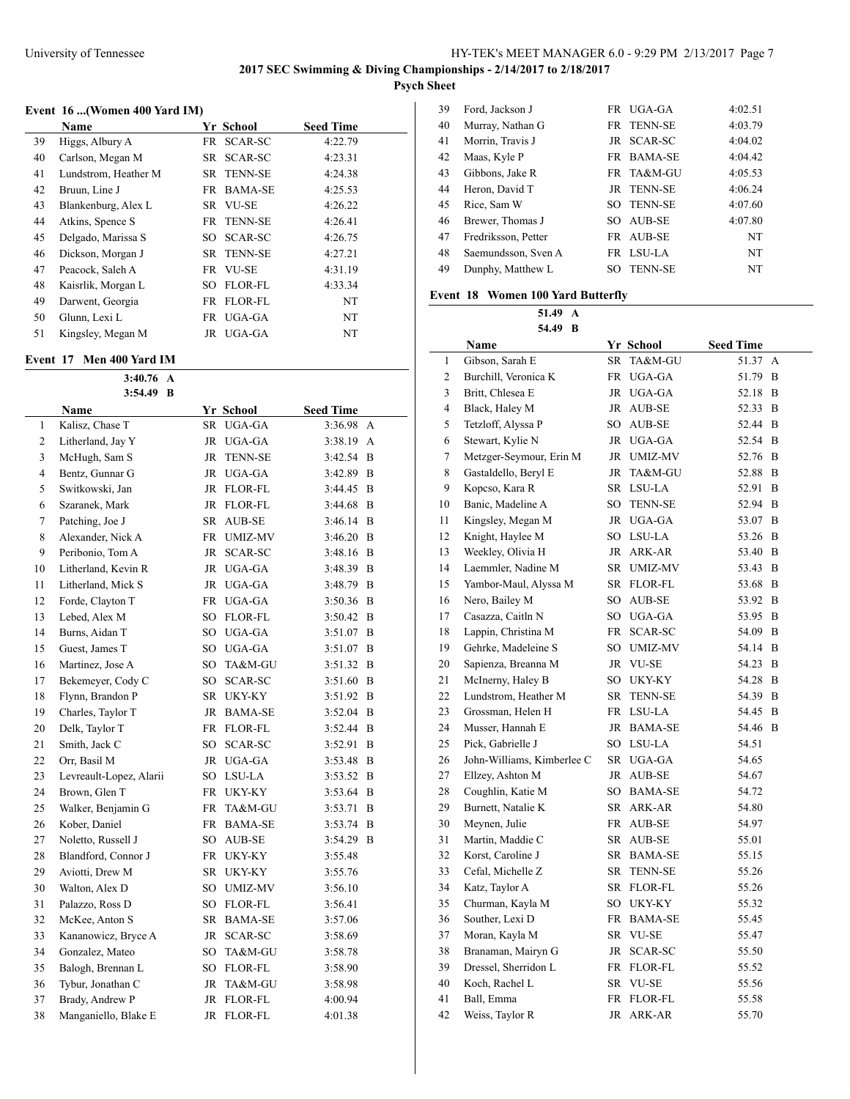# **Event 16 ...(Women 400 Yard IM)**

|    | Name                 | Yr School  | <b>Seed Time</b> |  |
|----|----------------------|------------|------------------|--|
| 39 | Higgs, Albury A      | FR SCAR-SC | 4:22.79          |  |
| 40 | Carlson, Megan M     | SR SCAR-SC | 4:23.31          |  |
| 41 | Lundstrom, Heather M | SR TENN-SE | 4:24.38          |  |
| 42 | Bruun, Line J        | FR BAMA-SE | 4:25.53          |  |
| 43 | Blankenburg, Alex L  | SR VU-SE   | 4:26.22          |  |
| 44 | Atkins, Spence S     | FR TENN-SE | 4:26.41          |  |
| 45 | Delgado, Marissa S   | SO SCAR-SC | 4:26.75          |  |
| 46 | Dickson, Morgan J    | SR TENN-SE | 4:27.21          |  |
| 47 | Peacock, Saleh A     | FR VU-SE   | 4:31.19          |  |
| 48 | Kaisrlik, Morgan L   | SO FLOR-FL | 4:33.34          |  |
| 49 | Darwent, Georgia     | FR FLOR-FL | NT               |  |
| 50 | Glunn, Lexi L        | FR UGA-GA  | NT               |  |
| 51 | Kingsley, Megan M    | JR UGA-GA  | NT               |  |

### **Event 17 Men 400 Yard IM**

|              | 3:40.76<br>A            |           |                |                  |   |
|--------------|-------------------------|-----------|----------------|------------------|---|
|              | 3:54.49<br>B            |           |                |                  |   |
|              | Name                    |           | Yr School      | <b>Seed Time</b> |   |
| $\mathbf{1}$ | Kalisz, Chase T         |           | SR UGA-GA      | 3:36.98          | A |
| 2            | Litherland, Jay Y       | JR        | UGA-GA         | 3:38.19          | A |
| 3            | McHugh, Sam S           | <b>JR</b> | <b>TENN-SE</b> | 3:42.54          | B |
| 4            | Bentz, Gunnar G         | JR        | UGA-GA         | 3:42.89          | B |
| 5            | Switkowski, Jan         |           | JR FLOR-FL     | 3:44.45          | B |
| 6            | Szaranek, Mark          | <b>JR</b> | FLOR-FL        | 3:44.68          | B |
| 7            | Patching, Joe J         | SR        | AUB-SE         | 3:46.14          | B |
| 8            | Alexander, Nick A       |           | FR UMIZ-MV     | 3:46.20          | B |
| 9            | Peribonio, Tom A        | JR        | SCAR-SC        | 3:48.16          | B |
| 10           | Litherland, Kevin R     |           | JR UGA-GA      | 3:48.39          | B |
| 11           | Litherland, Mick S      |           | JR UGA-GA      | 3:48.79          | B |
| 12           | Forde, Clayton T        | <b>FR</b> | UGA-GA         | 3:50.36          | B |
| 13           | Lebed, Alex M           | SO        | <b>FLOR-FL</b> | 3:50.42          | B |
| 14           | Burns, Aidan T          | SO        | UGA-GA         | 3:51.07          | B |
| 15           | Guest, James T          | SO        | UGA-GA         | 3:51.07          | B |
| 16           | Martinez, Jose A        | SO.       | TA&M-GU        | 3:51.32          | B |
| 17           | Bekemeyer, Cody C       | SO        | SCAR-SC        | 3:51.60          | B |
| 18           | Flynn, Brandon P        | SR        | UKY-KY         | 3:51.92          | B |
| 19           | Charles, Taylor T       | JR        | <b>BAMA-SE</b> | 3:52.04          | B |
| 20           | Delk, Taylor T          |           | FR FLOR-FL     | 3:52.44          | B |
| 21           | Smith, Jack C           | SO        | SCAR-SC        | 3:52.91          | B |
| 22           | Orr, Basil M            |           | JR UGA-GA      | 3:53.48          | B |
| 23           | Levreault-Lopez, Alarii |           | SO LSU-LA      | 3:53.52          | B |
| 24           | Brown, Glen T           |           | FR UKY-KY      | 3:53.64          | B |
| 25           | Walker, Benjamin G      | FR        | TA&M-GU        | 3:53.71          | B |
| 26           | Kober, Daniel           | <b>FR</b> | <b>BAMA-SE</b> | 3:53.74          | B |
| 27           | Noletto, Russell J      | SO.       | AUB-SE         | 3:54.29          | B |
| 28           | Blandford, Connor J     | FR        | UKY-KY         | 3:55.48          |   |
| 29           | Aviotti, Drew M         | SR        | UKY-KY         | 3:55.76          |   |
| 30           | Walton, Alex D          | SO.       | <b>UMIZ-MV</b> | 3:56.10          |   |
| 31           | Palazzo, Ross D         | SO        | FLOR-FL        | 3:56.41          |   |
| 32           | McKee, Anton S          |           | SR BAMA-SE     | 3:57.06          |   |
| 33           | Kananowicz, Bryce A     | JR        | SCAR-SC        | 3:58.69          |   |
| 34           | Gonzalez, Mateo         | SO        | TA&M-GU        | 3:58.78          |   |
| 35           | Balogh, Brennan L       |           | SO FLOR-FL     | 3:58.90          |   |
| 36           | Tybur, Jonathan C       | JR        | TA&M-GU        | 3:58.98          |   |
| 37           | Brady, Andrew P         | JR        | FLOR-FL        | 4:00.94          |   |
| 38           | Manganiello, Blake E    | JR        | <b>FLOR-FL</b> | 4:01.38          |   |

| 39 | Ford, Jackson J     |     | FR UGA-GA         | 4:02.51   |
|----|---------------------|-----|-------------------|-----------|
| 40 | Murray, Nathan G    |     | FR TENN-SE        | 4:03.79   |
| 41 | Morrin, Travis J    |     | JR SCAR-SC        | 4:04.02   |
| 42 | Maas, Kyle P        |     | FR BAMA-SE        | 4:04.42   |
| 43 | Gibbons, Jake R     |     | FR TA&M-GU        | 4:05.53   |
| 44 | Heron, David T      | JR. | <b>TENN-SE</b>    | 4:06.24   |
| 45 | Rice, Sam W         |     | <b>SO TENN-SE</b> | 4:07.60   |
| 46 | Brewer, Thomas J    |     | SO AUB-SE         | 4:07.80   |
| 47 | Fredriksson, Petter | FR. | AUB-SE            | <b>NT</b> |
| 48 | Saemundsson, Sven A |     | FR LSU-LA         | NT        |
| 49 | Dunphy, Matthew L   | SO  | <b>TENN-SE</b>    | NT        |
|    |                     |     |                   |           |

# **Event 18 Women 100 Yard Butterfly**

**51.49 A**

| <b>Seed Time</b><br>Name<br>Yr School<br>Gibson, Sarah E<br>TA&M-GU<br>SR.<br>51.37<br>1<br>А<br>2<br>Burchill, Veronica K<br>FR<br>UGA-GA<br>51.79<br>B<br>3<br>Britt, Chlesea E<br>JR UGA-GA<br>52.18<br>B<br>4<br>Black, Haley M<br>JR AUB-SE<br>52.33<br>B<br>Tetzloff, Alyssa P<br>5<br>SO AUB-SE<br>52.44<br>B<br>6<br>Stewart, Kylie N<br>52.54<br>$\overline{B}$<br>JR UGA-GA<br>$\overline{7}$<br>Metzger-Seymour, Erin M<br>52.76<br>JR UMIZ-MV<br>B<br>8<br>Gastaldello, Beryl E<br>JR TA&M-GU<br>52.88<br>B<br>9<br>Kopcso, Kara R<br>SR LSU-LA<br>52.91<br>B<br>Banic, Madeline A<br>10<br>SO TENN-SE<br>52.94<br>B<br>11<br>Kingsley, Megan M<br>JR UGA-GA<br>B<br>53.07<br>Knight, Haylee M<br>SO LSU-LA<br>12<br>53.26<br>B<br>Weekley, Olivia H<br>13<br>JR ARK-AR<br>53.40<br>B<br>Laemmler, Nadine M<br>14<br>SR UMIZ-MV<br>53.43<br>B<br>15<br>Yambor-Maul, Alyssa M<br>SR FLOR-FL<br>B<br>53.68<br>Nero, Bailey M<br>16<br>SO.<br>AUB-SE<br>53.92<br>B<br>17<br>Casazza, Caitln N<br>SO UGA-GA<br>53.95<br>B<br>Lappin, Christina M<br>18<br>FR SCAR-SC<br>54.09<br>B<br>Gehrke, Madeleine S<br>19<br>SO UMIZ-MV<br>54.14<br>B<br>Sapienza, Breanna M<br>20<br>JR VU-SE<br>54.23<br>B<br>McInerny, Haley B<br>21<br>SO UKY-KY<br>54.28<br>B<br>22<br>Lundstrom, Heather M<br>SR<br><b>TENN-SE</b><br>54.39<br>B<br>23<br>Grossman, Helen H<br>FR LSU-LA<br>54.45<br>B<br>24<br>Musser, Hannah E<br>JR BAMA-SE<br>54.46<br>B |
|--------------------------------------------------------------------------------------------------------------------------------------------------------------------------------------------------------------------------------------------------------------------------------------------------------------------------------------------------------------------------------------------------------------------------------------------------------------------------------------------------------------------------------------------------------------------------------------------------------------------------------------------------------------------------------------------------------------------------------------------------------------------------------------------------------------------------------------------------------------------------------------------------------------------------------------------------------------------------------------------------------------------------------------------------------------------------------------------------------------------------------------------------------------------------------------------------------------------------------------------------------------------------------------------------------------------------------------------------------------------------------------------------------------------------------------------------|
|                                                                                                                                                                                                                                                                                                                                                                                                                                                                                                                                                                                                                                                                                                                                                                                                                                                                                                                                                                                                                                                                                                                                                                                                                                                                                                                                                                                                                                                  |
|                                                                                                                                                                                                                                                                                                                                                                                                                                                                                                                                                                                                                                                                                                                                                                                                                                                                                                                                                                                                                                                                                                                                                                                                                                                                                                                                                                                                                                                  |
|                                                                                                                                                                                                                                                                                                                                                                                                                                                                                                                                                                                                                                                                                                                                                                                                                                                                                                                                                                                                                                                                                                                                                                                                                                                                                                                                                                                                                                                  |
|                                                                                                                                                                                                                                                                                                                                                                                                                                                                                                                                                                                                                                                                                                                                                                                                                                                                                                                                                                                                                                                                                                                                                                                                                                                                                                                                                                                                                                                  |
|                                                                                                                                                                                                                                                                                                                                                                                                                                                                                                                                                                                                                                                                                                                                                                                                                                                                                                                                                                                                                                                                                                                                                                                                                                                                                                                                                                                                                                                  |
|                                                                                                                                                                                                                                                                                                                                                                                                                                                                                                                                                                                                                                                                                                                                                                                                                                                                                                                                                                                                                                                                                                                                                                                                                                                                                                                                                                                                                                                  |
|                                                                                                                                                                                                                                                                                                                                                                                                                                                                                                                                                                                                                                                                                                                                                                                                                                                                                                                                                                                                                                                                                                                                                                                                                                                                                                                                                                                                                                                  |
|                                                                                                                                                                                                                                                                                                                                                                                                                                                                                                                                                                                                                                                                                                                                                                                                                                                                                                                                                                                                                                                                                                                                                                                                                                                                                                                                                                                                                                                  |
|                                                                                                                                                                                                                                                                                                                                                                                                                                                                                                                                                                                                                                                                                                                                                                                                                                                                                                                                                                                                                                                                                                                                                                                                                                                                                                                                                                                                                                                  |
|                                                                                                                                                                                                                                                                                                                                                                                                                                                                                                                                                                                                                                                                                                                                                                                                                                                                                                                                                                                                                                                                                                                                                                                                                                                                                                                                                                                                                                                  |
|                                                                                                                                                                                                                                                                                                                                                                                                                                                                                                                                                                                                                                                                                                                                                                                                                                                                                                                                                                                                                                                                                                                                                                                                                                                                                                                                                                                                                                                  |
|                                                                                                                                                                                                                                                                                                                                                                                                                                                                                                                                                                                                                                                                                                                                                                                                                                                                                                                                                                                                                                                                                                                                                                                                                                                                                                                                                                                                                                                  |
|                                                                                                                                                                                                                                                                                                                                                                                                                                                                                                                                                                                                                                                                                                                                                                                                                                                                                                                                                                                                                                                                                                                                                                                                                                                                                                                                                                                                                                                  |
|                                                                                                                                                                                                                                                                                                                                                                                                                                                                                                                                                                                                                                                                                                                                                                                                                                                                                                                                                                                                                                                                                                                                                                                                                                                                                                                                                                                                                                                  |
|                                                                                                                                                                                                                                                                                                                                                                                                                                                                                                                                                                                                                                                                                                                                                                                                                                                                                                                                                                                                                                                                                                                                                                                                                                                                                                                                                                                                                                                  |
|                                                                                                                                                                                                                                                                                                                                                                                                                                                                                                                                                                                                                                                                                                                                                                                                                                                                                                                                                                                                                                                                                                                                                                                                                                                                                                                                                                                                                                                  |
|                                                                                                                                                                                                                                                                                                                                                                                                                                                                                                                                                                                                                                                                                                                                                                                                                                                                                                                                                                                                                                                                                                                                                                                                                                                                                                                                                                                                                                                  |
|                                                                                                                                                                                                                                                                                                                                                                                                                                                                                                                                                                                                                                                                                                                                                                                                                                                                                                                                                                                                                                                                                                                                                                                                                                                                                                                                                                                                                                                  |
|                                                                                                                                                                                                                                                                                                                                                                                                                                                                                                                                                                                                                                                                                                                                                                                                                                                                                                                                                                                                                                                                                                                                                                                                                                                                                                                                                                                                                                                  |
|                                                                                                                                                                                                                                                                                                                                                                                                                                                                                                                                                                                                                                                                                                                                                                                                                                                                                                                                                                                                                                                                                                                                                                                                                                                                                                                                                                                                                                                  |
|                                                                                                                                                                                                                                                                                                                                                                                                                                                                                                                                                                                                                                                                                                                                                                                                                                                                                                                                                                                                                                                                                                                                                                                                                                                                                                                                                                                                                                                  |
|                                                                                                                                                                                                                                                                                                                                                                                                                                                                                                                                                                                                                                                                                                                                                                                                                                                                                                                                                                                                                                                                                                                                                                                                                                                                                                                                                                                                                                                  |
|                                                                                                                                                                                                                                                                                                                                                                                                                                                                                                                                                                                                                                                                                                                                                                                                                                                                                                                                                                                                                                                                                                                                                                                                                                                                                                                                                                                                                                                  |
|                                                                                                                                                                                                                                                                                                                                                                                                                                                                                                                                                                                                                                                                                                                                                                                                                                                                                                                                                                                                                                                                                                                                                                                                                                                                                                                                                                                                                                                  |
|                                                                                                                                                                                                                                                                                                                                                                                                                                                                                                                                                                                                                                                                                                                                                                                                                                                                                                                                                                                                                                                                                                                                                                                                                                                                                                                                                                                                                                                  |
| 25<br>Pick, Gabrielle J<br>SO LSU-LA<br>54.51                                                                                                                                                                                                                                                                                                                                                                                                                                                                                                                                                                                                                                                                                                                                                                                                                                                                                                                                                                                                                                                                                                                                                                                                                                                                                                                                                                                                    |
| 26<br>John-Williams, Kimberlee C<br>SR UGA-GA<br>54.65                                                                                                                                                                                                                                                                                                                                                                                                                                                                                                                                                                                                                                                                                                                                                                                                                                                                                                                                                                                                                                                                                                                                                                                                                                                                                                                                                                                           |
| 27<br>Ellzey, Ashton M<br>JR AUB-SE<br>54.67                                                                                                                                                                                                                                                                                                                                                                                                                                                                                                                                                                                                                                                                                                                                                                                                                                                                                                                                                                                                                                                                                                                                                                                                                                                                                                                                                                                                     |
| Coughlin, Katie M<br>28<br>SO BAMA-SE<br>54.72                                                                                                                                                                                                                                                                                                                                                                                                                                                                                                                                                                                                                                                                                                                                                                                                                                                                                                                                                                                                                                                                                                                                                                                                                                                                                                                                                                                                   |
| Burnett, Natalie K<br>29<br>SR ARK-AR<br>54.80                                                                                                                                                                                                                                                                                                                                                                                                                                                                                                                                                                                                                                                                                                                                                                                                                                                                                                                                                                                                                                                                                                                                                                                                                                                                                                                                                                                                   |
| Meynen, Julie<br>30<br>FR AUB-SE<br>54.97                                                                                                                                                                                                                                                                                                                                                                                                                                                                                                                                                                                                                                                                                                                                                                                                                                                                                                                                                                                                                                                                                                                                                                                                                                                                                                                                                                                                        |
| Martin, Maddie C<br>31<br>SR<br>AUB-SE<br>55.01                                                                                                                                                                                                                                                                                                                                                                                                                                                                                                                                                                                                                                                                                                                                                                                                                                                                                                                                                                                                                                                                                                                                                                                                                                                                                                                                                                                                  |
| 32<br>Korst, Caroline J<br>SR<br>55.15<br>BAMA-SE                                                                                                                                                                                                                                                                                                                                                                                                                                                                                                                                                                                                                                                                                                                                                                                                                                                                                                                                                                                                                                                                                                                                                                                                                                                                                                                                                                                                |
| 33<br>Cefal, Michelle Z<br>SR TENN-SE<br>55.26                                                                                                                                                                                                                                                                                                                                                                                                                                                                                                                                                                                                                                                                                                                                                                                                                                                                                                                                                                                                                                                                                                                                                                                                                                                                                                                                                                                                   |
| 34<br>Katz, Taylor A<br>SR FLOR-FL<br>55.26                                                                                                                                                                                                                                                                                                                                                                                                                                                                                                                                                                                                                                                                                                                                                                                                                                                                                                                                                                                                                                                                                                                                                                                                                                                                                                                                                                                                      |
| Churman, Kayla M<br>35<br>SO UKY-KY<br>55.32                                                                                                                                                                                                                                                                                                                                                                                                                                                                                                                                                                                                                                                                                                                                                                                                                                                                                                                                                                                                                                                                                                                                                                                                                                                                                                                                                                                                     |
| Souther, Lexi D<br>36<br>FR BAMA-SE<br>55.45                                                                                                                                                                                                                                                                                                                                                                                                                                                                                                                                                                                                                                                                                                                                                                                                                                                                                                                                                                                                                                                                                                                                                                                                                                                                                                                                                                                                     |
| 37<br>Moran, Kayla M<br>SR VU-SE<br>55.47                                                                                                                                                                                                                                                                                                                                                                                                                                                                                                                                                                                                                                                                                                                                                                                                                                                                                                                                                                                                                                                                                                                                                                                                                                                                                                                                                                                                        |
| Branaman, Mairyn G<br>55.50<br>38<br>JR SCAR-SC                                                                                                                                                                                                                                                                                                                                                                                                                                                                                                                                                                                                                                                                                                                                                                                                                                                                                                                                                                                                                                                                                                                                                                                                                                                                                                                                                                                                  |
| Dressel, Sherridon L<br>39<br>FR FLOR-FL<br>55.52                                                                                                                                                                                                                                                                                                                                                                                                                                                                                                                                                                                                                                                                                                                                                                                                                                                                                                                                                                                                                                                                                                                                                                                                                                                                                                                                                                                                |
| 40<br>Koch, Rachel L<br>55.56<br>SR VU-SE                                                                                                                                                                                                                                                                                                                                                                                                                                                                                                                                                                                                                                                                                                                                                                                                                                                                                                                                                                                                                                                                                                                                                                                                                                                                                                                                                                                                        |
| 41<br>Ball, Emma<br>FR<br>FLOR-FL<br>55.58                                                                                                                                                                                                                                                                                                                                                                                                                                                                                                                                                                                                                                                                                                                                                                                                                                                                                                                                                                                                                                                                                                                                                                                                                                                                                                                                                                                                       |
| 42<br>Weiss, Taylor R<br><b>JR</b><br>ARK-AR<br>55.70                                                                                                                                                                                                                                                                                                                                                                                                                                                                                                                                                                                                                                                                                                                                                                                                                                                                                                                                                                                                                                                                                                                                                                                                                                                                                                                                                                                            |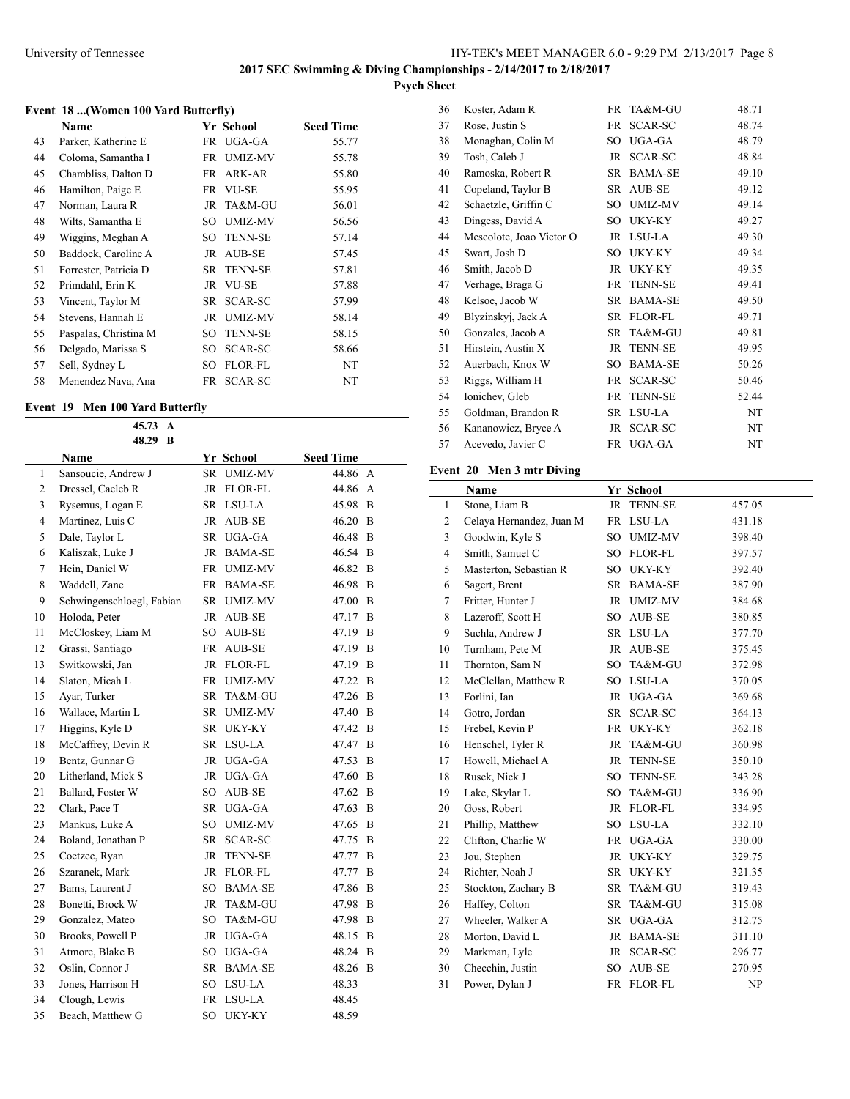# **Psych Sheet**

### **Event 18 ...(Women 100 Yard Butterfly)**

|    | Name                  |    | Yr School      | <b>Seed Time</b> |  |
|----|-----------------------|----|----------------|------------------|--|
| 43 | Parker, Katherine E   |    | FR UGA-GA      | 55.77            |  |
| 44 | Coloma, Samantha I    |    | FR UMIZ-MV     | 55.78            |  |
| 45 | Chambliss, Dalton D   |    | FR ARK-AR      | 55.80            |  |
| 46 | Hamilton, Paige E     |    | FR VU-SE       | 55.95            |  |
| 47 | Norman, Laura R       |    | JR TA&M-GU     | 56.01            |  |
| 48 | Wilts, Samantha E     | SO | UMIZ-MV        | 56.56            |  |
| 49 | Wiggins, Meghan A     |    | SO TENN-SE     | 57.14            |  |
| 50 | Baddock, Caroline A   | JR | AUB-SE         | 57.45            |  |
| 51 | Forrester, Patricia D |    | SR TENN-SE     | 57.81            |  |
| 52 | Primdahl, Erin K      |    | JR VU-SE       | 57.88            |  |
| 53 | Vincent, Taylor M     |    | SR SCAR-SC     | 57.99            |  |
| 54 | Stevens, Hannah E     | JR | UMIZ-MV        | 58.14            |  |
| 55 | Paspalas, Christina M | SO | <b>TENN-SE</b> | 58.15            |  |
| 56 | Delgado, Marissa S    | SO | SCAR-SC        | 58.66            |  |
| 57 | Sell, Sydney L        | SO | FLOR-FL        | NT               |  |
| 58 | Menendez Nava, Ana    | FR | SCAR-SC        | NT               |  |

#### **Event 19 Men 100 Yard Butterfly**

|                         | 45.73<br>A<br>48.29<br>B  |                 |                |                  |                |
|-------------------------|---------------------------|-----------------|----------------|------------------|----------------|
|                         | Name                      |                 | Yr School      | <b>Seed Time</b> |                |
| 1                       | Sansoucie, Andrew J       | SR              | <b>UMIZ-MV</b> | 44.86 A          |                |
| $\overline{c}$          | Dressel, Caeleb R         | <b>JR</b>       | <b>FLOR-FL</b> | 44.86            | $\mathbf{A}$   |
| 3                       | Rysemus, Logan E          | SR              | LSU-LA         | 45.98            | B              |
| $\overline{\mathbf{4}}$ | Martinez, Luis C          | JR              | <b>AUB-SE</b>  | 46.20            | B              |
| 5                       | Dale, Taylor L            |                 | SR UGA-GA      | 46.48            | B              |
| 6                       | Kaliszak, Luke J          |                 | JR BAMA-SE     | 46.54            | B              |
| 7                       | Hein, Daniel W            |                 | FR UMIZ-MV     | 46.82            | $\overline{B}$ |
| 8                       | Waddell, Zane             |                 | FR BAMA-SE     | 46.98            | $\overline{B}$ |
| 9                       | Schwingenschloegl, Fabian |                 | SR UMIZ-MV     | 47.00            | B              |
| 10                      | Holoda, Peter             |                 | JR AUB-SE      | 47.17            | B              |
| 11                      | McCloskey, Liam M         |                 | SO AUB-SE      | 47.19            | B              |
| 12                      | Grassi, Santiago          |                 | FR AUB-SE      | 47.19            | B              |
| 13                      | Switkowski, Jan           |                 | JR FLOR-FL     | 47.19            | B              |
| 14                      | Slaton, Micah L           |                 | FR UMIZ-MV     | 47.22            | B              |
| 15                      | Ayar, Turker              | SR              | TA&M-GU        | 47.26            | $\overline{B}$ |
| 16                      | Wallace, Martin L         | SR              | <b>UMIZ-MV</b> | 47.40            | B              |
| 17                      | Higgins, Kyle D           | SR              | UKY-KY         | 47.42            | B              |
| 18                      | McCaffrey, Devin R        |                 | SR LSU-LA      | 47.47            | B              |
| 19                      | Bentz, Gunnar G           | JR              | UGA-GA         | 47.53            | B              |
| 20                      | Litherland, Mick S        |                 | JR UGA-GA      | 47.60            | B              |
| 21                      | Ballard, Foster W         | SO <sub>1</sub> | AUB-SE         | 47.62            | B              |
| 22                      | Clark, Pace T             | SR              | UGA-GA         | 47.63            | B              |
| 23                      | Mankus, Luke A            |                 | SO UMIZ-MV     | 47.65            | B              |
| 24                      | Boland, Jonathan P        | SR              | SCAR-SC        | 47.75            | B              |
| 25                      | Coetzee, Ryan             | JR              | <b>TENN-SE</b> | 47.77            | B              |
| 26                      | Szaranek, Mark            |                 | JR FLOR-FL     | 47.77            | B              |
| 27                      | Bams, Laurent J           |                 | SO BAMA-SE     | 47.86            | B              |
| 28                      | Bonetti, Brock W          | JR              | TA&M-GU        | 47.98            | B              |
| 29                      | Gonzalez, Mateo           | SO              | TA&M-GU        | 47.98            | B              |
| 30                      | Brooks, Powell P          |                 | JR UGA-GA      | 48.15            | $\overline{B}$ |
| 31                      | Atmore, Blake B           |                 | SO UGA-GA      | 48.24            | B              |
| 32                      | Oslin, Connor J           |                 | SR BAMA-SE     | 48.26            | B              |
| 33                      | Jones, Harrison H         |                 | SO LSU-LA      | 48.33            |                |
| 34                      | Clough, Lewis             | FR              | LSU-LA         | 48.45            |                |
| 35                      | Beach, Matthew G          | SO              | UKY-KY         | 48.59            |                |

| 36 | Koster, Adam R           | FR        | TA&M-GU        | 48.71 |
|----|--------------------------|-----------|----------------|-------|
| 37 | Rose, Justin S           | FR        | <b>SCAR-SC</b> | 48.74 |
| 38 | Monaghan, Colin M        | SO        | UGA-GA         | 48.79 |
| 39 | Tosh, Caleb J            | JR        | <b>SCAR-SC</b> | 48.84 |
| 40 | Ramoska, Robert R        | <b>SR</b> | <b>BAMA-SE</b> | 49.10 |
| 41 | Copeland, Taylor B       | SR        | AUB-SE         | 49.12 |
| 42 | Schaetzle, Griffin C     | SО        | <b>UMIZ-MV</b> | 49.14 |
| 43 | Dingess, David A         | SO        | UKY-KY         | 49.27 |
| 44 | Mescolote, Joao Victor O | JR        | LSU-LA         | 49.30 |
| 45 | Swart, Josh D            | SO.       | UKY-KY         | 49.34 |
| 46 | Smith, Jacob D           | JR.       | UKY-KY         | 49.35 |
| 47 | Verhage, Braga G         | FR        | <b>TENN-SE</b> | 49.41 |
| 48 | Kelsoe, Jacob W          | SR        | <b>BAMA-SE</b> | 49.50 |
| 49 | Blyzinskyj, Jack A       | <b>SR</b> | <b>FLOR-FL</b> | 49.71 |
| 50 | Gonzales, Jacob A        | SR.       | TA&M-GU        | 49.81 |
| 51 | Hirstein, Austin X       | <b>JR</b> | <b>TENN-SE</b> | 49.95 |
| 52 | Auerbach, Knox W         | SO        | <b>BAMA-SE</b> | 50.26 |
| 53 | Riggs, William H         | FR        | SCAR-SC        | 50.46 |
| 54 | Ionichev, Gleb           | <b>FR</b> | <b>TENN-SE</b> | 52.44 |
| 55 | Goldman, Brandon R       | SR        | LSU-LA         | NT    |
| 56 | Kananowicz, Bryce A      | JR        | SCAR-SC        | NT    |
| 57 | Acevedo, Javier C        | <b>FR</b> | UGA-GA         | NT    |
|    |                          |           |                |       |

# **Event 20 Men 3 mtr Diving**

|                | Name                     |           | Yr School      |        |
|----------------|--------------------------|-----------|----------------|--------|
| 1              | Stone, Liam B            | <b>JR</b> | <b>TENN-SE</b> | 457.05 |
| $\overline{2}$ | Celaya Hernandez, Juan M |           | FR LSU-LA      | 431.18 |
| 3              | Goodwin, Kyle S          | SO.       | <b>UMIZ-MV</b> | 398.40 |
| 4              | Smith, Samuel C          | SO.       | <b>FLOR-FL</b> | 397.57 |
| 5              | Masterton, Sebastian R   |           | SO UKY-KY      | 392.40 |
| 6              | Sagert, Brent            |           | SR BAMA-SE     | 387.90 |
| 7              | Fritter, Hunter J        |           | JR UMIZ-MV     | 384.68 |
| 8              | Lazeroff, Scott H        |           | SO AUB-SE      | 380.85 |
| 9              | Suchla, Andrew J         | SR.       | LSU-LA         | 377.70 |
| 10             | Turnham, Pete M          | <b>JR</b> | AUB-SE         | 375.45 |
| 11             | Thornton, Sam N          | SO        | TA&M-GU        | 372.98 |
| 12             | McClellan, Matthew R     | SO        | LSU-LA         | 370.05 |
| 13             | Forlini, Ian             |           | JR UGA-GA      | 369.68 |
| 14             | Gotro, Jordan            | SR        | SCAR-SC        | 364.13 |
| 15             | Frebel, Kevin P          | FR        | UKY-KY         | 362.18 |
| 16             | Henschel, Tyler R        | JR        | TA&M-GU        | 360.98 |
| 17             | Howell, Michael A        | JR        | <b>TENN-SE</b> | 350.10 |
| 18             | Rusek, Nick J            | SO        | <b>TENN-SE</b> | 343.28 |
| 19             | Lake, Skylar L           | SO.       | TA&M-GU        | 336.90 |
| 20             | Goss, Robert             |           | JR FLOR-FL     | 334.95 |
| 21             | Phillip, Matthew         | SO        | LSU-LA         | 332.10 |
| 22             | Clifton, Charlie W       |           | FR UGA-GA      | 330.00 |
| 23             | Jou, Stephen             |           | JR UKY-KY      | 329.75 |
| 24             | Richter, Noah J          | SR        | UKY-KY         | 321.35 |
| 25             | Stockton, Zachary B      | <b>SR</b> | TA&M-GU        | 319.43 |
| 26             | Haffey, Colton           | SR        | TA&M-GU        | 315.08 |
| 27             | Wheeler, Walker A        | SR        | UGA-GA         | 312.75 |
| 28             | Morton, David L          |           | JR BAMA-SE     | 311.10 |
| 29             | Markman, Lyle            | JR        | SCAR-SC        | 296.77 |
| 30             | Checchin, Justin         | SO        | AUB-SE         | 270.95 |
| 31             | Power, Dylan J           | <b>FR</b> | <b>FLOR-FL</b> | NP     |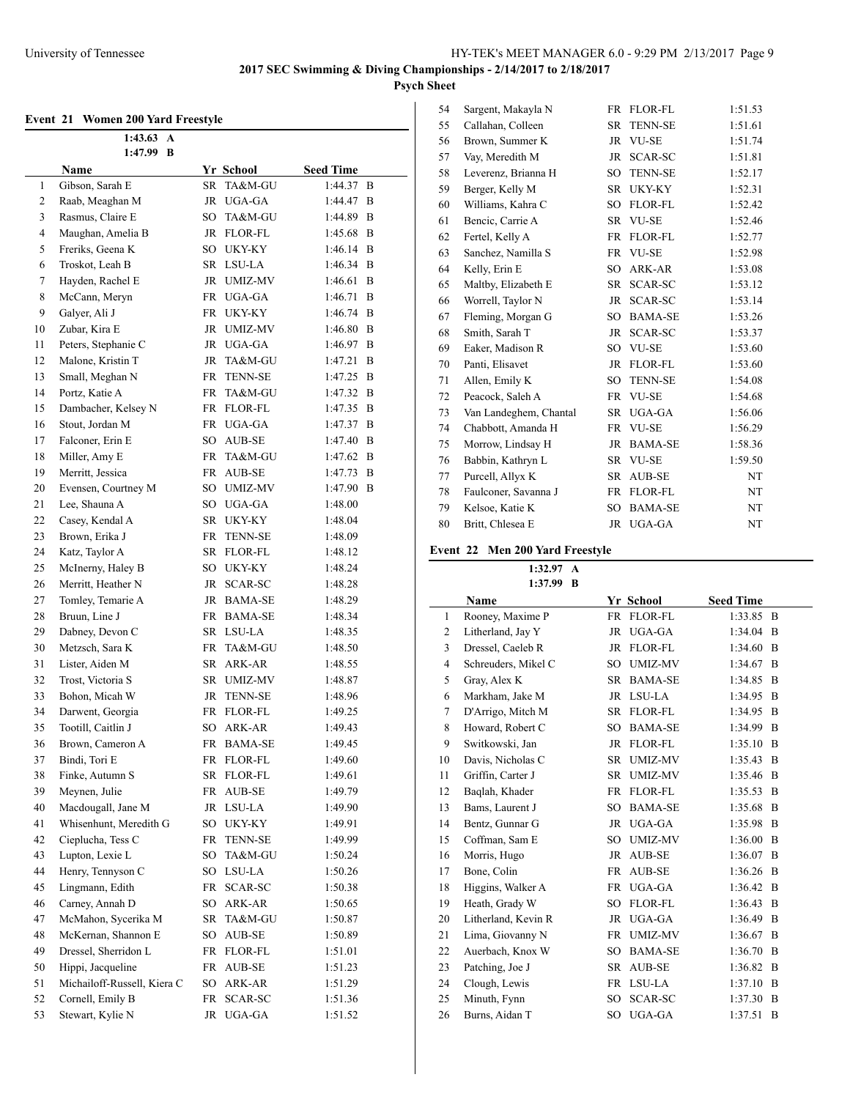# **Psych Sheet**

# **Event 21 Women 200 Yard Freestyle**

| ,, ,,,,,,,,,<br>$1:43.63 \text{ A}$ |                             |                 |                          |                  |   |  |
|-------------------------------------|-----------------------------|-----------------|--------------------------|------------------|---|--|
|                                     | 1:47.99 B                   |                 |                          |                  |   |  |
|                                     | Name                        |                 | Yr School                | <b>Seed Time</b> |   |  |
| 1                                   | Gibson, Sarah E             | SR              | TA&M-GU                  | 1:44.37          | B |  |
| $\overline{c}$                      | Raab, Meaghan M             | JR              | UGA-GA                   | 1:44.47          | B |  |
| 3                                   | Rasmus, Claire E            | SO              | TA&M-GU                  | 1:44.89          | B |  |
| 4                                   | Maughan, Amelia B           | JR              | FLOR-FL                  | 1:45.68          | B |  |
| 5                                   | Freriks, Geena K            | SO              | UKY-KY                   | 1:46.14          | B |  |
| 6                                   | Troskot, Leah B             |                 | SR LSU-LA                | 1:46.34          | B |  |
| 7                                   | Hayden, Rachel E            |                 | JR UMIZ-MV               | 1:46.61          | B |  |
| 8                                   | McCann, Meryn               |                 | FR UGA-GA                | 1:46.71          | B |  |
| 9                                   | Galyer, Ali J               | FR              | UKY-KY                   | 1:46.74          | B |  |
| 10                                  | Zubar, Kira E               | JR              | UMIZ-MV                  | 1:46.80          | B |  |
| 11                                  | Peters, Stephanie C         |                 | JR UGA-GA                | 1:46.97          | B |  |
| 12                                  | Malone, Kristin T           | JR              | TA&M-GU                  | 1:47.21          | B |  |
| 13                                  | Small, Meghan N             | FR              | <b>TENN-SE</b>           | 1:47.25          | B |  |
| 14                                  | Portz, Katie A              |                 | FR TA&M-GU               | 1:47.32          | B |  |
| 15                                  | Dambacher, Kelsey N         |                 | FR FLOR-FL               | 1:47.35          | B |  |
| 16                                  | Stout, Jordan M             | FR              | UGA-GA                   | 1:47.37          | B |  |
| 17                                  | Falconer, Erin E            | SO              | AUB-SE                   | 1:47.40          | B |  |
| 18                                  | Miller, Amy E               |                 | FR TA&M-GU               | 1:47.62          | B |  |
| 19                                  | Merritt, Jessica            |                 | FR AUB-SE                | 1:47.73          | B |  |
| 20                                  | Evensen, Courtney M         |                 | SO UMIZ-MV               | 1:47.90          | B |  |
| 21                                  | Lee, Shauna A               |                 | SO UGA-GA                | 1:48.00          |   |  |
| 22                                  | Casey, Kendal A             |                 | SR UKY-KY                | 1:48.04          |   |  |
| 23                                  | Brown, Erika J              | FR              | <b>TENN-SE</b>           | 1:48.09          |   |  |
| 24                                  | Katz, Taylor A              | SR              | FLOR-FL                  | 1:48.12          |   |  |
| 25                                  | McInerny, Haley B           | SO              | UKY-KY                   | 1:48.24          |   |  |
| 26                                  | Merritt, Heather N          | JR              | SCAR-SC                  | 1:48.28          |   |  |
| 27                                  | Tomley, Temarie A           | JR              | <b>BAMA-SE</b>           | 1:48.29          |   |  |
| 28                                  | Bruun, Line J               | FR              | <b>BAMA-SE</b>           | 1:48.34          |   |  |
| 29                                  | Dabney, Devon C             |                 | SR LSU-LA                | 1:48.35          |   |  |
| 30                                  | Metzsch, Sara K             | FR              | TA&M-GU                  | 1:48.50          |   |  |
| 31                                  | Lister, Aiden M             | SR              | ARK-AR                   | 1:48.55          |   |  |
| 32                                  | Trost, Victoria S           |                 | SR UMIZ-MV               | 1:48.87          |   |  |
| 33                                  | Bohon, Micah W              |                 | JR TENN-SE               | 1:48.96          |   |  |
| 34                                  | Darwent, Georgia            |                 | FR FLOR-FL               | 1:49.25          |   |  |
| 35                                  | Tootill, Caitlin J          | SO              | ARK-AR                   | 1:49.43          |   |  |
| 36                                  | Brown, Cameron A            |                 | FR BAMA-SE               | 1:49.45          |   |  |
| 37                                  | Bindi, Tori E               |                 | FR FLOR-FL               | 1:49.60          |   |  |
| 38                                  | Finke, Autumn S             | SR              | FLOR-FL                  | 1:49.61          |   |  |
| 39                                  | Meynen, Julie               | FR              | AUB-SE                   | 1:49.79          |   |  |
| 40                                  | Macdougall, Jane M          | JR              | LSU-LA                   | 1:49.90          |   |  |
| 41                                  | Whisenhunt, Meredith G      |                 |                          | 1:49.91          |   |  |
|                                     |                             | SO              | UKY-KY<br><b>TENN-SE</b> |                  |   |  |
| 42                                  | Cieplucha, Tess C           | <b>FR</b>       |                          | 1:49.99          |   |  |
| 43                                  | Lupton, Lexie L             | SO              | TA&M-GU                  | 1:50.24          |   |  |
| 44                                  | Henry, Tennyson C           | SO <sub>1</sub> | LSU-LA                   | 1:50.26          |   |  |
| 45                                  | Lingmann, Edith             | FR              | SCAR-SC                  | 1:50.38          |   |  |
| 46                                  | Carney, Annah D             | SO              | ARK-AR                   | 1:50.65          |   |  |
| 47                                  | McMahon, Sycerika M         | SR              | TA&M-GU                  | 1:50.87          |   |  |
| 48                                  | McKernan, Shannon E         | SO.             | AUB-SE                   | 1:50.89          |   |  |
| 49                                  | Dressel, Sherridon L        | FR              | FLOR-FL                  | 1:51.01          |   |  |
| 50                                  | Hippi, Jacqueline           | FR              | AUB-SE                   | 1:51.23          |   |  |
| 51                                  | Michailoff-Russell, Kiera C | SO <sub>1</sub> | ARK-AR                   | 1:51.29          |   |  |
| 52                                  | Cornell, Emily B            | FR              | SCAR-SC                  | 1:51.36          |   |  |
| 53                                  | Stewart, Kylie N            | JR              | UGA-GA                   | 1:51.52          |   |  |

| 54 | Sargent, Makayla N     | FR        | <b>FLOR-FL</b> | 1:51.53 |
|----|------------------------|-----------|----------------|---------|
| 55 | Callahan, Colleen      | <b>SR</b> | <b>TENN-SE</b> | 1:51.61 |
| 56 | Brown, Summer K        | <b>JR</b> | <b>VU-SE</b>   | 1:51.74 |
| 57 | Vay, Meredith M        | JR        | SCAR-SC        | 1:51.81 |
| 58 | Leverenz, Brianna H    | SO        | <b>TENN-SE</b> | 1:52.17 |
| 59 | Berger, Kelly M        | SR        | UKY-KY         | 1:52.31 |
| 60 | Williams, Kahra C      | SO        | <b>FLOR-FL</b> | 1:52.42 |
| 61 | Bencic, Carrie A       | <b>SR</b> | <b>VU-SE</b>   | 1:52.46 |
| 62 | Fertel, Kelly A        | <b>FR</b> | <b>FLOR-FL</b> | 1:52.77 |
| 63 | Sanchez, Namilla S     | FR        | <b>VU-SE</b>   | 1:52.98 |
| 64 | Kelly, Erin E          | SO        | ARK-AR         | 1:53.08 |
| 65 | Maltby, Elizabeth E    | SR        | SCAR-SC        | 1:53.12 |
| 66 | Worrell, Taylor N      | <b>JR</b> | SCAR-SC        | 1:53.14 |
| 67 | Fleming, Morgan G      | SO        | <b>BAMA-SE</b> | 1:53.26 |
| 68 | Smith, Sarah T         | JR.       | SCAR-SC        | 1:53.37 |
| 69 | Eaker, Madison R       |           | SO VU-SE       | 1:53.60 |
| 70 | Panti, Elisavet        | <b>JR</b> | <b>FLOR-FL</b> | 1:53.60 |
| 71 | Allen, Emily K         | SO        | <b>TENN-SE</b> | 1:54.08 |
| 72 | Peacock, Saleh A       | FR        | <b>VU-SE</b>   | 1:54.68 |
| 73 | Van Landeghem, Chantal | <b>SR</b> | UGA-GA         | 1:56.06 |
| 74 | Chabbott, Amanda H     |           | FR VU-SE       | 1:56.29 |
| 75 | Morrow, Lindsay H      | JR        | <b>BAMA-SE</b> | 1:58.36 |
| 76 | Babbin, Kathryn L      | SR.       | <b>VU-SE</b>   | 1:59.50 |
| 77 | Purcell, Allyx K       | <b>SR</b> | AUB-SE         | NT      |
| 78 | Faulconer, Savanna J   | FR        | <b>FLOR-FL</b> | NT      |
| 79 | Kelsoe, Katie K        | SO        | <b>BAMA-SE</b> | NT      |
| 80 | Britt, Chlesea E       | <b>JR</b> | UGA-GA         | NT      |

# **Event 22 Men 200 Yard Freestyle**

**1:32.97 A 1:37.99 B**

| 1.J <i>1.JJ</i> D   |           |                |                                                                                                               |                |
|---------------------|-----------|----------------|---------------------------------------------------------------------------------------------------------------|----------------|
| <b>Name</b>         |           |                | <b>Seed Time</b>                                                                                              |                |
| Rooney, Maxime P    |           |                | 1:33.85 B                                                                                                     |                |
| Litherland, Jay Y   | <b>JR</b> | UGA-GA         | 1:34.04                                                                                                       | B              |
| Dressel, Caeleb R   |           | FLOR-FL        | 1:34.60                                                                                                       | B              |
| Schreuders, Mikel C | SO.       | <b>UMIZ-MV</b> | 1:34.67                                                                                                       | B              |
| Gray, Alex K        |           |                | 1:34.85                                                                                                       | B              |
| Markham, Jake M     |           |                | 1:34.95                                                                                                       | B              |
| D'Arrigo, Mitch M   | <b>SR</b> | FLOR-FL        | 1:34.95                                                                                                       | B              |
| Howard, Robert C    | SO        | <b>BAMA-SE</b> | 1:34.99                                                                                                       | B              |
| Switkowski, Jan     |           |                | 1:35.10                                                                                                       | $\overline{B}$ |
| Davis, Nicholas C   |           | <b>UMIZ-MV</b> | 1:35.43                                                                                                       | B              |
| Griffin, Carter J   | <b>SR</b> | <b>UMIZ-MV</b> | 1:35.46                                                                                                       | B              |
| Baqlah, Khader      |           |                | 1:35.53                                                                                                       | B              |
| Bams, Laurent J     | <b>SO</b> | <b>BAMA-SE</b> | 1:35.68                                                                                                       | $\overline{B}$ |
| Bentz, Gunnar G     |           | UGA-GA         | 1:35.98                                                                                                       | B              |
| Coffman, Sam E      | <b>SO</b> | <b>UMIZ-MV</b> | 1:36.00                                                                                                       | B              |
| Morris, Hugo        | <b>JR</b> | <b>AUB-SE</b>  | 1:36.07                                                                                                       | B              |
| Bone, Colin         | <b>FR</b> | AUB-SE         | 1:36.26                                                                                                       | B              |
| Higgins, Walker A   | <b>FR</b> | UGA-GA         | 1:36.42                                                                                                       | <sup>B</sup>   |
| Heath, Grady W      | <b>SO</b> | <b>FLOR-FL</b> | 1:36.43                                                                                                       | B              |
| Litherland, Kevin R |           | UGA-GA         | 1:36.49                                                                                                       | $\overline{B}$ |
| Lima, Giovanny N    | FR        | <b>UMIZ-MV</b> | 1:36.67                                                                                                       | B              |
| Auerbach, Knox W    | SO        | <b>BAMA-SE</b> | 1:36.70                                                                                                       | B              |
| Patching, Joe J     | <b>SR</b> | AUB-SE         | 1:36.82                                                                                                       | B              |
| Clough, Lewis       | <b>FR</b> | LSU-LA         | 1:37.10                                                                                                       | B              |
| Minuth, Fynn        | <b>SO</b> | SCAR-SC        | 1:37.30                                                                                                       | B              |
| Burns, Aidan T      | SO        | UGA-GA         | 1:37.51                                                                                                       | B              |
|                     |           |                | <b>Yr School</b><br>FR FLOR-FL<br>JR<br>SR BAMA-SE<br>JR LSU-LA<br>JR FLOR-FL<br>SR<br>FR FLOR-FL<br>JR<br>JR |                |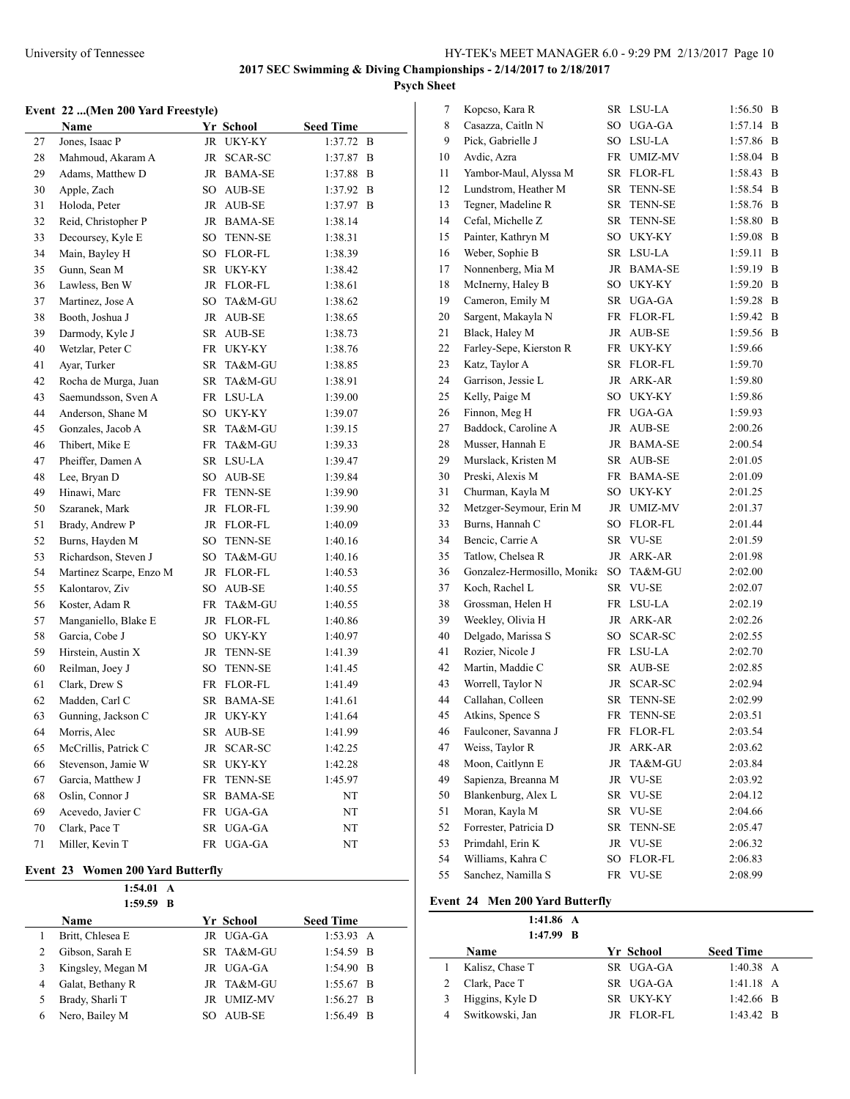# **Psych Sheet**

### **Event 22 ...(Men 200 Yard Freestyle)**

|    | Name                    |           | Yr School      | <b>Seed Time</b> |   |
|----|-------------------------|-----------|----------------|------------------|---|
| 27 | Jones, Isaac P          | JR        | <b>UKY-KY</b>  | $1:37.72$ B      |   |
| 28 | Mahmoud, Akaram A       | JR        | SCAR-SC        | 1:37.87          | B |
| 29 | Adams, Matthew D        |           | JR BAMA-SE     | 1:37.88          | B |
| 30 | Apple, Zach             |           | SO AUB-SE      | 1:37.92          | B |
| 31 | Holoda, Peter           | JR        | AUB-SE         | 1:37.97          | B |
| 32 | Reid, Christopher P     |           | JR BAMA-SE     | 1:38.14          |   |
| 33 | Decoursey, Kyle E       | SO        | <b>TENN-SE</b> | 1:38.31          |   |
| 34 | Main, Bayley H          |           | SO FLOR-FL     | 1:38.39          |   |
| 35 | Gunn, Sean M            | SR        | UKY-KY         | 1:38.42          |   |
| 36 | Lawless, Ben W          | JR        | FLOR-FL        | 1:38.61          |   |
| 37 | Martinez, Jose A        | SO        | TA&M-GU        | 1:38.62          |   |
| 38 | Booth, Joshua J         |           | JR AUB-SE      | 1:38.65          |   |
| 39 | Darmody, Kyle J         | SR        | AUB-SE         | 1:38.73          |   |
| 40 | Wetzlar, Peter C        |           | FR UKY-KY      | 1:38.76          |   |
| 41 | Ayar, Turker            | SR        | TA&M-GU        | 1:38.85          |   |
| 42 | Rocha de Murga, Juan    | SR        | TA&M-GU        | 1:38.91          |   |
| 43 | Saemundsson, Sven A     | FR        | LSU-LA         | 1:39.00          |   |
| 44 | Anderson, Shane M       | SO        | UKY-KY         | 1:39.07          |   |
| 45 | Gonzales, Jacob A       | SR        | TA&M-GU        | 1:39.15          |   |
| 46 | Thibert, Mike E         | FR        | TA&M-GU        | 1:39.33          |   |
| 47 | Pheiffer, Damen A       | SR        | LSU-LA         | 1:39.47          |   |
| 48 | Lee, Bryan D            | SO -      | AUB-SE         | 1:39.84          |   |
| 49 | Hinawi, Marc            | FR        | <b>TENN-SE</b> | 1:39.90          |   |
| 50 | Szaranek, Mark          |           | JR FLOR-FL     | 1:39.90          |   |
| 51 | Brady, Andrew P         |           | JR FLOR-FL     | 1:40.09          |   |
| 52 | Burns, Hayden M         | SO        | <b>TENN-SE</b> | 1:40.16          |   |
| 53 | Richardson, Steven J    | SO        | TA&M-GU        | 1:40.16          |   |
| 54 | Martinez Scarpe, Enzo M | JR        | FLOR-FL        | 1:40.53          |   |
| 55 | Kalontarov, Ziv         | SO        | AUB-SE         | 1:40.55          |   |
| 56 | Koster, Adam R          | FR        | TA&M-GU        | 1:40.55          |   |
| 57 | Manganiello, Blake E    | JR        | <b>FLOR-FL</b> | 1:40.86          |   |
| 58 | Garcia, Cobe J          |           | SO UKY-KY      | 1:40.97          |   |
| 59 | Hirstein, Austin X      | JR        | <b>TENN-SE</b> | 1:41.39          |   |
| 60 | Reilman, Joey J         | SO        | <b>TENN-SE</b> | 1:41.45          |   |
| 61 | Clark, Drew S           |           | FR FLOR-FL     | 1:41.49          |   |
| 62 | Madden, Carl C          |           | SR BAMA-SE     | 1:41.61          |   |
| 63 | Gunning, Jackson C      | JR        | UKY-KY         | 1:41.64          |   |
| 64 | Morris, Alec            | SR        | AUB-SE         | 1:41.99          |   |
| 65 | McCrillis, Patrick C    | JR        | SCAR-SC        | 1:42.25          |   |
| 66 | Stevenson, Jamie W      | SR        | UKY-KY         | 1:42.28          |   |
| 67 | Garcia, Matthew J       | <b>FR</b> | <b>TENN-SE</b> | 1:45.97          |   |
| 68 | Oslin, Connor J         | SR        | BAMA-SE        | NT               |   |
| 69 | Acevedo, Javier C       | FR        | UGA-GA         | NT               |   |
| 70 | Clark, Pace T           | SR        | UGA-GA         | NT               |   |
| 71 | Miller, Kevin T         | FR        | UGA-GA         | NT               |   |

# **Event 23 Women 200 Yard Butterfly**

**1:54.01 A**

|   | $1:59.59$ B       |            |                     |
|---|-------------------|------------|---------------------|
|   | Name              | Yr School  | <b>Seed Time</b>    |
|   | Britt, Chlesea E  | JR UGA-GA  | $1:53.93 \text{ A}$ |
| 2 | Gibson, Sarah E   | SR TA&M-GU | $1:54.59$ B         |
| 3 | Kingsley, Megan M | JR UGA-GA  | $1:54.90$ B         |
| 4 | Galat, Bethany R  | JR TA&M-GU | $1:55.67$ B         |
|   | Brady, Sharli T   | JR UMIZ-MV | $1:56.27$ B         |
| 6 | Nero, Bailey M    | SO AUB-SE  | $1:56.49$ B         |

| 7  | Kopcso, Kara R              | SR  | LSU-LA         | 1:56.50 | B |
|----|-----------------------------|-----|----------------|---------|---|
| 8  | Casazza, Caitln N           | SO  | UGA-GA         | 1:57.14 | B |
| 9  | Pick, Gabrielle J           | SO  | LSU-LA         | 1:57.86 | B |
| 10 | Avdic, Azra                 | FR  | UMIZ-MV        | 1:58.04 | B |
| 11 | Yambor-Maul, Alyssa M       | SR  | FLOR-FL        | 1:58.43 | B |
| 12 | Lundstrom, Heather M        | SR  | TENN-SE        | 1:58.54 | B |
| 13 | Tegner, Madeline R          | SR  | TENN-SE        | 1:58.76 | B |
| 14 | Cefal, Michelle Z           | SR  | TENN-SE        | 1:58.80 | B |
| 15 | Painter, Kathryn M          | SO  | UKY-KY         | 1:59.08 | B |
| 16 | Weber, Sophie B             | SR  | LSU-LA         | 1:59.11 | B |
| 17 | Nonnenberg, Mia M           | JR  | <b>BAMA-SE</b> | 1:59.19 | B |
| 18 | McInerny, Haley B           | SO  | UKY-KY         | 1:59.20 | B |
| 19 | Cameron, Emily M            | SR  | UGA-GA         | 1:59.28 | B |
| 20 | Sargent, Makayla N          | FR  | FLOR-FL        | 1:59.42 | B |
| 21 | Black, Haley M              | JR  | AUB-SE         | 1:59.56 | B |
| 22 | Farley-Sepe, Kierston R     | FR  | UKY-KY         | 1:59.66 |   |
| 23 | Katz, Taylor A              | SR  | FLOR-FL        | 1:59.70 |   |
| 24 | Garrison, Jessie L          | JR  | ARK-AR         | 1:59.80 |   |
| 25 | Kelly, Paige M              | SO  | UKY-KY         | 1:59.86 |   |
| 26 | Finnon, Meg H               | FR  | UGA-GA         | 1:59.93 |   |
| 27 | Baddock, Caroline A         | JR  | AUB-SE         | 2:00.26 |   |
| 28 | Musser, Hannah E            | JR  | <b>BAMA-SE</b> | 2:00.54 |   |
| 29 | Murslack, Kristen M         | SR  | AUB-SE         | 2:01.05 |   |
| 30 | Preski, Alexis M            | FR  | <b>BAMA-SE</b> | 2:01.09 |   |
| 31 | Churman, Kayla M            | SO  | UKY-KY         | 2:01.25 |   |
| 32 | Metzger-Seymour, Erin M     | JR  | UMIZ-MV        | 2:01.37 |   |
| 33 | Burns, Hannah C             | SO  | <b>FLOR-FL</b> | 2:01.44 |   |
| 34 | Bencic, Carrie A            | SR  | VU-SE          | 2:01.59 |   |
| 35 | Tatlow, Chelsea R           | JR  | ARK-AR         | 2:01.98 |   |
| 36 | Gonzalez-Hermosillo, Monika | SO. | TA&M-GU        | 2:02.00 |   |
| 37 | Koch, Rachel L              | SR  | VU-SE          | 2:02.07 |   |
| 38 | Grossman, Helen H           | FR  | LSU-LA         | 2:02.19 |   |
| 39 | Weekley, Olivia H           | JR  | ARK-AR         | 2:02.26 |   |
| 40 | Delgado, Marissa S          | SO  | SCAR-SC        | 2:02.55 |   |
| 41 | Rozier, Nicole J            | FR  | LSU-LA         | 2:02.70 |   |
| 42 | Martin, Maddie C            | SR  | AUB-SE         | 2:02.85 |   |
| 43 | Worrell, Taylor N           | JR  | SCAR-SC        | 2:02.94 |   |
| 44 | Callahan, Colleen           | SR  | <b>TENN-SE</b> | 2:02.99 |   |
| 45 | Atkins, Spence S            | FR  | <b>TENN-SE</b> | 2:03.51 |   |
| 46 | Faulconer, Savanna J        | FR  | FLOR-FL        | 2:03.54 |   |
| 47 | Weiss, Taylor R             | JR  | ARK-AR         | 2:03.62 |   |
| 48 | Moon, Caitlynn E            | JR  | TA&M-GU        | 2:03.84 |   |
| 49 | Sapienza, Breanna M         | JR  | VU-SE          | 2:03.92 |   |
| 50 | Blankenburg, Alex L         | SR  | <b>VU-SE</b>   | 2:04.12 |   |
| 51 | Moran, Kayla M              | SR  | <b>VU-SE</b>   | 2:04.66 |   |
| 52 | Forrester, Patricia D       | SR  | <b>TENN-SE</b> | 2:05.47 |   |
| 53 | Primdahl, Erin K            | JR  | VU-SE          | 2:06.32 |   |
| 54 | Williams, Kahra C           | SO  | <b>FLOR-FL</b> | 2:06.83 |   |
| 55 | Sanchez, Namilla S          |     | FR VU-SE       | 2:08.99 |   |

### **Event 24 Men 200 Yard Butterfly**

 $\frac{1}{2}$ 

|   | 1:41.86 A<br>1:47.99 B |            |                  |
|---|------------------------|------------|------------------|
|   | Name                   | Yr School  | <b>Seed Time</b> |
|   | Kalisz, Chase T        | SR UGA-GA  | $1:40.38$ A      |
|   | Clark, Pace T          | SR UGA-GA  | $1:41.18$ A      |
| 3 | Higgins, Kyle D        | SR UKY-KY  | $1:42.66$ B      |
| 4 | Switkowski, Jan        | JR FLOR-FL | $1:43.42$ B      |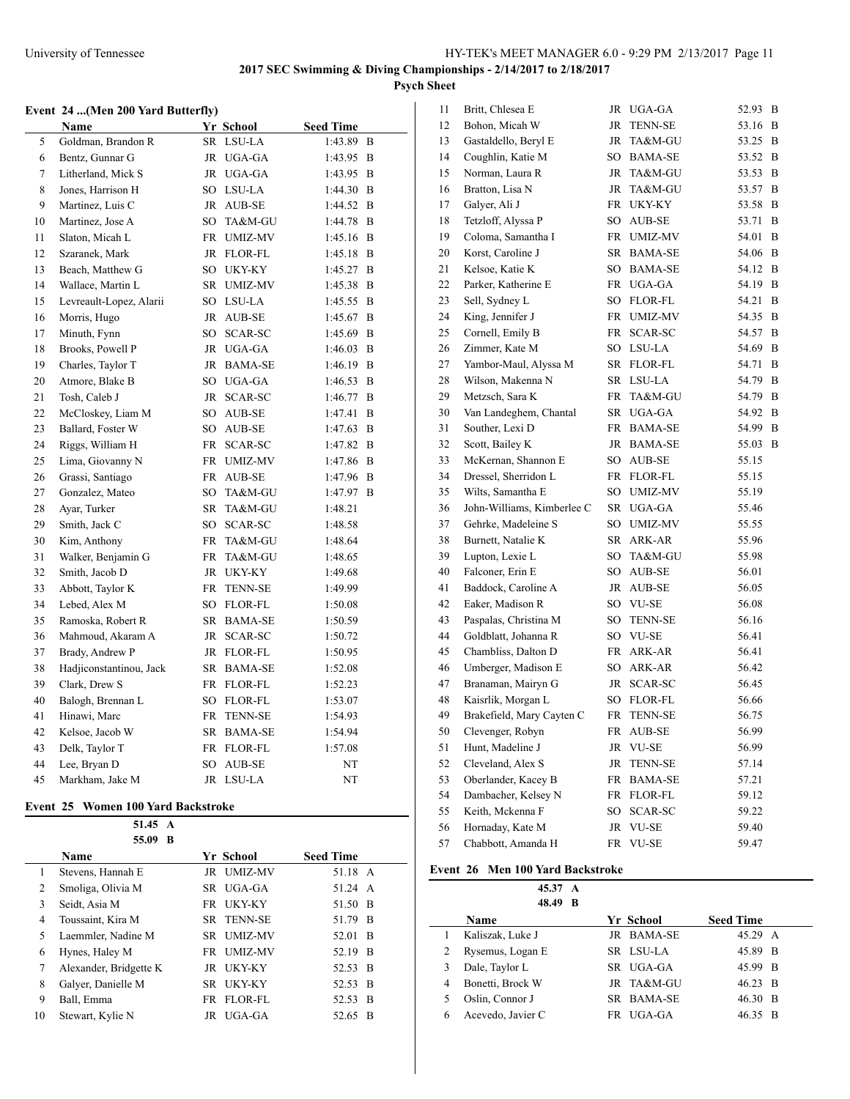### **Event 24 ...(Men 200 Yard Butterfly)**

|    | <b>Name</b>             |           | Yr School      | <b>Seed Time</b> |   |
|----|-------------------------|-----------|----------------|------------------|---|
| 5  | Goldman, Brandon R      | SR        | LSU-LA         | 1:43.89          | B |
| 6  | Bentz, Gunnar G         |           | JR UGA-GA      | 1:43.95          | B |
| 7  | Litherland, Mick S      |           | JR UGA-GA      | 1:43.95          | B |
| 8  | Jones, Harrison H       |           | SO LSU-LA      | 1:44.30          | B |
| 9  | Martinez, Luis C        |           | JR AUB-SE      | 1:44.52          | B |
| 10 | Martinez, Jose A        | SO        | TA&M-GU        | 1:44.78          | B |
| 11 | Slaton, Micah L         | FR        | UMIZ-MV        | 1:45.16          | B |
| 12 | Szaranek, Mark          | JR        | FLOR-FL        | 1:45.18          | B |
| 13 | Beach, Matthew G        |           | SO UKY-KY      | 1:45.27          | B |
| 14 | Wallace, Martin L       | SR        | <b>UMIZ-MV</b> | 1:45.38          | B |
| 15 | Levreault-Lopez, Alarii |           | SO LSU-LA      | 1:45.55          | B |
| 16 | Morris, Hugo            | JR        | AUB-SE         | 1:45.67          | B |
| 17 | Minuth, Fynn            |           | SO SCAR-SC     | 1:45.69          | B |
| 18 | Brooks, Powell P        |           | JR UGA-GA      | 1:46.03          | B |
| 19 | Charles, Taylor T       | JR        | <b>BAMA-SE</b> | 1:46.19          | B |
| 20 | Atmore, Blake B         |           | SO UGA-GA      | 1:46.53          | B |
| 21 | Tosh, Caleb J           | JR        | SCAR-SC        | 1:46.77          | B |
| 22 | McCloskey, Liam M       | SO        | AUB-SE         | 1:47.41          | B |
| 23 | Ballard, Foster W       | SO        | AUB-SE         | 1:47.63          | B |
| 24 | Riggs, William H        | <b>FR</b> | SCAR-SC        | 1:47.82          | B |
| 25 | Lima, Giovanny N        | FR        | <b>UMIZ-MV</b> | 1:47.86          | B |
| 26 | Grassi, Santiago        | FR        | AUB-SE         | 1:47.96          | B |
| 27 | Gonzalez, Mateo         | SO        | TA&M-GU        | 1:47.97          | B |
| 28 | Ayar, Turker            | SR        | TA&M-GU        | 1:48.21          |   |
| 29 | Smith, Jack C           | SO        | SCAR-SC        | 1:48.58          |   |
| 30 | Kim, Anthony            | FR        | TA&M-GU        | 1:48.64          |   |
| 31 | Walker, Benjamin G      | <b>FR</b> | TA&M-GU        | 1:48.65          |   |
| 32 | Smith, Jacob D          | JR        | UKY-KY         | 1:49.68          |   |
| 33 | Abbott, Taylor K        | FR        | <b>TENN-SE</b> | 1:49.99          |   |
| 34 | Lebed, Alex M           |           | SO FLOR-FL     | 1:50.08          |   |
| 35 | Ramoska, Robert R       |           | SR BAMA-SE     | 1:50.59          |   |
| 36 | Mahmoud, Akaram A       | JR        | SCAR-SC        | 1:50.72          |   |
| 37 | Brady, Andrew P         | JR        | FLOR-FL        | 1:50.95          |   |
| 38 | Hadjiconstantinou, Jack | SR        | <b>BAMA-SE</b> | 1:52.08          |   |
| 39 | Clark, Drew S           | FR        | FLOR-FL        | 1:52.23          |   |
| 40 | Balogh, Brennan L       | SO        | FLOR-FL        | 1:53.07          |   |
| 41 | Hinawi, Marc            | FR        | <b>TENN-SE</b> | 1:54.93          |   |
| 42 | Kelsoe, Jacob W         |           | SR BAMA-SE     | 1:54.94          |   |
| 43 | Delk, Taylor T          | FR        | FLOR-FL        | 1:57.08          |   |
| 44 | Lee, Bryan D            | SO        | AUB-SE         | NT               |   |
| 45 | Markham, Jake M         | JR        | LSU-LA         | NT               |   |

### **Event 25 Women 100 Yard Backstroke**

|    | 51.45 A                |              |                  |
|----|------------------------|--------------|------------------|
|    | 55.09 B                |              |                  |
|    | Name                   | Yr School    | <b>Seed Time</b> |
| 1  | Stevens, Hannah E      | JR UMIZ-MV   | 51.18 A          |
| 2  | Smoliga, Olivia M      | SR UGA-GA    | 51.24 A          |
| 3  | Seidt, Asia M          | FR UKY-KY    | 51.50 B          |
| 4  | Toussaint, Kira M      | SR TENN-SE   | 51.79 B          |
| 5  | Laemmler, Nadine M     | SR UMIZ-MV   | 52.01 B          |
| 6  | Hynes, Haley M         | FR UMIZ-MV   | 52.19 B          |
| 7  | Alexander, Bridgette K | UKY-KY<br>JR | 52.53 B          |
| 8  | Galver, Danielle M     | SR UKY-KY    | 52.53 B          |
| 9  | Ball, Emma             | FR FLOR-FL   | 52.53 B          |
| 10 | Stewart, Kylie N       | JR UGA-GA    | 52.65<br>-B      |

| 11 | Britt, Chlesea E           | JR | UGA-GA         | 52.93 | B |
|----|----------------------------|----|----------------|-------|---|
| 12 | Bohon, Micah W             | JR | TENN-SE        | 53.16 | B |
| 13 | Gastaldello, Beryl E       | JR | TA&M-GU        | 53.25 | В |
| 14 | Coughlin, Katie M          | SO | BAMA-SE        | 53.52 | B |
| 15 | Norman, Laura R            | JR | TA&M-GU        | 53.53 | B |
| 16 | Bratton, Lisa N            | JR | TA&M-GU        | 53.57 | B |
| 17 | Galyer, Ali J              | FR | UKY-KY         | 53.58 | B |
| 18 | Tetzloff, Alyssa P         | SO | AUB-SE         | 53.71 | B |
| 19 | Coloma, Samantha I         | FR | <b>UMIZ-MV</b> | 54.01 | B |
| 20 | Korst, Caroline J          | SR | BAMA-SE        | 54.06 | B |
| 21 | Kelsoe, Katie K            | SO | <b>BAMA-SE</b> | 54.12 | B |
| 22 | Parker, Katherine E        | FR | UGA-GA         | 54.19 | B |
| 23 | Sell, Sydney L             | SO | <b>FLOR-FL</b> | 54.21 | В |
| 24 | King, Jennifer J           | FR | UMIZ-MV        | 54.35 | B |
| 25 | Cornell, Emily B           | FR | SCAR-SC        | 54.57 | B |
| 26 | Zimmer, Kate M             | SO | LSU-LA         | 54.69 | B |
| 27 | Yambor-Maul, Alyssa M      | SR | FLOR-FL        | 54.71 | B |
| 28 | Wilson, Makenna N          | SR | LSU-LA         | 54.79 | B |
| 29 | Metzsch, Sara K            | FR | TA&M-GU        | 54.79 | B |
| 30 | Van Landeghem, Chantal     | SR | UGA-GA         | 54.92 | B |
| 31 | Souther, Lexi D            | FR | BAMA-SE        | 54.99 | B |
| 32 | Scott, Bailey K            | JR | BAMA-SE        | 55.03 | B |
| 33 | McKernan, Shannon E        | SO | AUB-SE         | 55.15 |   |
| 34 | Dressel, Sherridon L       | FR | <b>FLOR-FL</b> | 55.15 |   |
| 35 | Wilts, Samantha E          | SO | UMIZ-MV        | 55.19 |   |
| 36 | John-Williams, Kimberlee C | SR | UGA-GA         | 55.46 |   |
| 37 | Gehrke, Madeleine S        | SO | <b>UMIZ-MV</b> | 55.55 |   |
| 38 | Burnett, Natalie K         | SR | ARK-AR         | 55.96 |   |
| 39 | Lupton, Lexie L            | SO | TA&M-GU        | 55.98 |   |
| 40 | Falconer, Erin E           | SO | AUB-SE         | 56.01 |   |
| 41 | Baddock, Caroline A        | JR | AUB-SE         | 56.05 |   |
| 42 | Eaker, Madison R           | SO | VU-SE          | 56.08 |   |
| 43 | Paspalas, Christina M      | SO | <b>TENN-SE</b> | 56.16 |   |
| 44 | Goldblatt, Johanna R       | SO | VU-SE          | 56.41 |   |
| 45 | Chambliss, Dalton D        | FR | ARK-AR         | 56.41 |   |
| 46 | Umberger, Madison E        | SO | ARK-AR         | 56.42 |   |
| 47 | Branaman, Mairyn G         | JR | SCAR-SC        | 56.45 |   |
| 48 | Kaisrlik, Morgan L         | SO | <b>FLOR-FL</b> | 56.66 |   |
| 49 | Brakefield, Mary Cayten C  | FR | <b>TENN-SE</b> | 56.75 |   |
| 50 | Clevenger, Robyn           | FR | AUB-SE         | 56.99 |   |
| 51 | Hunt, Madeline J           | JR | <b>VU-SE</b>   | 56.99 |   |
| 52 | Cleveland, Alex S          | JR | <b>TENN-SE</b> | 57.14 |   |
| 53 | Oberlander, Kacey B        | FR | <b>BAMA-SE</b> | 57.21 |   |
| 54 | Dambacher, Kelsey N        | FR | <b>FLOR-FL</b> | 59.12 |   |
| 55 | Keith, Mckenna F           | SO | SCAR-SC        | 59.22 |   |
| 56 | Hornaday, Kate M           | JR | VU-SE          | 59.40 |   |
| 57 | Chabbott, Amanda H         | FR | <b>VU-SE</b>   | 59.47 |   |

# **Event 26 Men 100 Yard Backstroke**

**45.37 A 48.49 B**

|   | 40.47 D           |            |                  |     |
|---|-------------------|------------|------------------|-----|
|   | <b>Name</b>       | Yr School  | <b>Seed Time</b> |     |
|   | Kaliszak, Luke J  | JR BAMA-SE | 45.29 A          |     |
|   | Rysemus, Logan E  | SR LSU-LA  | 45.89 B          |     |
|   | Dale, Taylor L    | SR UGA-GA  | 45.99 B          |     |
| 4 | Bonetti, Brock W  | JR TA&M-GU | 46.23 B          |     |
|   | Oslin, Connor J   | SR BAMA-SE | 46.30 B          |     |
| 6 | Acevedo, Javier C | FR UGA-GA  | 46.35            | - R |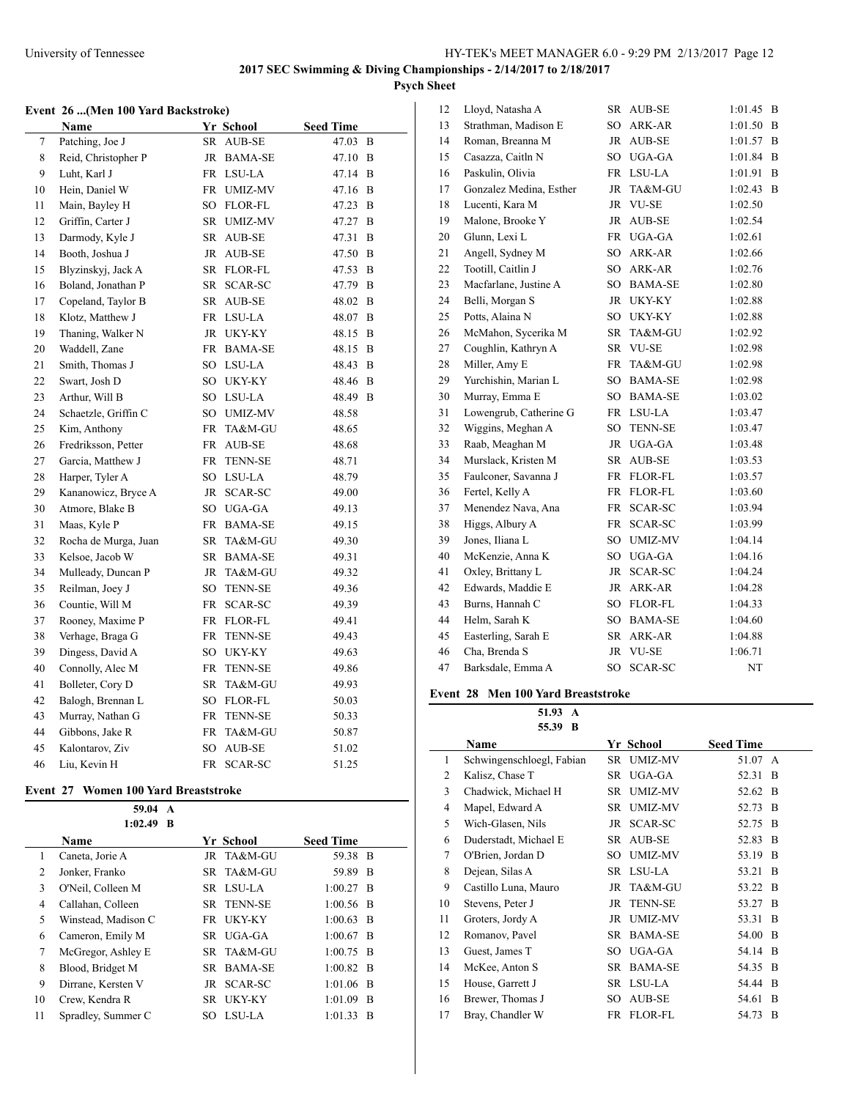### **Event 26 ...(Men 100 Yard Backstroke)**

|    | Name                 |    | Yr School               | <b>Seed Time</b> |   |
|----|----------------------|----|-------------------------|------------------|---|
| 7  | Patching, Joe J      | SR | <b>AUB-SE</b>           | 47.03            | B |
| 8  | Reid, Christopher P  |    | JR BAMA-SE              | 47.10 B          |   |
| 9  | Luht, Karl J         | FR | LSU-LA                  | 47.14            | B |
| 10 | Hein, Daniel W       |    | FR UMIZ-MV              | 47.16            | B |
| 11 | Main, Bayley H       | SO | FLOR-FL                 | 47.23            | B |
| 12 | Griffin, Carter J    |    | SR UMIZ-MV              | 47.27            | B |
| 13 | Darmody, Kyle J      | SR | AUB-SE                  | 47.31            | B |
| 14 | Booth, Joshua J      | JR | AUB-SE                  | 47.50            | B |
| 15 | Blyzinskyj, Jack A   | SR | FLOR-FL                 | 47.53            | B |
| 16 | Boland, Jonathan P   | SR | SCAR-SC                 | 47.79            | B |
| 17 | Copeland, Taylor B   | SR | $\operatorname{AUB-SE}$ | 48.02            | B |
| 18 | Klotz, Matthew J     | FR | LSU-LA                  | 48.07            | B |
| 19 | Thaning, Walker N    | JR | UKY-KY                  | 48.15            | B |
| 20 | Waddell, Zane        |    | FR BAMA-SE              | 48.15            | B |
| 21 | Smith, Thomas J      | SO | LSU-LA                  | 48.43            | B |
| 22 | Swart, Josh D        |    | SO UKY-KY               | 48.46            | B |
| 23 | Arthur, Will B       |    | SO LSU-LA               | 48.49            | B |
| 24 | Schaetzle, Griffin C | SO | <b>UMIZ-MV</b>          | 48.58            |   |
| 25 | Kim, Anthony         | FR | TA&M-GU                 | 48.65            |   |
| 26 | Fredriksson, Petter  | FR | AUB-SE                  | 48.68            |   |
| 27 | Garcia, Matthew J    | FR | <b>TENN-SE</b>          | 48.71            |   |
| 28 | Harper, Tyler A      |    | SO LSU-LA               | 48.79            |   |
| 29 | Kananowicz, Bryce A  | JR | SCAR-SC                 | 49.00            |   |
| 30 | Atmore, Blake B      | SO | UGA-GA                  | 49.13            |   |
| 31 | Maas, Kyle P         |    | FR BAMA-SE              | 49.15            |   |
| 32 | Rocha de Murga, Juan | SR | TA&M-GU                 | 49.30            |   |
| 33 | Kelsoe, Jacob W      |    | SR BAMA-SE              | 49.31            |   |
| 34 | Mulleady, Duncan P   | JR | TA&M-GU                 | 49.32            |   |
| 35 | Reilman, Joey J      | SO | <b>TENN-SE</b>          | 49.36            |   |
| 36 | Countie, Will M      | FR | SCAR-SC                 | 49.39            |   |
| 37 | Rooney, Maxime P     | FR | FLOR-FL                 | 49.41            |   |
| 38 | Verhage, Braga G     | FR | <b>TENN-SE</b>          | 49.43            |   |
| 39 | Dingess, David A     | SO | UKY-KY                  | 49.63            |   |
| 40 | Connolly, Alec M     | FR | <b>TENN-SE</b>          | 49.86            |   |
| 41 | Bolleter, Cory D     | SR | TA&M-GU                 | 49.93            |   |
| 42 | Balogh, Brennan L    | SO | FLOR-FL                 | 50.03            |   |
| 43 | Murray, Nathan G     | FR | <b>TENN-SE</b>          | 50.33            |   |
| 44 | Gibbons, Jake R      | FR | TA&M-GU                 | 50.87            |   |
| 45 | Kalontarov, Ziv      | SO | AUB-SE                  | 51.02            |   |
| 46 | Liu, Kevin H         | FR | SCAR-SC                 | 51.25            |   |

### **Event 27 Women 100 Yard Breaststroke**

 $\overline{a}$ 

|    | 59.04<br>A                  |      |            |                  |    |
|----|-----------------------------|------|------------|------------------|----|
|    | 1:02.49<br>B<br><b>Name</b> |      | Yr School  | <b>Seed Time</b> |    |
| 1  | Caneta, Jorie A             |      | JR TA&M-GU | 59.38 B          |    |
| 2  | Jonker, Franko              |      | SR TA&M-GU | 59.89 B          |    |
| 3  | O'Neil, Colleen M           |      | SR LSU-LA  | $1:00.27$ B      |    |
| 4  | Callahan, Colleen           |      | SR TENN-SE | $1:00.56$ B      |    |
| 5  | Winstead, Madison C         |      | FR UKY-KY  | $1:00.63$ B      |    |
| 6  | Cameron, Emily M            | SR.  | UGA-GA     | $1:00.67$ B      |    |
| 7  | McGregor, Ashley E          |      | SR TA&M-GU | $1:00.75$ B      |    |
| 8  | Blood, Bridget M            |      | SR BAMA-SE | $1:00.82$ B      |    |
| 9  | Dirrane, Kersten V          |      | JR SCAR-SC | $1:01.06$ B      |    |
| 10 | Crew, Kendra R              | SR – | UKY-KY     | $1:01.09$ B      |    |
| 11 | Spradley, Summer C          | SO.  | LSU-LA     | 1:01.33          | -B |

| 12 | Lloyd, Natasha A        | SR              | AUB-SE         | 1:01.45 | B |
|----|-------------------------|-----------------|----------------|---------|---|
| 13 | Strathman, Madison E    | SO              | ARK-AR         | 1:01.50 | B |
| 14 | Roman, Breanna M        | JR              | AUB-SE         | 1:01.57 | B |
| 15 | Casazza, Caitln N       | SO              | UGA-GA         | 1:01.84 | B |
| 16 | Paskulin, Olivia        | FR              | LSU-LA         | 1:01.91 | B |
| 17 | Gonzalez Medina, Esther | JR              | TA&M-GU        | 1:02.43 | B |
| 18 | Lucenti, Kara M         | <b>JR</b>       | <b>VU-SE</b>   | 1:02.50 |   |
| 19 | Malone, Brooke Y        | <b>JR</b>       | AUB-SE         | 1:02.54 |   |
| 20 | Glunn, Lexi L           | FR              | UGA-GA         | 1:02.61 |   |
| 21 | Angell, Sydney M        | SO              | ARK-AR         | 1:02.66 |   |
| 22 | Tootill, Caitlin J      | SO              | ARK-AR         | 1:02.76 |   |
| 23 | Macfarlane, Justine A   | SO              | <b>BAMA-SE</b> | 1:02.80 |   |
| 24 | Belli, Morgan S         | <b>JR</b>       | <b>UKY-KY</b>  | 1:02.88 |   |
| 25 | Potts, Alaina N         | SO.             | UKY-KY         | 1:02.88 |   |
| 26 | McMahon, Sycerika M     | SR.             | TA&M-GU        | 1:02.92 |   |
| 27 | Coughlin, Kathryn A     | SR              | <b>VU-SE</b>   | 1:02.98 |   |
| 28 | Miller, Amy E           | FR              | TA&M-GU        | 1:02.98 |   |
| 29 | Yurchishin, Marian L    | SO              | <b>BAMA-SE</b> | 1:02.98 |   |
| 30 | Murray, Emma E          | SO              | <b>BAMA-SE</b> | 1:03.02 |   |
| 31 | Lowengrub, Catherine G  | FR              | LSU-LA         | 1:03.47 |   |
| 32 | Wiggins, Meghan A       | SO.             | <b>TENN-SE</b> | 1:03.47 |   |
| 33 | Raab, Meaghan M         | <b>JR</b>       | <b>UGA-GA</b>  | 1:03.48 |   |
| 34 | Murslack, Kristen M     | SR              | <b>AUB-SE</b>  | 1:03.53 |   |
| 35 | Faulconer, Savanna J    | FR              | FLOR-FL        | 1:03.57 |   |
| 36 | Fertel, Kelly A         | FR              | FLOR-FL        | 1:03.60 |   |
| 37 | Menendez Nava, Ana      | FR              | <b>SCAR-SC</b> | 1:03.94 |   |
| 38 | Higgs, Albury A         | FR              | SCAR-SC        | 1:03.99 |   |
| 39 | Jones, Iliana L         | SO.             | <b>UMIZ-MV</b> | 1:04.14 |   |
| 40 | McKenzie, Anna K        | SO              | UGA-GA         | 1:04.16 |   |
| 41 | Oxley, Brittany L       | <b>JR</b>       | <b>SCAR-SC</b> | 1:04.24 |   |
| 42 | Edwards, Maddie E       | <b>JR</b>       | ARK-AR         | 1:04.28 |   |
| 43 | Burns, Hannah C         | SO.             | <b>FLOR-FL</b> | 1:04.33 |   |
| 44 | Helm, Sarah K           | SO <sub>1</sub> | <b>BAMA-SE</b> | 1:04.60 |   |
| 45 | Easterling, Sarah E     | SR              | ARK-AR         | 1:04.88 |   |
| 46 | Cha, Brenda S           | <b>JR</b>       | <b>VU-SE</b>   | 1:06.71 |   |
| 47 | Barksdale, Emma A       | SO.             | <b>SCAR-SC</b> | NT      |   |

# **Event 28 Men 100 Yard Breaststroke**

**51.93 A 55.39 B**

|                | 55.39 B                   |     |                |                  |              |
|----------------|---------------------------|-----|----------------|------------------|--------------|
|                | Name                      |     | Yr School      | <b>Seed Time</b> |              |
| 1              | Schwingenschloegl, Fabian | SR  | <b>UMIZ-MV</b> | 51.07 A          |              |
| 2              | Kalisz, Chase T           | SR  | UGA-GA         | 52.31            | B            |
| 3              | Chadwick, Michael H       | SR  | <b>UMIZ-MV</b> | 52.62            | B            |
| $\overline{4}$ | Mapel, Edward A           | SR  | <b>UMIZ-MV</b> | 52.73            | B            |
| 5              | Wich-Glasen, Nils         | JR  | SCAR-SC        | 52.75            | B            |
| 6              | Duderstadt, Michael E     | SR  | AUB-SE         | 52.83            | B            |
| 7              | O'Brien, Jordan D         | SO  | <b>UMIZ-MV</b> | 53.19            | B            |
| 8              | Dejean, Silas A           |     | SR LSU-LA      | 53.21            | B            |
| 9              | Castillo Luna, Mauro      | JR  | TA&M-GU        | 53.22            | B            |
| 10             | Stevens, Peter J          | JR  | <b>TENN-SE</b> | 53.27            | B            |
| 11             | Groters, Jordy A          | JR  | <b>UMIZ-MV</b> | 53.31            | B            |
| 12             | Romanov, Pavel            | SR  | <b>BAMA-SE</b> | 54.00            | B            |
| 13             | Guest, James T            | SO. | UGA-GA         | 54.14            | <sup>B</sup> |
| 14             | McKee, Anton S            | SR  | <b>BAMA-SE</b> | 54.35            | B            |
| 15             | House, Garrett J          |     | SR LSU-LA      | 54.44            | <sup>B</sup> |
| 16             | Brewer, Thomas J          | SO. | <b>AUB-SE</b>  | 54.61            | B            |
| 17             | Bray, Chandler W          |     | FR FLOR-FL     | 54.73            | B            |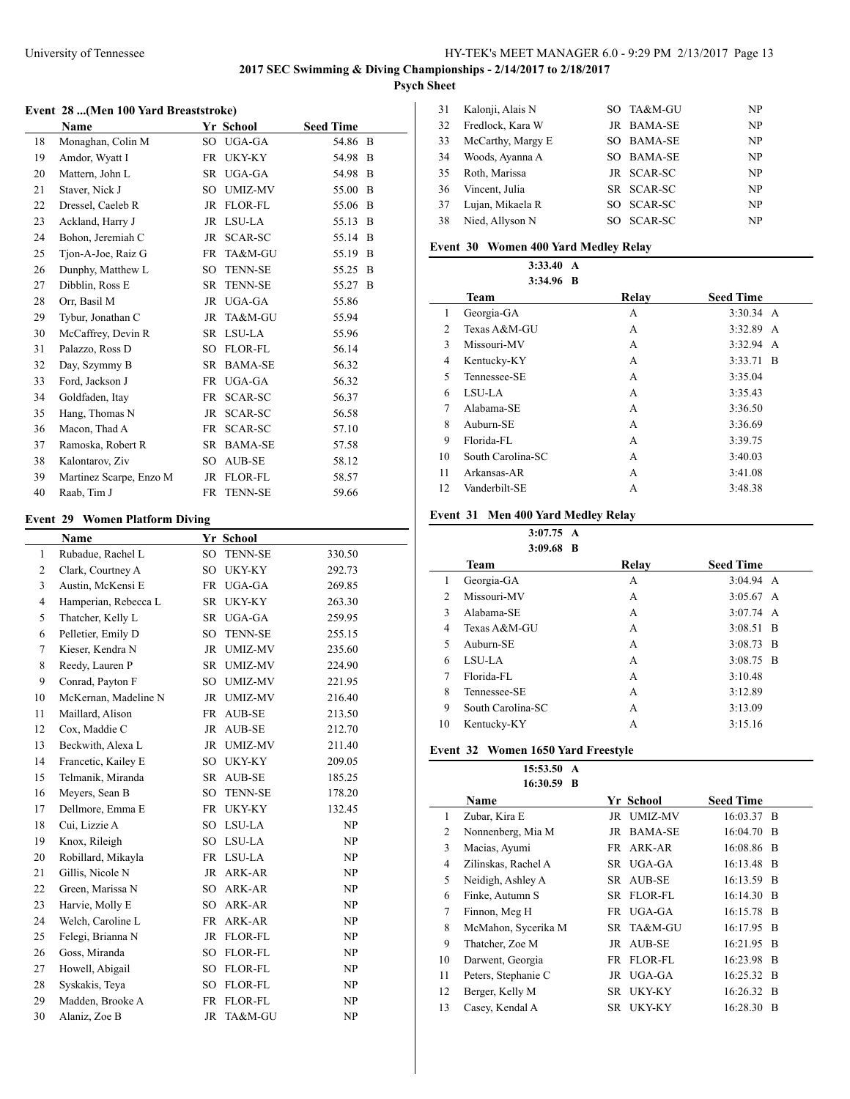$\overline{a}$ 

 $\overline{a}$ 

#### **Event 28 ...(Men 100 Yard Breaststroke)**

|    | Name                    |           | Yr School      | <b>Seed Time</b> |              |  |
|----|-------------------------|-----------|----------------|------------------|--------------|--|
| 18 | Monaghan, Colin M       | SO        | UGA-GA         | 54.86            | B            |  |
| 19 | Amdor, Wyatt I          | <b>FR</b> | UKY-KY         | 54.98            | B            |  |
| 20 | Mattern, John L         | <b>SR</b> | UGA-GA         | 54.98            | B            |  |
| 21 | Staver, Nick J          | SO.       | UMIZ-MV        | 55.00            | B            |  |
| 22 | Dressel, Caeleb R       | <b>JR</b> | <b>FLOR-FL</b> | 55.06            | B            |  |
| 23 | Ackland, Harry J        | JR        | LSU-LA         | 55.13            | B            |  |
| 24 | Bohon, Jeremiah C       | JR        | SCAR-SC        | 55.14            | <sup>B</sup> |  |
| 25 | Tion-A-Joe, Raiz G      | <b>FR</b> | TA&M-GU        | 55.19            | B            |  |
| 26 | Dunphy, Matthew L       | SO        | <b>TENN-SE</b> | 55.25            | B            |  |
| 27 | Dibblin, Ross E         | <b>SR</b> | <b>TENN-SE</b> | 55.27            | - B          |  |
| 28 | Orr, Basil M            | <b>JR</b> | UGA-GA         | 55.86            |              |  |
| 29 | Tybur, Jonathan C       | <b>JR</b> | TA&M-GU        | 55.94            |              |  |
| 30 | McCaffrey, Devin R      | <b>SR</b> | LSU-LA         | 55.96            |              |  |
| 31 | Palazzo, Ross D         | SO        | FLOR-FL        | 56.14            |              |  |
| 32 | Day, Szymmy B           | <b>SR</b> | <b>BAMA-SE</b> | 56.32            |              |  |
| 33 | Ford, Jackson J         | FR        | UGA-GA         | 56.32            |              |  |
| 34 | Goldfaden, Itay         | <b>FR</b> | SCAR-SC        | 56.37            |              |  |
| 35 | Hang, Thomas N          | JR        | SCAR-SC        | 56.58            |              |  |
| 36 | Macon, Thad A           | FR        | SCAR-SC        | 57.10            |              |  |
| 37 | Ramoska, Robert R       | <b>SR</b> | <b>BAMA-SE</b> | 57.58            |              |  |
| 38 | Kalontarov, Ziv         | SO.       | AUB-SE         | 58.12            |              |  |
| 39 | Martinez Scarpe, Enzo M | <b>JR</b> | FLOR-FL        | 58.57            |              |  |
| 40 | Raab, Tim J             | <b>FR</b> | <b>TENN-SE</b> | 59.66            |              |  |

# **Event 29 Women Platform Diving**

|                | Name                 |                 | Yr School      |        |
|----------------|----------------------|-----------------|----------------|--------|
| $\mathbf{1}$   | Rubadue, Rachel L    | SO              | <b>TENN-SE</b> | 330.50 |
| 2              | Clark, Courtney A    | SO              | <b>UKY-KY</b>  | 292.73 |
| 3              | Austin, McKensi E    | FR              | UGA-GA         | 269.85 |
| $\overline{4}$ | Hamperian, Rebecca L | SR              | <b>UKY-KY</b>  | 263.30 |
| 5              | Thatcher, Kelly L    | SR              | UGA-GA         | 259.95 |
| 6              | Pelletier, Emily D   | SO              | <b>TENN-SE</b> | 255.15 |
| $\tau$         | Kieser, Kendra N     | JR              | <b>UMIZ-MV</b> | 235.60 |
| 8              | Reedy, Lauren P      | SR              | <b>UMIZ-MV</b> | 224.90 |
| 9              | Conrad, Payton F     | SO              | <b>UMIZ-MV</b> | 221.95 |
| 10             | McKernan, Madeline N | JR              | <b>UMIZ-MV</b> | 216.40 |
| 11             | Maillard, Alison     | FR              | AUB-SE         | 213.50 |
| 12             | Cox, Maddie C        | <b>JR</b>       | <b>AUB-SE</b>  | 212.70 |
| 13             | Beckwith, Alexa L    | <b>JR</b>       | <b>UMIZ-MV</b> | 211.40 |
| 14             | Francetic, Kailey E  | SO.             | UKY-KY         | 209.05 |
| 15             | Telmanik, Miranda    | SR              | AUB-SE         | 185.25 |
| 16             | Meyers, Sean B       | SO              | <b>TENN-SE</b> | 178.20 |
| 17             | Dellmore, Emma E     | FR              | <b>UKY-KY</b>  | 132.45 |
| 18             | Cui, Lizzie A        | SO              | LSU-LA         | NP     |
| 19             | Knox, Rileigh        | SO.             | LSU-LA         | NP     |
| 20             | Robillard, Mikayla   | FR              | LSU-LA         | NP     |
| 21             | Gillis, Nicole N     | JR              | ARK-AR         | NP     |
| 22             | Green, Marissa N     | SO <sub>1</sub> | ARK-AR         | NP     |
| 23             | Harvie, Molly E      | SO.             | ARK-AR         | NP     |
| 24             | Welch, Caroline L    | FR              | ARK-AR         | NP     |
| 25             | Felegi, Brianna N    | JR              | FLOR-FL        | NP     |
| 26             | Goss, Miranda        | SO              | <b>FLOR-FL</b> | NP     |
| 27             | Howell, Abigail      | SO <sub>1</sub> | FLOR-FL        | NP     |
| 28             | Syskakis, Teya       | SO              | <b>FLOR-FL</b> | NP     |
| 29             | Madden, Brooke A     | FR              | <b>FLOR-FL</b> | NP     |
| 30             | Alaniz, Zoe B        | JR              | TA&M-GU        | NP     |

| 31 | Kalonji, Alais N  |     | SO TA&M-GU     | NP  |
|----|-------------------|-----|----------------|-----|
| 32 | Fredlock, Kara W  |     | JR BAMA-SE     | NP. |
| 33 | McCarthy, Margy E |     | SO BAMA-SE     | NP  |
| 34 | Woods, Ayanna A   |     | SO BAMA-SE     | NP  |
| 35 | Roth, Marissa     |     | JR SCAR-SC     | NP  |
| 36 | Vincent, Julia    |     | SR SCAR-SC     | NP  |
| 37 | Lujan, Mikaela R  | SO. | <b>SCAR-SC</b> | NP  |
| 38 | Nied, Allyson N   | SO. | <b>SCAR-SC</b> | NP  |
|    |                   |     |                |     |

# **Event 30 Women 400 Yard Medley Relay**

| 3:33.40<br>$\mathbf{A}$ |       |                     |
|-------------------------|-------|---------------------|
| 3:34.96 B               |       |                     |
| Team                    | Relay | <b>Seed Time</b>    |
| Georgia-GA              | А     | $3:30.34 \text{ A}$ |
| Texas A&M-GU            | A     | 3:32.89<br>A        |
| Missouri-MV             | A     | 3:32.94<br>A        |
| Kentucky-KY             | A     | 3:33.71<br>B        |
| Tennessee-SE            | A     | 3:35.04             |
| LSU-LA                  | A     | 3:35.43             |
| Alabama-SE              | A     | 3:36.50             |
| Auburn-SE               | A     | 3:36.69             |
| Florida-FL              | A     | 3:39.75             |
| South Carolina-SC       | A     | 3:40.03             |
| Arkansas-AR             | A     | 3:41.08             |
| Vanderbilt-SE           | A     | 3:48.38             |
|                         |       |                     |

# **Event 31 Men 400 Yard Medley Relay**

#### **3:07.75 A 3:09.68 B**

| 3:09.68 B |                   |       |                     |
|-----------|-------------------|-------|---------------------|
|           | Team              | Relay | <b>Seed Time</b>    |
| 1         | Georgia-GA        | A     | 3:04.94 A           |
| 2         | Missouri-MV       | А     | 3:05.67 A           |
| 3         | Alabama-SE        | A     | $3:07.74 \text{ A}$ |
| 4         | Texas A&M-GU      | A     | $3:08.51$ B         |
| 5         | Auburn-SE         | A     | $3:08.73$ B         |
| 6         | LSU-LA            | A     | $3:08.75$ B         |
| 7         | Florida-FL        | A     | 3:10.48             |
| 8         | Tennessee-SE      | A     | 3:12.89             |
| 9         | South Carolina-SC | A     | 3:13.09             |
| 10        | Kentucky-KY       | А     | 3:15.16             |

### **Event 32 Women 1650 Yard Freestyle**

|                | 15:53.50 A          |    |            |                  |                |
|----------------|---------------------|----|------------|------------------|----------------|
|                | 16:30.59 B          |    |            |                  |                |
|                | <b>Name</b>         |    | Yr School  | <b>Seed Time</b> |                |
| 1              | Zubar, Kira E       |    | JR UMIZ-MV | 16:03.37 B       |                |
| 2              | Nonnenberg, Mia M   |    | JR BAMA-SE | 16:04.70         | - B            |
| 3              | Macias, Ayumi       |    | FR ARK-AR  | 16:08.86 B       |                |
| $\overline{4}$ | Zilinskas, Rachel A |    | SR UGA-GA  | 16:13.48 B       |                |
| 5              | Neidigh, Ashley A   |    | SR AUB-SE  | 16:13.59 B       |                |
| 6              | Finke, Autumn S     |    | SR FLOR-FL | 16:14.30 B       |                |
| 7              | Finnon, Meg H       | FR | UGA-GA     | 16:15.78 B       |                |
| 8              | McMahon, Sycerika M |    | SR TA&M-GU | 16:17.95 B       |                |
| 9              | Thatcher, Zoe M     |    | JR AUB-SE  | 16:21.95 B       |                |
| 10             | Darwent, Georgia    | FR | FLOR-FL    | 16:23.98         | $\overline{B}$ |
| 11             | Peters, Stephanie C |    | JR UGA-GA  | 16:25.32 B       |                |
| 12             | Berger, Kelly M     |    | SR UKY-KY  | 16:26.32 B       |                |
| 13             | Casey, Kendal A     |    | SR UKY-KY  | 16:28.30         | B              |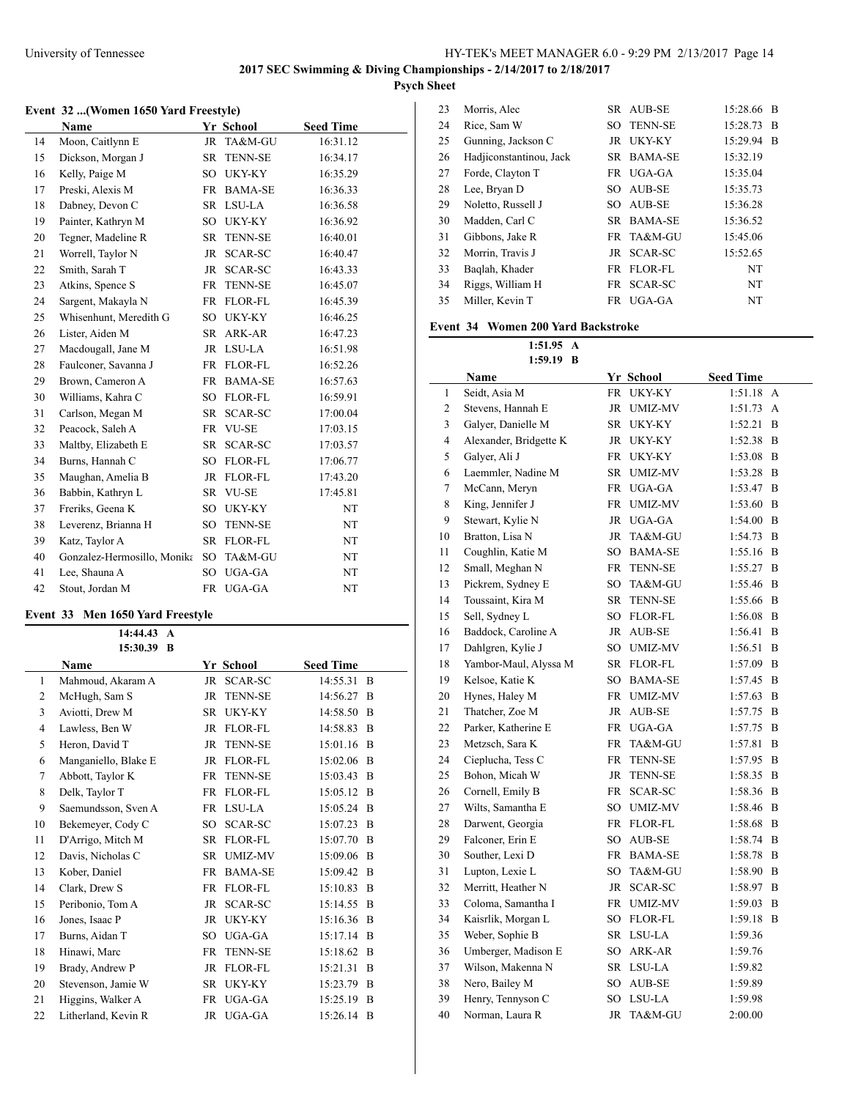J.

### **Event 32 ...(Women 1650 Yard Freestyle)**

|    | Name                        |                 | Yr School      | <b>Seed Time</b> |
|----|-----------------------------|-----------------|----------------|------------------|
| 14 | Moon, Caitlynn E            | JR              | TA&M-GU        | 16:31.12         |
| 15 | Dickson, Morgan J           | SR              | <b>TENN-SE</b> | 16:34.17         |
| 16 | Kelly, Paige M              | SO.             | UKY-KY         | 16:35.29         |
| 17 | Preski, Alexis M            | <b>FR</b>       | <b>BAMA-SE</b> | 16:36.33         |
| 18 | Dabney, Devon C             | SR              | LSU-LA         | 16:36.58         |
| 19 | Painter, Kathryn M          | SO              | UKY-KY         | 16:36.92         |
| 20 | Tegner, Madeline R          | SR              | <b>TENN-SE</b> | 16:40.01         |
| 21 | Worrell, Taylor N           | JR              | SCAR-SC        | 16:40.47         |
| 22 | Smith, Sarah T              | JR              | SCAR-SC        | 16:43.33         |
| 23 | Atkins, Spence S            | FR              | <b>TENN-SE</b> | 16:45.07         |
| 24 | Sargent, Makayla N          | FR              | FLOR-FL        | 16:45.39         |
| 25 | Whisenhunt, Meredith G      | SO              | UKY-KY         | 16:46.25         |
| 26 | Lister, Aiden M             | SR              | ARK-AR         | 16:47.23         |
| 27 | Macdougall, Jane M          | JR              | LSU-LA         | 16:51.98         |
| 28 | Faulconer, Savanna J        | FR              | <b>FLOR-FL</b> | 16:52.26         |
| 29 | Brown, Cameron A            | <b>FR</b>       | <b>BAMA-SE</b> | 16:57.63         |
| 30 | Williams, Kahra C           | SO <sub>1</sub> | FLOR-FL        | 16:59.91         |
| 31 | Carlson, Megan M            | SR              | SCAR-SC        | 17:00.04         |
| 32 | Peacock, Saleh A            | FR              | <b>VU-SE</b>   | 17:03.15         |
| 33 | Maltby, Elizabeth E         | SR              | SCAR-SC        | 17:03.57         |
| 34 | Burns, Hannah C             | SO              | FLOR-FL        | 17:06.77         |
| 35 | Maughan, Amelia B           | JR.             | <b>FLOR-FL</b> | 17:43.20         |
| 36 | Babbin, Kathryn L           | SR              | <b>VU-SE</b>   | 17:45.81         |
| 37 | Freriks, Geena K            | SO              | UKY-KY         | NT               |
| 38 | Leverenz, Brianna H         | SO              | <b>TENN-SE</b> | NT               |
| 39 | Katz, Taylor A              | SR.             | <b>FLOR-FL</b> | NT               |
| 40 | Gonzalez-Hermosillo, Monika | SO.             | TA&M-GU        | NT               |
| 41 | Lee, Shauna A               | SO              | UGA-GA         | NT               |
| 42 | Stout, Jordan M             |                 | FR UGA-GA      | NT               |

### **Event 33 Men 1650 Yard Freestyle**

 $\overline{a}$ 

|              | 14:44.43             | $\mathbf{A}$ |                |                  |              |
|--------------|----------------------|--------------|----------------|------------------|--------------|
|              | 15:30.39             | B            |                |                  |              |
|              | Name                 |              | Yr School      | <b>Seed Time</b> |              |
| $\mathbf{1}$ | Mahmoud, Akaram A    | <b>JR</b>    | <b>SCAR-SC</b> | 14:55.31         | <sup>B</sup> |
| 2            | McHugh, Sam S        | <b>JR</b>    | <b>TENN-SE</b> | 14:56.27         | -B           |
| 3            | Aviotti, Drew M      | <b>SR</b>    | UKY-KY         | 14:58.50         | <sup>B</sup> |
| 4            | Lawless, Ben W       | JR           | FLOR-FL        | 14:58.83         | B            |
| 5            | Heron, David T       | <b>JR</b>    | <b>TENN-SE</b> | 15:01.16         | B            |
| 6            | Manganiello, Blake E | JR           | FLOR-FL        | 15:02.06         | B            |
| $\tau$       | Abbott, Taylor K     | FR           | <b>TENN-SE</b> | 15:03.43         | B            |
| 8            | Delk, Taylor T       | FR           | FLOR-FL        | 15:05.12         | <sup>B</sup> |
| 9            | Saemundsson, Sven A  | <b>FR</b>    | LSU-LA         | 15:05.24         | <sup>B</sup> |
| 10           | Bekemeyer, Cody C    | SO.          | SCAR-SC        | 15:07.23         | B            |
| 11           | D'Arrigo, Mitch M    | <b>SR</b>    | <b>FLOR-FL</b> | 15:07.70         | B            |
| 12           | Davis, Nicholas C    | <b>SR</b>    | <b>UMIZ-MV</b> | 15:09.06         | B            |
| 13           | Kober, Daniel        | FR           | <b>BAMA-SE</b> | 15:09.42         | B            |
| 14           | Clark, Drew S        | FR           | FLOR-FL        | 15:10.83         | B            |
| 15           | Peribonio, Tom A     | JR           | SCAR-SC        | 15:14.55         | B            |
| 16           | Jones, Isaac P       | <b>JR</b>    | UKY-KY         | 15:16.36         | B            |
| 17           | Burns, Aidan T       | SO.          | UGA-GA         | 15:17.14         | B            |
| 18           | Hinawi, Marc         | FR           | <b>TENN-SE</b> | 15:18.62         | B            |
| 19           | Brady, Andrew P      | <b>JR</b>    | FLOR-FL        | 15:21.31         | B            |
| 20           | Stevenson, Jamie W   | <b>SR</b>    | UKY-KY         | 15:23.79         | B            |
| 21           | Higgins, Walker A    | FR           | UGA-GA         | 15:25.19         | B            |
| 22           | Litherland, Kevin R  | JR           | UGA-GA         | 15:26.14         | B            |

| 23 | Morris, Alec            |           | SR AUB-SE         | 15:28.66 | B |
|----|-------------------------|-----------|-------------------|----------|---|
| 24 | Rice, Sam W             |           | <b>SO TENN-SE</b> | 15:28.73 | B |
| 25 | Gunning, Jackson C      |           | JR UKY-KY         | 15:29.94 | B |
| 26 | Hadjiconstantinou, Jack |           | SR BAMA-SE        | 15:32.19 |   |
| 27 | Forde, Clayton T        |           | FR UGA-GA         | 15:35.04 |   |
| 28 | Lee, Bryan D            |           | SO AUB-SE         | 15:35.73 |   |
| 29 | Noletto, Russell J      | SO.       | AUB-SE            | 15:36.28 |   |
| 30 | Madden, Carl C          |           | SR BAMA-SE        | 15:36.52 |   |
| 31 | Gibbons, Jake R         |           | FR TA&M-GU        | 15:45.06 |   |
| 32 | Morrin, Travis J        |           | JR SCAR-SC        | 15:52.65 |   |
| 33 | Baqlah, Khader          | FR.       | <b>FLOR-FL</b>    | NT       |   |
| 34 | Riggs, William H        | <b>FR</b> | <b>SCAR-SC</b>    | NT       |   |
| 35 | Miller, Kevin T         | FR 1      | UGA-GA            | NT       |   |

# **Event 34 Women 200 Yard Backstroke**

**1:51.95 A**

| 1:59.19 B    |                        |           |                |                  |   |
|--------------|------------------------|-----------|----------------|------------------|---|
|              | Name                   |           | Yr School      | <b>Seed Time</b> |   |
| $\mathbf{1}$ | Seidt, Asia M          | FR        | <b>UKY-KY</b>  | 1:51.18          | А |
| 2            | Stevens, Hannah E      |           | JR UMIZ-MV     | 1:51.73          | A |
| 3            | Galyer, Danielle M     | SR        | UKY-KY         | 1:52.21          | B |
| 4            | Alexander, Bridgette K | JR        | UKY-KY         | 1:52.38          | B |
| 5            | Galver, Ali J          | FR        | UKY-KY         | 1:53.08          | B |
| 6            | Laemmler, Nadine M     | SR        | <b>UMIZ-MV</b> | 1:53.28          | B |
| 7            | McCann, Meryn          |           | FR UGA-GA      | 1:53.47          | B |
| 8            | King, Jennifer J       | FR        | <b>UMIZ-MV</b> | 1:53.60          | B |
| 9            | Stewart, Kylie N       |           | JR UGA-GA      | 1:54.00          | B |
| 10           | Bratton, Lisa N        | JR.       | TA&M-GU        | 1:54.73          | B |
| 11           | Coughlin, Katie M      | SO.       | <b>BAMA-SE</b> | 1:55.16          | B |
| 12           | Small, Meghan N        | FR        | <b>TENN-SE</b> | 1:55.27          | B |
| 13           | Pickrem, Sydney E      | SO.       | TA&M-GU        | 1:55.46          | B |
| 14           | Toussaint, Kira M      | SR        | <b>TENN-SE</b> | 1:55.66          | B |
| 15           | Sell, Sydney L         | SO        | FLOR-FL        | 1:56.08          | B |
| 16           | Baddock, Caroline A    | JR        | AUB-SE         | 1:56.41          | B |
| 17           | Dahlgren, Kylie J      | SO        | <b>UMIZ-MV</b> | 1:56.51          | B |
| 18           | Yambor-Maul, Alyssa M  |           | SR FLOR-FL     | 1:57.09          | B |
| 19           | Kelsoe, Katie K        |           | SO BAMA-SE     | 1:57.45          | B |
| 20           | Hynes, Haley M         | FR        | <b>UMIZ-MV</b> | 1:57.63          | B |
| 21           | Thatcher, Zoe M        | JR        | AUB-SE         | 1:57.75          | B |
| 22           | Parker, Katherine E    | FR        | UGA-GA         | 1:57.75          | B |
| 23           | Metzsch, Sara K        | FR        | TA&M-GU        | 1:57.81          | B |
| 24           | Cieplucha, Tess C      | FR        | <b>TENN-SE</b> | 1:57.95          | B |
| 25           | Bohon, Micah W         | JR.       | <b>TENN-SE</b> | 1:58.35          | B |
| 26           | Cornell, Emily B       | <b>FR</b> | <b>SCAR-SC</b> | 1:58.36          | B |
| 27           | Wilts, Samantha E      | SO        | <b>UMIZ-MV</b> | 1:58.46          | B |
| 28           | Darwent, Georgia       |           | FR FLOR-FL     | 1:58.68          | B |
| 29           | Falconer, Erin E       | SO        | AUB-SE         | 1:58.74          | B |
| 30           | Souther, Lexi D        | FR        | BAMA-SE        | 1:58.78          | B |
| 31           | Lupton, Lexie L        | SO.       | TA&M-GU        | 1:58.90          | B |
| 32           | Merritt, Heather N     | JR        | SCAR-SC        | 1:58.97          | B |
| 33           | Coloma, Samantha I     | <b>FR</b> | <b>UMIZ-MV</b> | 1:59.03          | B |
| 34           | Kaisrlik, Morgan L     | SO        | FLOR-FL        | 1:59.18          | B |
| 35           | Weber, Sophie B        |           | SR LSU-LA      | 1:59.36          |   |
| 36           | Umberger, Madison E    |           | SO ARK-AR      | 1:59.76          |   |
| 37           | Wilson, Makenna N      |           | SR LSU-LA      | 1:59.82          |   |
| 38           | Nero, Bailey M         | SO        | AUB-SE         | 1:59.89          |   |
| 39           | Henry, Tennyson C      | SO        | LSU-LA         | 1:59.98          |   |
| 40           | Norman, Laura R        | JR.       | TA&M-GU        | 2:00.00          |   |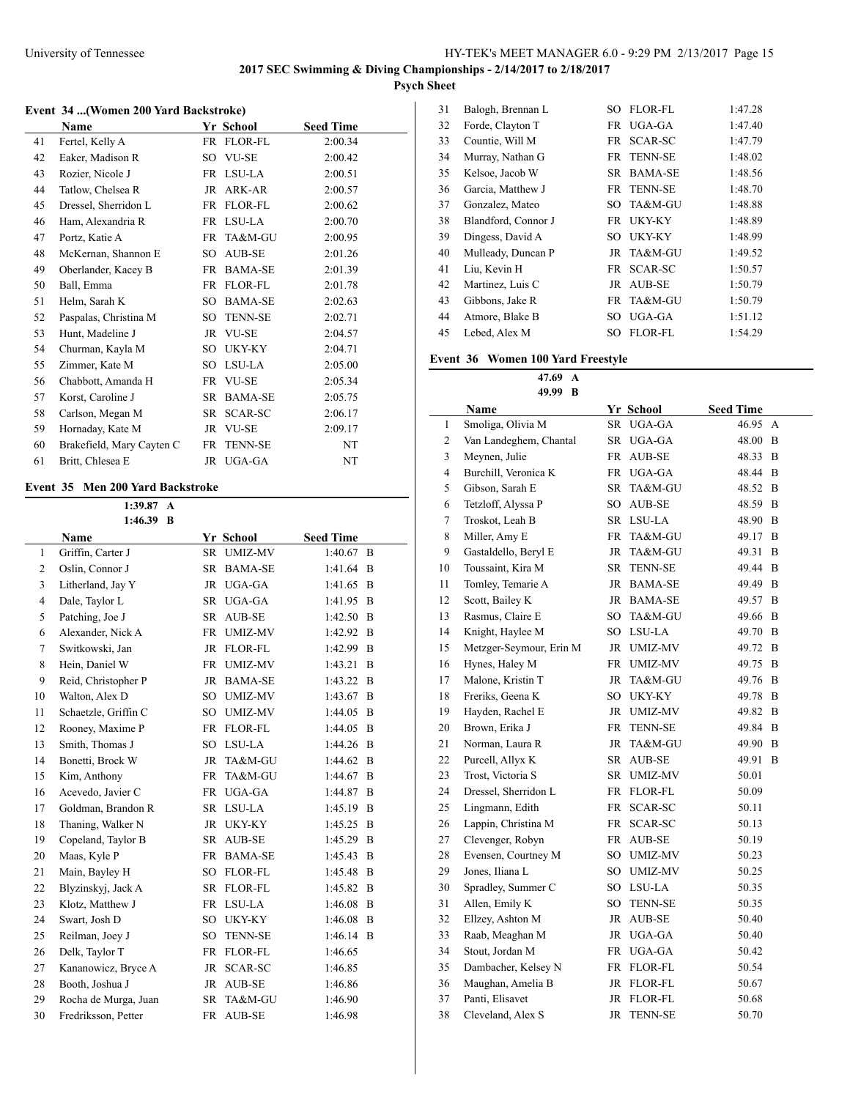$\overline{a}$ 

# **Event 34 ...(Women 200 Yard Backstroke)**

|    | Name                      |     | Yr School      | <b>Seed Time</b> |  |
|----|---------------------------|-----|----------------|------------------|--|
| 41 | Fertel, Kelly A           |     | FR FLOR-FL     | 2:00.34          |  |
| 42 | Eaker, Madison R          | SO. | VU-SE          | 2:00.42          |  |
| 43 | Rozier, Nicole J          | FR  | LSU-LA         | 2:00.51          |  |
| 44 | Tatlow, Chelsea R         | JR  | ARK-AR         | 2:00.57          |  |
| 45 | Dressel, Sherridon L      | FR  | FLOR-FL        | 2:00.62          |  |
| 46 | Ham, Alexandria R         |     | FR LSU-LA      | 2:00.70          |  |
| 47 | Portz, Katie A            | FR  | TA&M-GU        | 2:00.95          |  |
| 48 | McKernan, Shannon E       | SO. | AUB-SE         | 2:01.26          |  |
| 49 | Oberlander, Kacey B       | FR  | BAMA-SE        | 2:01.39          |  |
| 50 | Ball, Emma                | FR  | FLOR-FL        | 2:01.78          |  |
| 51 | Helm, Sarah K             | SO. | <b>BAMA-SE</b> | 2:02.63          |  |
| 52 | Paspalas, Christina M     | SO. | TENN-SE        | 2:02.71          |  |
| 53 | Hunt, Madeline J          |     | JR VU-SE       | 2:04.57          |  |
| 54 | Churman, Kayla M          | SO. | UKY-KY         | 2:04.71          |  |
| 55 | Zimmer, Kate M            | SO. | LSU-LA         | 2:05.00          |  |
| 56 | Chabbott, Amanda H        |     | FR VU-SE       | 2:05.34          |  |
| 57 | Korst, Caroline J         | SR  | <b>BAMA-SE</b> | 2:05.75          |  |
| 58 | Carlson, Megan M          | SR  | SCAR-SC        | 2:06.17          |  |
| 59 | Hornaday, Kate M          | JR  | <b>VU-SE</b>   | 2:09.17          |  |
| 60 | Brakefield, Mary Cayten C | FR  | <b>TENN-SE</b> | NT               |  |
| 61 | Britt, Chlesea E          |     | JR UGA-GA      | NT               |  |

### **Event 35 Men 200 Yard Backstroke**

|                | 1:39.87<br>A         |                 |                |                  |   |
|----------------|----------------------|-----------------|----------------|------------------|---|
|                | 1:46.39<br>-B        |                 |                |                  |   |
|                | Name                 |                 | Yr School      | <b>Seed Time</b> |   |
| 1              | Griffin, Carter J    | <b>SR</b>       | <b>UMIZ-MV</b> | 1:40.67          | B |
| $\overline{c}$ | Oslin, Connor J      | <b>SR</b>       | <b>BAMA-SE</b> | 1:41.64          | B |
| 3              | Litherland, Jay Y    | <b>JR</b>       | UGA-GA         | 1:41.65          | B |
| 4              | Dale, Taylor L       | <b>SR</b>       | UGA-GA         | 1:41.95          | B |
| 5              | Patching, Joe J      | <b>SR</b>       | <b>AUB-SE</b>  | 1:42.50          | B |
| 6              | Alexander, Nick A    | <b>FR</b>       | <b>UMIZ-MV</b> | 1:42.92          | B |
| 7              | Switkowski, Jan      | JR.             | FLOR-FL        | 1:42.99          | B |
| 8              | Hein, Daniel W       | FR              | <b>UMIZ-MV</b> | 1:43.21          | B |
| 9              | Reid, Christopher P  | <b>JR</b>       | <b>BAMA-SE</b> | 1:43.22          | B |
| 10             | Walton, Alex D       | SO.             | <b>UMIZ-MV</b> | 1:43.67          | B |
| 11             | Schaetzle, Griffin C | SO.             | <b>UMIZ-MV</b> | 1:44.05          | B |
| 12             | Rooney, Maxime P     | FR              | FLOR-FL        | 1:44.05          | B |
| 13             | Smith, Thomas J      | SO.             | LSU-LA         | 1:44.26          | B |
| 14             | Bonetti, Brock W     | <b>JR</b>       | TA&M-GU        | 1:44.62          | B |
| 15             | Kim, Anthony         | <b>FR</b>       | TA&M-GU        | 1:44.67          | B |
| 16             | Acevedo, Javier C    | <b>FR</b>       | UGA-GA         | 1:44.87          | B |
| 17             | Goldman, Brandon R   | SR.             | LSU-LA         | 1:45.19          | B |
| 18             | Thaning, Walker N    | <b>JR</b>       | UKY-KY         | 1:45.25          | B |
| 19             | Copeland, Taylor B   | SR.             | <b>AUB-SE</b>  | 1:45.29          | B |
| 20             | Maas, Kyle P         | <b>FR</b>       | <b>BAMA-SE</b> | 1:45.43          | B |
| 21             | Main, Bayley H       | SO.             | FLOR-FL        | 1:45.48          | B |
| 22             | Blyzinskyj, Jack A   | SR              | <b>FLOR-FL</b> | 1:45.82          | B |
| 23             | Klotz, Matthew J     | <b>FR</b>       | LSU-LA         | 1:46.08          | B |
| 24             | Swart, Josh D        | SO <sub>1</sub> | <b>UKY-KY</b>  | 1:46.08          | B |
| 25             | Reilman, Joey J      | $\rm SO$        | <b>TENN-SE</b> | 1:46.14          | B |
| 26             | Delk, Taylor T       | <b>FR</b>       | FLOR-FL        | 1:46.65          |   |
| 27             | Kananowicz, Bryce A  | <b>JR</b>       | <b>SCAR-SC</b> | 1:46.85          |   |
| 28             | Booth, Joshua J      | JR              | <b>AUB-SE</b>  | 1:46.86          |   |
| 29             | Rocha de Murga, Juan | <b>SR</b>       | TA&M-GU        | 1:46.90          |   |
| 30             | Fredriksson, Petter  | <b>FR</b>       | <b>AUB-SE</b>  | 1:46.98          |   |

| 31 | Balogh, Brennan L   | SO.  | <b>FLOR-FL</b> | 1:47.28 |
|----|---------------------|------|----------------|---------|
| 32 | Forde, Clayton T    |      | FR UGA-GA      | 1:47.40 |
| 33 | Countie, Will M     | FR 1 | <b>SCAR-SC</b> | 1:47.79 |
| 34 | Murray, Nathan G    |      | FR TENN-SE     | 1:48.02 |
| 35 | Kelsoe, Jacob W     | SR.  | <b>BAMA-SE</b> | 1:48.56 |
| 36 | Garcia, Matthew J   |      | FR TENN-SE     | 1:48.70 |
| 37 | Gonzalez, Mateo     | SO   | TA&M-GU        | 1:48.88 |
| 38 | Blandford, Connor J |      | FR UKY-KY      | 1:48.89 |
| 39 | Dingess, David A    | SО   | UKY-KY         | 1:48.99 |
| 40 | Mulleady, Duncan P  |      | JR TA&M-GU     | 1:49.52 |
| 41 | Liu, Kevin H        | FR   | <b>SCAR-SC</b> | 1:50.57 |
| 42 | Martinez, Luis C    | JR   | AUB-SE         | 1:50.79 |
| 43 | Gibbons, Jake R     |      | FR TA&M-GU     | 1:50.79 |
| 44 | Atmore, Blake B     | SО   | UGA-GA         | 1:51.12 |
| 45 | Lebed, Alex M       | SO.  | <b>FLOR-FL</b> | 1:54.29 |

# **Event 36 Women 100 Yard Freestyle**

**47.69 A**

| 49.99<br>B     |                         |             |                |                  |   |  |
|----------------|-------------------------|-------------|----------------|------------------|---|--|
|                | Name                    |             | Yr School      | <b>Seed Time</b> |   |  |
| 1              | Smoliga, Olivia M       | SR          | UGA-GA         | 46.95            | А |  |
| 2              | Van Landeghem, Chantal  | SR          | UGA-GA         | 48.00            | B |  |
| 3              | Meynen, Julie           |             | FR AUB-SE      | 48.33            | B |  |
| $\overline{4}$ | Burchill, Veronica K    |             | FR UGA-GA      | 48.44            | B |  |
| 5              | Gibson, Sarah E         | SR          | TA&M-GU        | 48.52            | B |  |
| 6              | Tetzloff, Alyssa P      |             | SO AUB-SE      | 48.59            | B |  |
| 7              | Troskot, Leah B         |             | SR LSU-LA      | 48.90            | B |  |
| 8              | Miller, Amy E           | FR          | TA&M-GU        | 49.17            | B |  |
| 9              | Gastaldello, Beryl E    | $_{\rm JR}$ | TA&M-GU        | 49.31            | B |  |
| 10             | Toussaint, Kira M       | SR          | <b>TENN-SE</b> | 49.44            | B |  |
| 11             | Tomley, Temarie A       |             | JR BAMA-SE     | 49.49            | B |  |
| 12             | Scott, Bailey K         |             | JR BAMA-SE     | 49.57            | B |  |
| 13             | Rasmus, Claire E        |             | SO TA&M-GU     | 49.66            | B |  |
| 14             | Knight, Haylee M        |             | SO LSU-LA      | 49.70            | B |  |
| 15             | Metzger-Seymour, Erin M | JR          | <b>UMIZ-MV</b> | 49.72            | B |  |
| 16             | Hynes, Haley M          |             | FR UMIZ-MV     | 49.75            | B |  |
| 17             | Malone, Kristin T       | JR          | TA&M-GU        | 49.76            | B |  |
| 18             | Freriks, Geena K        |             | SO UKY-KY      | 49.78            | B |  |
| 19             | Hayden, Rachel E        |             | JR UMIZ-MV     | 49.82            | B |  |
| 20             | Brown, Erika J          |             | FR TENN-SE     | 49.84            | B |  |
| 21             | Norman, Laura R         | $_{\rm JR}$ | TA&M-GU        | 49.90            | B |  |
| 22             | Purcell, Allyx K        |             | SR AUB-SE      | 49.91            | B |  |
| 23             | Trost, Victoria S       | SR          | <b>UMIZ-MV</b> | 50.01            |   |  |
| 24             | Dressel, Sherridon L    |             | FR FLOR-FL     | 50.09            |   |  |
| 25             | Lingmann, Edith         | <b>FR</b>   | SCAR-SC        | 50.11            |   |  |
| 26             | Lappin, Christina M     | <b>FR</b>   | SCAR-SC        | 50.13            |   |  |
| 27             | Clevenger, Robyn        |             | FR AUB-SE      | 50.19            |   |  |
| 28             | Evensen, Courtney M     |             | SO UMIZ-MV     | 50.23            |   |  |
| 29             | Jones, Iliana L         |             | SO UMIZ-MV     | 50.25            |   |  |
| 30             | Spradley, Summer C      |             | SO LSU-LA      | 50.35            |   |  |
| 31             | Allen, Emily K          | SO          | <b>TENN-SE</b> | 50.35            |   |  |
| 32             | Ellzey, Ashton M        |             | JR AUB-SE      | 50.40            |   |  |
| 33             | Raab, Meaghan M         |             | JR UGA-GA      | 50.40            |   |  |
| 34             | Stout, Jordan M         |             | FR UGA-GA      | 50.42            |   |  |
| 35             | Dambacher, Kelsey N     |             | FR FLOR-FL     | 50.54            |   |  |
| 36             | Maughan, Amelia B       |             | JR FLOR-FL     | 50.67            |   |  |
| 37             | Panti, Elisavet         |             | JR FLOR-FL     | 50.68            |   |  |
| 38             | Cleveland, Alex S       | JR          | <b>TENN-SE</b> | 50.70            |   |  |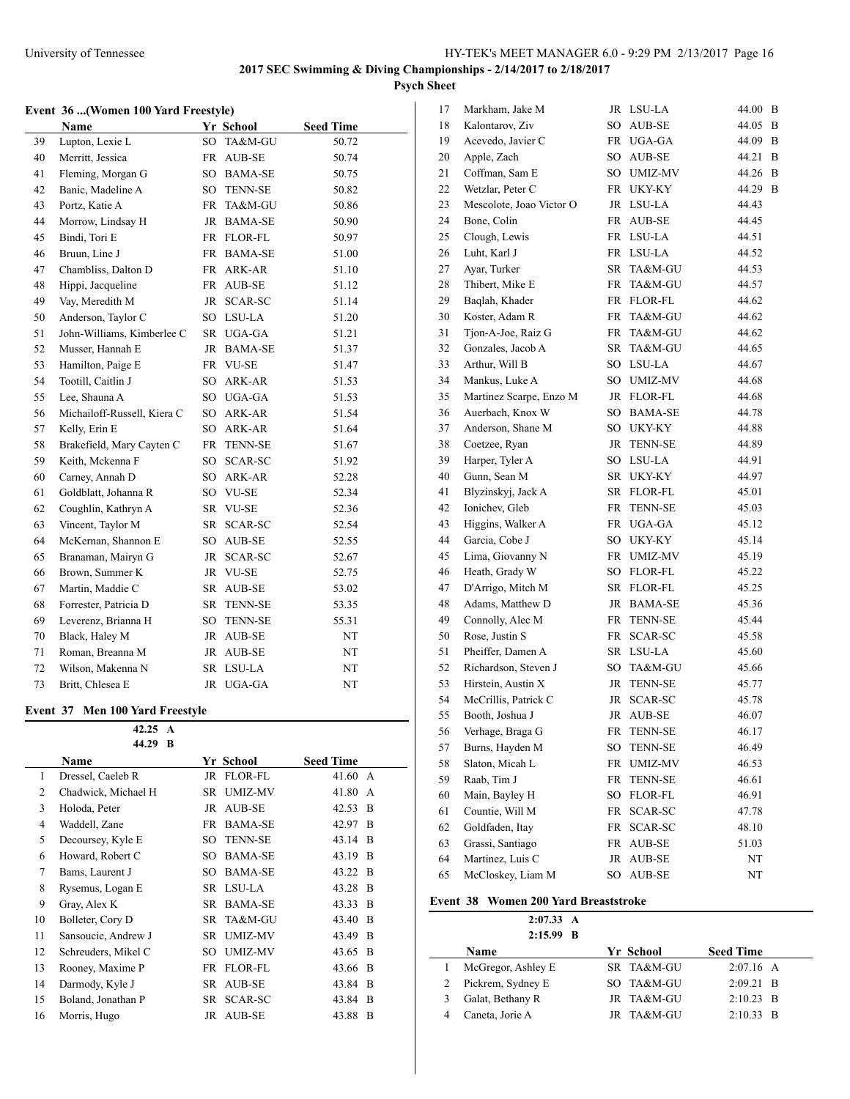# **Event 36 ...(Women 100 Yard Freestyle)**

|    | <b>Name</b>                 |                 | Yr School      | <b>Seed Time</b> |
|----|-----------------------------|-----------------|----------------|------------------|
| 39 | Lupton, Lexie L             | SO <sub>1</sub> | TA&M-GU        | 50.72            |
| 40 | Merritt, Jessica            | <b>FR</b>       | AUB-SE         | 50.74            |
| 41 | Fleming, Morgan G           | SO.             | <b>BAMA-SE</b> | 50.75            |
| 42 | Banic, Madeline A           | SO              | <b>TENN-SE</b> | 50.82            |
| 43 | Portz, Katie A              | <b>FR</b>       | TA&M-GU        | 50.86            |
| 44 | Morrow, Lindsay H           | JR              | <b>BAMA-SE</b> | 50.90            |
| 45 | Bindi, Tori E               | FR              | FLOR-FL        | 50.97            |
| 46 | Bruun, Line J               | FR              | <b>BAMA-SE</b> | 51.00            |
| 47 | Chambliss, Dalton D         | FR              | ARK-AR         | 51.10            |
| 48 | Hippi, Jacqueline           |                 | FR AUB-SE      | 51.12            |
| 49 | Vay, Meredith M             | JR              | <b>SCAR-SC</b> | 51.14            |
| 50 | Anderson, Taylor C          | SO.             | LSU-LA         | 51.20            |
| 51 | John-Williams, Kimberlee C  |                 | SR UGA-GA      | 51.21            |
| 52 | Musser, Hannah E            | JR              | <b>BAMA-SE</b> | 51.37            |
| 53 | Hamilton, Paige E           | FR              | <b>VU-SE</b>   | 51.47            |
| 54 | Tootill, Caitlin J          | SO <sub>1</sub> | ARK-AR         | 51.53            |
| 55 | Lee, Shauna A               | SO              | UGA-GA         | 51.53            |
| 56 | Michailoff-Russell, Kiera C | SO              | ARK-AR         | 51.54            |
| 57 | Kelly, Erin E               | SO              | ARK-AR         | 51.64            |
| 58 | Brakefield, Mary Cayten C   | FR              | <b>TENN-SE</b> | 51.67            |
| 59 | Keith, Mckenna F            | SO.             | SCAR-SC        | 51.92            |
| 60 | Carney, Annah D             | SO.             | ARK-AR         | 52.28            |
| 61 | Goldblatt, Johanna R        | SO              | VU-SE          | 52.34            |
| 62 | Coughlin, Kathryn A         | SR              | <b>VU-SE</b>   | 52.36            |
| 63 | Vincent, Taylor M           | SR              | SCAR-SC        | 52.54            |
| 64 | McKernan, Shannon E         | SO              | <b>AUB-SE</b>  | 52.55            |
| 65 | Branaman, Mairyn G          | JR              | SCAR-SC        | 52.67            |
| 66 | Brown, Summer K             | JR              | <b>VU-SE</b>   | 52.75            |
| 67 | Martin, Maddie C            | SR              | AUB-SE         | 53.02            |
| 68 | Forrester, Patricia D       | SR              | <b>TENN-SE</b> | 53.35            |
| 69 | Leverenz, Brianna H         | SO              | <b>TENN-SE</b> | 55.31            |
| 70 | Black, Haley M              | JR              | AUB-SE         | NT               |
| 71 | Roman, Breanna M            | JR              | AUB-SE         | NT               |
| 72 | Wilson, Makenna N           | <b>SR</b>       | LSU-LA         | NT               |
| 73 | Britt, Chlesea E            | JR              | UGA-GA         | NT               |

### **Event 37 Men 100 Yard Freestyle**

|    | 42.25<br>A          |                      |                  |
|----|---------------------|----------------------|------------------|
|    | 44.29<br>B          |                      |                  |
|    | Name                | Yr School            | <b>Seed Time</b> |
| 1  | Dressel, Caeleb R   | <b>FLOR-FL</b><br>JR | 41.60<br>A       |
| 2  | Chadwick, Michael H | <b>UMIZ-MV</b><br>SR | 41.80<br>A       |
| 3  | Holoda, Peter       | <b>AUB-SE</b><br>JR  | 42.53<br>B       |
| 4  | Waddell, Zane       | <b>BAMA-SE</b><br>FR | B<br>42.97       |
| 5  | Decoursey, Kyle E   | <b>TENN-SE</b><br>SO | 43.14<br>B       |
| 6  | Howard, Robert C    | <b>BAMA-SE</b><br>SO | 43.19<br>B       |
| 7  | Bams, Laurent J     | <b>BAMA-SE</b><br>SO | B<br>43.22       |
| 8  | Rysemus, Logan E    | LSU-LA<br>SR         | 43.28<br>B       |
| 9  | Gray, Alex K        | <b>BAMA-SE</b><br>SR | 43.33<br>B       |
| 10 | Bolleter, Cory D    | SR<br>TA&M-GU        | 43.40<br>B       |
| 11 | Sansoucie, Andrew J | <b>UMIZ-MV</b><br>SR | 43.49<br>B       |
| 12 | Schreuders, Mikel C | UMIZ-MV<br>SO        | 43.65<br>B       |
| 13 | Rooney, Maxime P    | <b>FLOR-FL</b><br>FR | 43.66<br>B       |
| 14 | Darmody, Kyle J     | SR<br><b>AUB-SE</b>  | 43.84<br>B       |
| 15 | Boland, Jonathan P  | SR<br>SCAR-SC        | 43.84<br>B       |
| 16 | Morris, Hugo        | <b>AUB-SE</b><br>JR  | 43.88<br>B       |

| 17 | Markham, Jake M          | JR        | LSU-LA                  | 44.00 | B |
|----|--------------------------|-----------|-------------------------|-------|---|
| 18 | Kalontarov, Ziv          | SO        | AUB-SE                  | 44.05 | B |
| 19 | Acevedo, Javier C        | FR        | UGA-GA                  | 44.09 | B |
| 20 | Apple, Zach              | SO        | AUB-SE                  | 44.21 | B |
| 21 | Coffman, Sam E           |           | SO UMIZ-MV              | 44.26 | B |
| 22 | Wetzlar, Peter C         | FR        | UKY-KY                  | 44.29 | B |
| 23 | Mescolote, Joao Victor O | JR        | LSU-LA                  | 44.43 |   |
| 24 | Bone, Colin              | FR        | $\operatorname{AUB-SE}$ | 44.45 |   |
| 25 | Clough, Lewis            | FR        | LSU-LA                  | 44.51 |   |
| 26 | Luht, Karl J             | FR        | LSU-LA                  | 44.52 |   |
| 27 | Ayar, Turker             | SR        | TA&M-GU                 | 44.53 |   |
| 28 | Thibert, Mike E          | FR        | TA&M-GU                 | 44.57 |   |
| 29 | Baqlah, Khader           | FR        | <b>FLOR-FL</b>          | 44.62 |   |
| 30 | Koster, Adam R           | FR        | TA&M-GU                 | 44.62 |   |
| 31 | Tjon-A-Joe, Raiz G       | FR        | TA&M-GU                 | 44.62 |   |
| 32 | Gonzales, Jacob A        | <b>SR</b> | TA&M-GU                 | 44.65 |   |
| 33 | Arthur, Will B           |           | SO LSU-LA               | 44.67 |   |
| 34 | Mankus, Luke A           | SO        | <b>UMIZ-MV</b>          | 44.68 |   |
| 35 | Martinez Scarpe, Enzo M  | JR        | FLOR-FL                 | 44.68 |   |
| 36 | Auerbach, Knox W         | SO        | <b>BAMA-SE</b>          | 44.78 |   |
| 37 | Anderson, Shane M        |           | SO UKY-KY               | 44.88 |   |
| 38 | Coetzee, Ryan            | JR        | <b>TENN-SE</b>          | 44.89 |   |
| 39 | Harper, Tyler A          | SO        | LSU-LA                  | 44.91 |   |
| 40 | Gunn, Sean M             | SR        | UKY-KY                  | 44.97 |   |
| 41 | Blyzinskyj, Jack A       | SR        | FLOR-FL                 | 45.01 |   |
| 42 | Ionichev, Gleb           | FR        | <b>TENN-SE</b>          | 45.03 |   |
| 43 | Higgins, Walker A        | FR        | UGA-GA                  | 45.12 |   |
| 44 | Garcia, Cobe J           | SO        | UKY-KY                  | 45.14 |   |
| 45 | Lima, Giovanny N         | FR        | <b>UMIZ-MV</b>          | 45.19 |   |
| 46 | Heath, Grady W           | SO        | FLOR-FL                 | 45.22 |   |
| 47 | D'Arrigo, Mitch M        | SR        | FLOR-FL                 | 45.25 |   |
| 48 | Adams, Matthew D         | JR        | <b>BAMA-SE</b>          | 45.36 |   |
| 49 | Connolly, Alec M         | FR        | <b>TENN-SE</b>          | 45.44 |   |
| 50 | Rose, Justin S           | FR        | SCAR-SC                 | 45.58 |   |
| 51 | Pheiffer, Damen A        | SR        | LSU-LA                  | 45.60 |   |
| 52 | Richardson, Steven J     | SO        | TA&M-GU                 | 45.66 |   |
| 53 | Hirstein, Austin X       | JR        | <b>TENN-SE</b>          | 45.77 |   |
| 54 | McCrillis, Patrick C     | JR        | <b>SCAR-SC</b>          | 45.78 |   |
| 55 | Booth, Joshua J          | JR        | AUB-SE                  | 46.07 |   |
| 56 | Verhage, Braga G         | FR        | <b>TENN-SE</b>          | 46.17 |   |
| 57 | Burns, Hayden M          | SO        | <b>TENN-SE</b>          | 46.49 |   |
| 58 | Slaton, Micah L          | <b>FR</b> | <b>UMIZ-MV</b>          | 46.53 |   |
| 59 | Raab, Tim J              | <b>FR</b> | <b>TENN-SE</b>          | 46.61 |   |
| 60 | Main, Bayley H           | SO        | <b>FLOR-FL</b>          | 46.91 |   |
| 61 | Countie, Will M          | FR        | SCAR-SC                 | 47.78 |   |
| 62 | Goldfaden, Itay          | FR        | SCAR-SC                 | 48.10 |   |
| 63 | Grassi, Santiago         | <b>FR</b> | AUB-SE                  | 51.03 |   |
| 64 | Martinez, Luis C         | JR        | $AUB-SE$                | NT    |   |
| 65 | McCloskey, Liam M        | SO        | <b>AUB-SE</b>           | NT    |   |
|    |                          |           |                         |       |   |

### **Event 38 Women 200 Yard Breaststroke**

 $\frac{1}{2}$ 

| $2:07.33 \text{ A}$<br>$2:15.99$ B |            |                  |
|------------------------------------|------------|------------------|
| Name                               | Yr School  | <b>Seed Time</b> |
| McGregor, Ashley E                 | SR TA&M-GU | $2:07.16$ A      |
| Pickrem, Sydney E                  | SO TA&M-GU | $2:09.21$ B      |
| Galat, Bethany R                   | JR TA&M-GU | $2:10.23$ B      |
| Caneta, Jorie A                    | JR TA&M-GU | $2:10.33$ B      |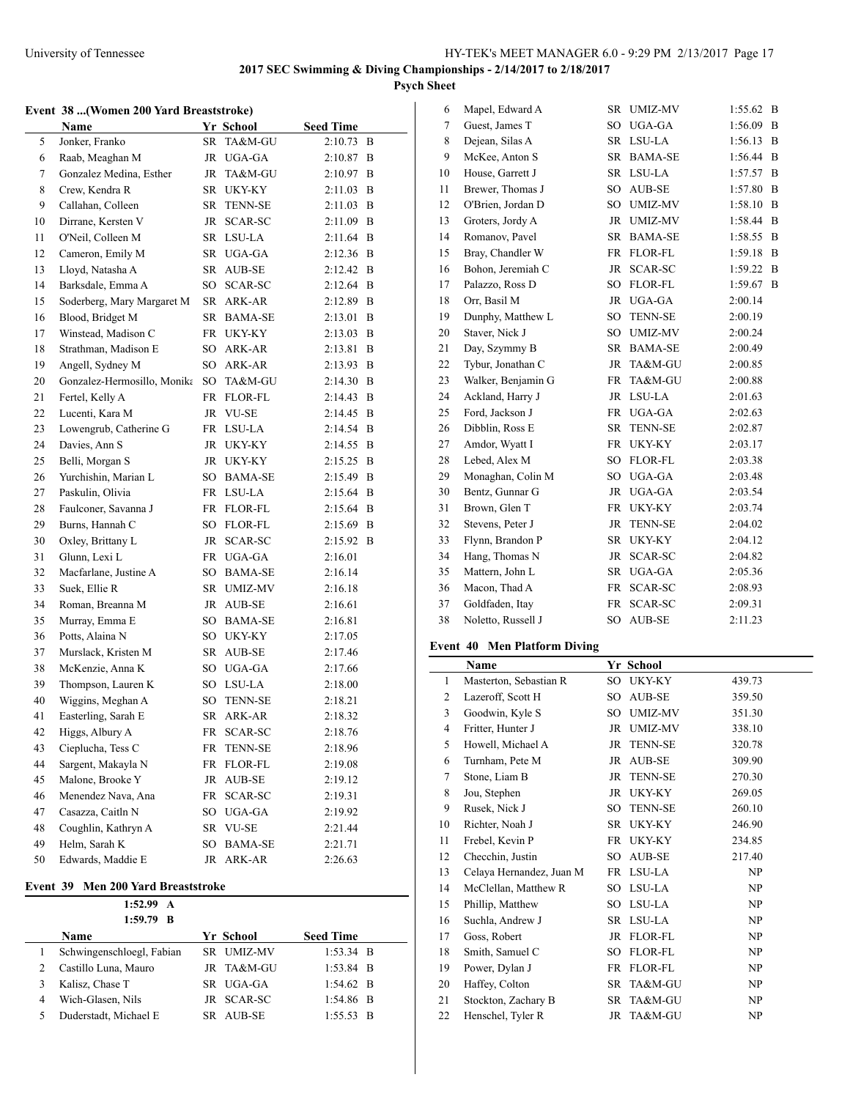**Psych Sheet**

#### **Event 38 ...(Women 200 Yard Breaststroke)**

|    | Name                        |           | Yr_School      | <b>Seed Time</b> |   |
|----|-----------------------------|-----------|----------------|------------------|---|
| 5  | Jonker, Franko              | SR        | TA&M-GU        | 2:10.73          | B |
| 6  | Raab, Meaghan M             |           | JR UGA-GA      | $2:10.87$ B      |   |
| 7  | Gonzalez Medina, Esther     | JR        | TA&M-GU        | 2:10.97 B        |   |
| 8  | Crew, Kendra R              |           | SR UKY-KY      | 2:11.03          | B |
| 9  | Callahan, Colleen           | SR        | <b>TENN-SE</b> | 2:11.03          | B |
| 10 | Dirrane, Kersten V          | JR        | SCAR-SC        | 2:11.09 B        |   |
| 11 | O'Neil, Colleen M           |           | SR LSU-LA      | 2:11.64          | B |
| 12 | Cameron, Emily M            |           | SR UGA-GA      | 2:12.36          | B |
| 13 | Lloyd, Natasha A            |           | SR AUB-SE      | 2:12.42          | B |
| 14 | Barksdale, Emma A           | SO        | SCAR-SC        | 2:12.64          | B |
| 15 | Soderberg, Mary Margaret M  |           | SR ARK-AR      | 2:12.89 B        |   |
| 16 | Blood, Bridget M            |           | SR BAMA-SE     | 2:13.01          | B |
| 17 | Winstead, Madison C         | FR        | UKY-KY         | 2:13.03          | B |
| 18 | Strathman, Madison E        | SO        | ARK-AR         | 2:13.81          | B |
| 19 | Angell, Sydney M            |           | SO ARK-AR      | 2:13.93          | B |
| 20 | Gonzalez-Hermosillo, Monika |           | SO TA&M-GU     | 2:14.30 B        |   |
| 21 | Fertel, Kelly A             |           | FR FLOR-FL     | 2:14.43          | B |
| 22 | Lucenti, Kara M             |           | JR VU-SE       | 2:14.45          | B |
| 23 | Lowengrub, Catherine G      |           | FR LSU-LA      | 2:14.54          | B |
| 24 | Davies, Ann S               | JR        | UKY-KY         | 2:14.55          | B |
| 25 | Belli, Morgan S             | JR        | UKY-KY         | 2:15.25          | B |
| 26 | Yurchishin, Marian L        | SO        | BAMA-SE        | 2:15.49          | B |
| 27 | Paskulin, Olivia            |           | FR LSU-LA      | 2:15.64          | B |
| 28 | Faulconer, Savanna J        |           | FR FLOR-FL     | 2:15.64          | B |
| 29 | Burns, Hannah C             | SO        | FLOR-FL        | 2:15.69 B        |   |
| 30 | Oxley, Brittany L           | JR        | SCAR-SC        | 2:15.92          | B |
| 31 | Glunn, Lexi L               |           | FR UGA-GA      | 2:16.01          |   |
| 32 | Macfarlane, Justine A       |           | SO BAMA-SE     | 2:16.14          |   |
| 33 | Suek, Ellie R               |           | SR UMIZ-MV     | 2:16.18          |   |
| 34 | Roman, Breanna M            |           | JR AUB-SE      | 2:16.61          |   |
| 35 | Murray, Emma E              |           | SO BAMA-SE     | 2:16.81          |   |
| 36 | Potts, Alaina N             |           | SO UKY-KY      | 2:17.05          |   |
| 37 | Murslack, Kristen M         | SR        | AUB-SE         | 2:17.46          |   |
| 38 | McKenzie, Anna K            | $SO^-$    | UGA-GA         | 2:17.66          |   |
| 39 | Thompson, Lauren K          |           | SO LSU-LA      | 2:18.00          |   |
| 40 | Wiggins, Meghan A           | SO        | <b>TENN-SE</b> | 2:18.21          |   |
| 41 | Easterling, Sarah E         | SR        | ARK-AR         | 2:18.32          |   |
| 42 | Higgs, Albury A             | FR        | SCAR-SC        | 2:18.76          |   |
| 43 | Cieplucha, Tess C           | FR        | <b>TENN-SE</b> | 2:18.96          |   |
| 44 | Sargent, Makayla N          | <b>FR</b> | FLOR-FL        | 2:19.08          |   |
| 45 | Malone, Brooke Y            | <b>JR</b> | AUB-SE         | 2:19.12          |   |
| 46 | Menendez Nava, Ana          | FR.       | SCAR-SC        | 2:19.31          |   |
| 47 | Casazza, Caitln N           | SO        | UGA-GA         | 2:19.92          |   |
| 48 | Coughlin, Kathryn A         | SR        | VU-SE          | 2:21.44          |   |
| 49 | Helm, Sarah K               | SO        | <b>BAMA-SE</b> | 2:21.71          |   |
| 50 | Edwards, Maddie E           | JR        | ARK-AR         | 2:26.63          |   |

# **Event 39 Men 200 Yard Breaststroke**

|   | 1:52.99 A<br>$1:59.79$ B  |            |                  |
|---|---------------------------|------------|------------------|
|   | <b>Name</b>               | Yr School  | <b>Seed Time</b> |
|   | Schwingenschloegl, Fabian | SR UMIZ-MV | $1:53.34$ B      |
|   | Castillo Luna, Mauro      | JR TA&M-GU | $1:53.84$ B      |
|   | Kalisz, Chase T           | SR UGA-GA  | $1:54.62$ B      |
| 4 | Wich-Glasen, Nils         | JR SCAR-SC | $1:54.86$ B      |
|   | Duderstadt, Michael E     | SR AUB-SE  | $1:55.53$ B      |

| 6  | Mapel, Edward A    | <b>SR</b>       | <b>UMIZ-MV</b> | 1:55.62 | B              |
|----|--------------------|-----------------|----------------|---------|----------------|
| 7  | Guest, James T     | SO.             | UGA-GA         | 1:56.09 | B              |
| 8  | Dejean, Silas A    | SR              | LSU-LA         | 1:56.13 | B              |
| 9  | McKee, Anton S     | <b>SR</b>       | <b>BAMA-SE</b> | 1:56.44 | B              |
| 10 | House, Garrett J   | SR              | LSU-LA         | 1:57.57 | B              |
| 11 | Brewer, Thomas J   | SO.             | AUB-SE         | 1:57.80 | B              |
| 12 | O'Brien, Jordan D  | SO              | <b>UMIZ-MV</b> | 1:58.10 | B              |
| 13 | Groters, Jordy A   | JR              | <b>UMIZ-MV</b> | 1:58.44 | B              |
| 14 | Romanov, Pavel     | <b>SR</b>       | <b>BAMA-SE</b> | 1:58.55 | $\overline{B}$ |
| 15 | Bray, Chandler W   | FR              | FLOR-FL        | 1:59.18 | B              |
| 16 | Bohon, Jeremiah C  | <b>JR</b>       | <b>SCAR-SC</b> | 1:59.22 | B              |
| 17 | Palazzo, Ross D    | SO.             | <b>FLOR-FL</b> | 1:59.67 | B              |
| 18 | Orr, Basil M       | <b>JR</b>       | UGA-GA         | 2:00.14 |                |
| 19 | Dunphy, Matthew L  | SO <sub>1</sub> | <b>TENN-SE</b> | 2:00.19 |                |
| 20 | Staver, Nick J     | SO              | <b>UMIZ-MV</b> | 2:00.24 |                |
| 21 | Day, Szymmy B      | <b>SR</b>       | <b>BAMA-SE</b> | 2:00.49 |                |
| 22 | Tybur, Jonathan C  | JR              | TA&M-GU        | 2:00.85 |                |
| 23 | Walker, Benjamin G | FR              | TA&M-GU        | 2:00.88 |                |
| 24 | Ackland, Harry J   | JR.             | LSU-LA         | 2:01.63 |                |
| 25 | Ford, Jackson J    | FR              | UGA-GA         | 2:02.63 |                |
| 26 | Dibblin, Ross E    | <b>SR</b>       | <b>TENN-SE</b> | 2:02.87 |                |
| 27 | Amdor, Wyatt I     | FR              | UKY-KY         | 2:03.17 |                |
| 28 | Lebed, Alex M      | $\rm SO$        | <b>FLOR-FL</b> | 2:03.38 |                |
| 29 | Monaghan, Colin M  | SO.             | UGA-GA         | 2:03.48 |                |
| 30 | Bentz, Gunnar G    | JR              | UGA-GA         | 2:03.54 |                |
| 31 | Brown, Glen T      | <b>FR</b>       | UKY-KY         | 2:03.74 |                |
| 32 | Stevens, Peter J   | JR              | <b>TENN-SE</b> | 2:04.02 |                |
| 33 | Flynn, Brandon P   | <b>SR</b>       | UKY-KY         | 2:04.12 |                |
| 34 | Hang, Thomas N     | JR.             | SCAR-SC        | 2:04.82 |                |
| 35 | Mattern, John L    | SR              | UGA-GA         | 2:05.36 |                |
| 36 | Macon, Thad A      | FR              | <b>SCAR-SC</b> | 2:08.93 |                |
| 37 | Goldfaden, Itay    | FR              | <b>SCAR-SC</b> | 2:09.31 |                |
| 38 | Noletto, Russell J | SO <sub>1</sub> | AUB-SE         | 2:11.23 |                |

# **Event 40 Men Platform Diving**

|    | <b>Name</b>              |           | Yr School      |        |
|----|--------------------------|-----------|----------------|--------|
| 1  | Masterton, Sebastian R   | SO        | UKY-KY         | 439.73 |
| 2  | Lazeroff, Scott H        | SO.       | AUB-SE         | 359.50 |
| 3  | Goodwin, Kyle S          | SO        | <b>UMIZ-MV</b> | 351.30 |
| 4  | Fritter, Hunter J        | JR        | <b>UMIZ-MV</b> | 338.10 |
| 5  | Howell, Michael A        | JR        | <b>TENN-SE</b> | 320.78 |
| 6  | Turnham, Pete M          | JR        | AUB-SE         | 309.90 |
| 7  | Stone, Liam B            | JR        | <b>TENN-SE</b> | 270.30 |
| 8  | Jou, Stephen             | JR        | UKY-KY         | 269.05 |
| 9  | Rusek, Nick J            | SO.       | <b>TENN-SE</b> | 260.10 |
| 10 | Richter, Noah J          | SR        | UKY-KY         | 246.90 |
| 11 | Frebel, Kevin P          | FR        | UKY-KY         | 234.85 |
| 12 | Checchin, Justin         | SO.       | AUB-SE         | 217.40 |
| 13 | Celaya Hernandez, Juan M |           | FR LSU-LA      | NP     |
| 14 | McClellan, Matthew R     |           | SO LSU-LA      | NP     |
| 15 | Phillip, Matthew         | SO        | LSU-LA         | NP     |
| 16 | Suchla, Andrew J         |           | SR LSU-LA      | NP     |
| 17 | Goss, Robert             | JR        | FLOR-FL        | NP     |
| 18 | Smith, Samuel C          | SO        | <b>FLOR-FL</b> | NP     |
| 19 | Power, Dylan J           | <b>FR</b> | <b>FLOR-FL</b> | NP     |
| 20 | Haffey, Colton           | SR.       | TA&M-GU        | NP     |
| 21 | Stockton, Zachary B      | SR        | TA&M-GU        | NP     |
| 22 | Henschel, Tyler R        | JR        | TA&M-GU        | NP     |